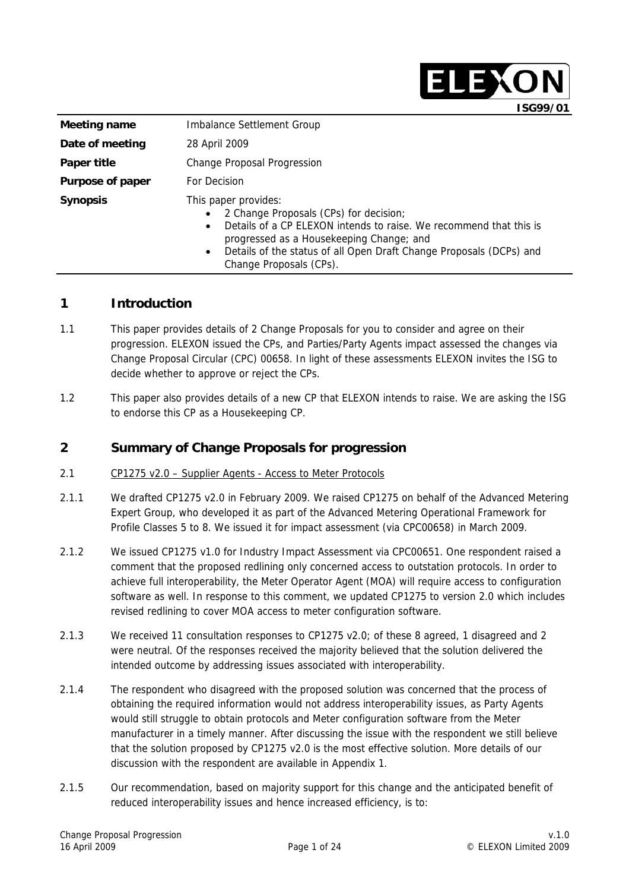|                         | ISG99/01                                                                                                                                                                                                                                                                                                                  |
|-------------------------|---------------------------------------------------------------------------------------------------------------------------------------------------------------------------------------------------------------------------------------------------------------------------------------------------------------------------|
| Meeting name            | Imbalance Settlement Group                                                                                                                                                                                                                                                                                                |
| Date of meeting         | 28 April 2009                                                                                                                                                                                                                                                                                                             |
| Paper title             | Change Proposal Progression                                                                                                                                                                                                                                                                                               |
| <b>Purpose of paper</b> | For Decision                                                                                                                                                                                                                                                                                                              |
| <b>Synopsis</b>         | This paper provides:<br>2 Change Proposals (CPs) for decision;<br>$\bullet$<br>Details of a CP ELEXON intends to raise. We recommend that this is<br>$\bullet$<br>progressed as a Housekeeping Change; and<br>Details of the status of all Open Draft Change Proposals (DCPs) and<br>$\bullet$<br>Change Proposals (CPs). |

## **1 Introduction**

- 1.1 This paper provides details of 2 Change Proposals for you to consider and agree on their progression. ELEXON issued the CPs, and Parties/Party Agents impact assessed the changes via Change Proposal Circular (CPC) 00658. In light of these assessments ELEXON invites the ISG to decide whether to approve or reject the CPs.
- 1.2 This paper also provides details of a new CP that ELEXON intends to raise. We are asking the ISG to endorse this CP as a Housekeeping CP.

## **2 Summary of Change Proposals for progression**

- 2.1 CP1275 v2.0 Supplier Agents Access to Meter Protocols
- 2.1.1 We drafted CP1275 v2.0 in February 2009. We raised CP1275 on behalf of the Advanced Metering Expert Group, who developed it as part of the Advanced Metering Operational Framework for Profile Classes 5 to 8. We issued it for impact assessment (via CPC00658) in March 2009.
- 2.1.2 We issued CP1275 v1.0 for Industry Impact Assessment via CPC00651. One respondent raised a comment that the proposed redlining only concerned access to outstation protocols. In order to achieve full interoperability, the Meter Operator Agent (MOA) will require access to configuration software as well. In response to this comment, we updated CP1275 to version 2.0 which includes revised redlining to cover MOA access to meter configuration software.
- 2.1.3 We received 11 consultation responses to CP1275 v2.0; of these 8 agreed, 1 disagreed and 2 were neutral. Of the responses received the majority believed that the solution delivered the intended outcome by addressing issues associated with interoperability.
- 2.1.4 The respondent who disagreed with the proposed solution was concerned that the process of obtaining the required information would not address interoperability issues, as Party Agents would still struggle to obtain protocols and Meter configuration software from the Meter manufacturer in a timely manner. After discussing the issue with the respondent we still believe that the solution proposed by CP1275 v2.0 is the most effective solution. More details of our discussion with the respondent are available in Appendix 1.
- 2.1.5 Our recommendation, based on majority support for this change and the anticipated benefit of reduced interoperability issues and hence increased efficiency, is to:

**ELEXON**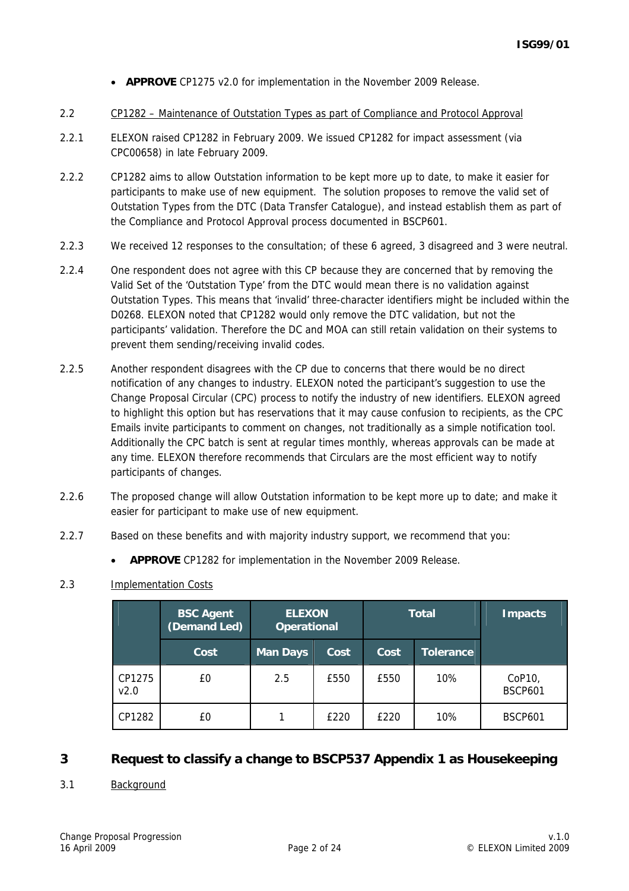- **APPROVE** CP1275 v2.0 for implementation in the November 2009 Release.
- 2.2 CP1282 Maintenance of Outstation Types as part of Compliance and Protocol Approval
- 2.2.1 ELEXON raised CP1282 in February 2009. We issued CP1282 for impact assessment (via CPC00658) in late February 2009.
- 2.2.2 CP1282 aims to allow Outstation information to be kept more up to date, to make it easier for participants to make use of new equipment. The solution proposes to remove the valid set of Outstation Types from the DTC (Data Transfer Catalogue), and instead establish them as part of the Compliance and Protocol Approval process documented in BSCP601.
- 2.2.3 We received 12 responses to the consultation; of these 6 agreed, 3 disagreed and 3 were neutral.
- 2.2.4 One respondent does not agree with this CP because they are concerned that by removing the Valid Set of the 'Outstation Type' from the DTC would mean there is no validation against Outstation Types. This means that 'invalid' three-character identifiers might be included within the D0268. ELEXON noted that CP1282 would only remove the DTC validation, but not the participants' validation. Therefore the DC and MOA can still retain validation on their systems to prevent them sending/receiving invalid codes.
- 2.2.5 Another respondent disagrees with the CP due to concerns that there would be no direct notification of any changes to industry. ELEXON noted the participant's suggestion to use the Change Proposal Circular (CPC) process to notify the industry of new identifiers. ELEXON agreed to highlight this option but has reservations that it may cause confusion to recipients, as the CPC Emails invite participants to comment on changes, not traditionally as a simple notification tool. Additionally the CPC batch is sent at regular times monthly, whereas approvals can be made at any time. ELEXON therefore recommends that Circulars are the most efficient way to notify participants of changes.
- 2.2.6 The proposed change will allow Outstation information to be kept more up to date; and make it easier for participant to make use of new equipment.
- 2.2.7 Based on these benefits and with majority industry support, we recommend that you:
	- **APPROVE** CP1282 for implementation in the November 2009 Release.

#### 2.3 Implementation Costs

|                | <b>BSC Agent</b><br>(Demand Led) | <b>ELEXON</b><br><b>Operational</b> |      | <b>Total</b> |                  | <b>Impacts</b>           |  |
|----------------|----------------------------------|-------------------------------------|------|--------------|------------------|--------------------------|--|
|                | Cost                             | <b>Man Days</b>                     | Cost | Cost         | <b>Tolerance</b> |                          |  |
| CP1275<br>v2.0 | £0                               | 2.5                                 | £550 | £550         | 10%              | CoP10,<br><b>BSCP601</b> |  |
| CP1282         | £0                               |                                     | £220 | £220         | 10%              | <b>BSCP601</b>           |  |

## **3 Request to classify a change to BSCP537 Appendix 1 as Housekeeping**

#### 3.1 Background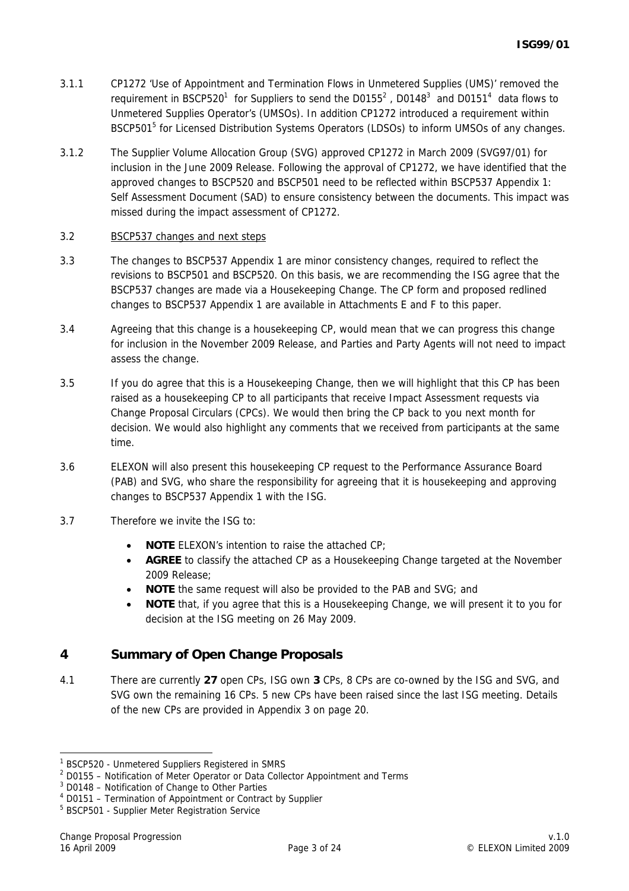- 3.1.1 CP1272 'Use of Appointment and Termination Flows in Unmetered Supplies (UMS)' removed the requirement in BSCP520<sup>1</sup> for Suppliers to send the D0155<sup>2</sup>, D0148<sup>3</sup> and D0151<sup>4</sup> data flows to Unmetered Supplies Operator's (UMSOs). In addition CP1272 introduced a requirement within BSCP501<sup>5</sup> for Licensed Distribution Systems Operators (LDSOs) to inform UMSOs of any changes.
- 3.1.2 The Supplier Volume Allocation Group (SVG) approved CP1272 in March 2009 (SVG97/01) for inclusion in the June 2009 Release. Following the approval of CP1272, we have identified that the approved changes to BSCP520 and BSCP501 need to be reflected within BSCP537 Appendix 1: Self Assessment Document (SAD) to ensure consistency between the documents. This impact was missed during the impact assessment of CP1272.

#### 3.2 BSCP537 changes and next steps

- 3.3 The changes to BSCP537 Appendix 1 are minor consistency changes, required to reflect the revisions to BSCP501 and BSCP520. On this basis, we are recommending the ISG agree that the BSCP537 changes are made via a Housekeeping Change. The CP form and proposed redlined changes to BSCP537 Appendix 1 are available in Attachments E and F to this paper.
- 3.4 Agreeing that this change is a housekeeping CP, would mean that we can progress this change for inclusion in the November 2009 Release, and Parties and Party Agents will not need to impact assess the change.
- 3.5 If you do agree that this is a Housekeeping Change, then we will highlight that this CP has been raised as a housekeeping CP to all participants that receive Impact Assessment requests via Change Proposal Circulars (CPCs). We would then bring the CP back to you next month for decision. We would also highlight any comments that we received from participants at the same time.
- 3.6 ELEXON will also present this housekeeping CP request to the Performance Assurance Board (PAB) and SVG, who share the responsibility for agreeing that it is housekeeping and approving changes to BSCP537 Appendix 1 with the ISG.
- 3.7 Therefore we invite the ISG to:
	- **NOTE** ELEXON's intention to raise the attached CP;
	- AGREE to classify the attached CP as a Housekeeping Change targeted at the November 2009 Release;
	- **NOTE** the same request will also be provided to the PAB and SVG; and
	- **NOTE** that, if you agree that this is a Housekeeping Change, we will present it to you for decision at the ISG meeting on 26 May 2009.

# **4 Summary of Open Change Proposals**

4.1 There are currently **27** open CPs, ISG own **3** CPs, 8 CPs are co-owned by the ISG and SVG, and SVG own the remaining 16 CPs. 5 new CPs have been raised since the last ISG meeting. Details of the new CPs are provided in Appendix 3 on page 20.

 1 BSCP520 - Unmetered Suppliers Registered in SMRS

 $2$  D0155 – Notification of Meter Operator or Data Collector Appointment and Terms

<sup>&</sup>lt;sup>3</sup> D0148 - Notification of Change to Other Parties

<sup>4</sup> D0151 – Termination of Appointment or Contract by Supplier

<sup>&</sup>lt;sup>5</sup> BSCP501 - Supplier Meter Registration Service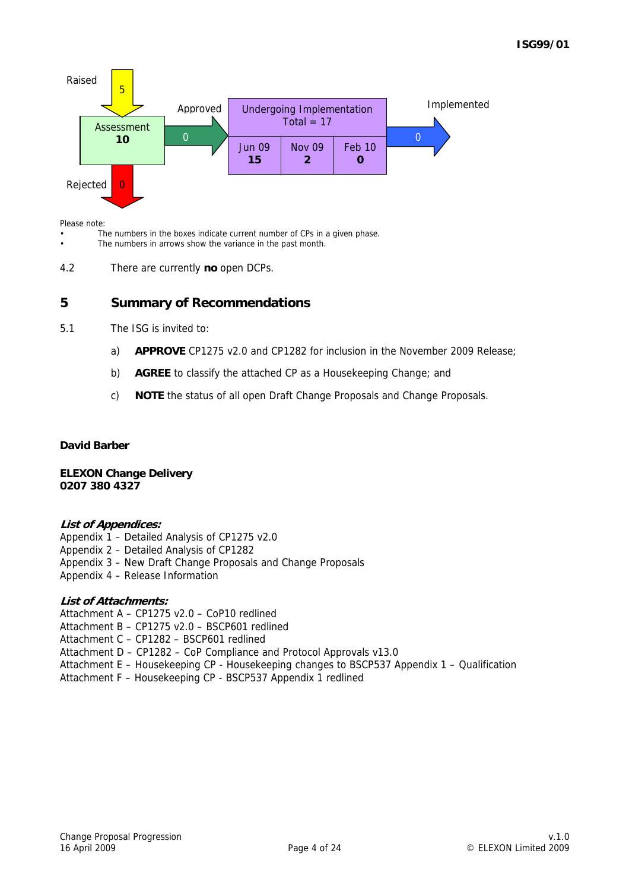

Please note:

The numbers in the boxes indicate current number of CPs in a given phase.

The numbers in arrows show the variance in the past month.

4.2 There are currently **no** open DCPs.

## **5 Summary of Recommendations**

- 5.1 The ISG is invited to:
	- a) **APPROVE** CP1275 v2.0 and CP1282 for inclusion in the November 2009 Release;
	- b) **AGREE** to classify the attached CP as a Housekeeping Change; and
	- c) **NOTE** the status of all open Draft Change Proposals and Change Proposals.

#### **David Barber**

**ELEXON Change Delivery 0207 380 4327** 

#### **List of Appendices:**

Appendix 1 – Detailed Analysis of CP1275 v2.0 Appendix 2 – Detailed Analysis of CP1282 Appendix 3 – New Draft Change Proposals and Change Proposals Appendix 4 – Release Information

#### **List of Attachments:**

Attachment A – CP1275 v2.0 – CoP10 redlined Attachment B – CP1275 v2.0 – BSCP601 redlined Attachment C – CP1282 – BSCP601 redlined Attachment D – CP1282 – CoP Compliance and Protocol Approvals v13.0 Attachment E – Housekeeping CP - Housekeeping changes to BSCP537 Appendix 1 – Qualification Attachment F – Housekeeping CP - BSCP537 Appendix 1 redlined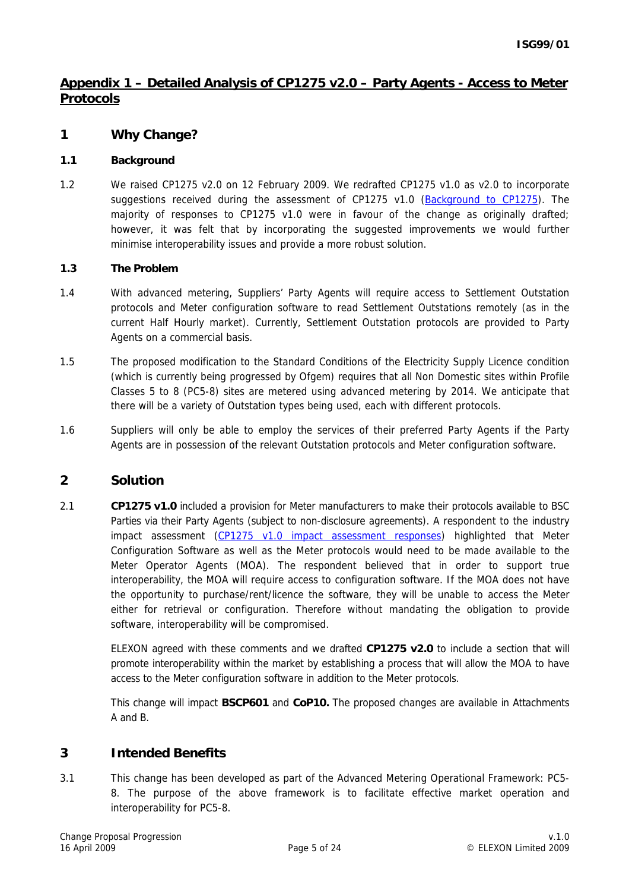## **Appendix 1 – Detailed Analysis of CP1275 v2.0 – Party Agents - Access to Meter Protocols**

## **1 Why Change?**

#### **1.1 Background**

1.2 We raised CP1275 v2.0 on 12 February 2009. We redrafted CP1275 v1.0 as v2.0 to incorporate suggestions received during the assessment of CP1275 v1.0 (Background to CP1275). The majority of responses to CP1275 v1.0 were in favour of the change as originally drafted; however, it was felt that by incorporating the suggested improvements we would further minimise interoperability issues and provide a more robust solution.

#### **1.3 The Problem**

- 1.4 With advanced metering, Suppliers' Party Agents will require access to Settlement Outstation protocols and Meter configuration software to read Settlement Outstations remotely (as in the current Half Hourly market). Currently, Settlement Outstation protocols are provided to Party Agents on a commercial basis.
- 1.5 The proposed modification to the Standard Conditions of the Electricity Supply Licence condition (which is currently being progressed by Ofgem) requires that all Non Domestic sites within Profile Classes 5 to 8 (PC5-8) sites are metered using advanced metering by 2014. We anticipate that there will be a variety of Outstation types being used, each with different protocols.
- 1.6 Suppliers will only be able to employ the services of their preferred Party Agents if the Party Agents are in possession of the relevant Outstation protocols and Meter configuration software.

## **2 Solution**

2.1 **CP1275 v1.0** included a provision for Meter manufacturers to make their protocols available to BSC Parties via their Party Agents (subject to non-disclosure agreements). A respondent to the industry impact assessment (CP1275 v1.0 impact assessment responses) highlighted that Meter Configuration Software as well as the Meter protocols would need to be made available to the Meter Operator Agents (MOA). The respondent believed that in order to support true interoperability, the MOA will require access to configuration software. If the MOA does not have the opportunity to purchase/rent/licence the software, they will be unable to access the Meter either for retrieval or configuration. Therefore without mandating the obligation to provide software, interoperability will be compromised.

ELEXON agreed with these comments and we drafted **CP1275 v2.0** to include a section that will promote interoperability within the market by establishing a process that will allow the MOA to have access to the Meter configuration software in addition to the Meter protocols.

This change will impact **BSCP601** and **CoP10.** The proposed changes are available in Attachments A and B.

#### **3 Intended Benefits**

3.1 This change has been developed as part of the Advanced Metering Operational Framework: PC5- 8. The purpose of the above framework is to facilitate effective market operation and interoperability for PC5-8.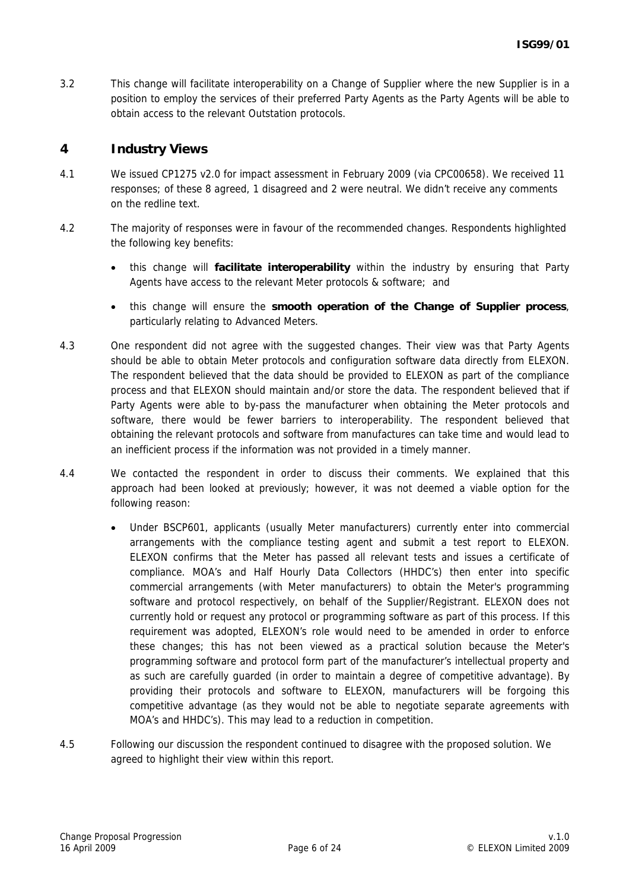3.2 This change will facilitate interoperability on a Change of Supplier where the new Supplier is in a position to employ the services of their preferred Party Agents as the Party Agents will be able to obtain access to the relevant Outstation protocols.

#### **4 Industry Views**

- 4.1 We issued CP1275 v2.0 for impact assessment in February 2009 (via CPC00658). We received 11 responses; of these 8 agreed, 1 disagreed and 2 were neutral. We didn't receive any comments on the redline text.
- 4.2 The majority of responses were in favour of the recommended changes. Respondents highlighted the following key benefits:
	- this change will **facilitate interoperability** within the industry by ensuring that Party Agents have access to the relevant Meter protocols & software; and
	- this change will ensure the **smooth operation of the Change of Supplier process**, particularly relating to Advanced Meters.
- 4.3 One respondent did not agree with the suggested changes. Their view was that Party Agents should be able to obtain Meter protocols and configuration software data directly from ELEXON. The respondent believed that the data should be provided to ELEXON as part of the compliance process and that ELEXON should maintain and/or store the data. The respondent believed that if Party Agents were able to by-pass the manufacturer when obtaining the Meter protocols and software, there would be fewer barriers to interoperability. The respondent believed that obtaining the relevant protocols and software from manufactures can take time and would lead to an inefficient process if the information was not provided in a timely manner.
- 4.4 We contacted the respondent in order to discuss their comments. We explained that this approach had been looked at previously; however, it was not deemed a viable option for the following reason:
	- Under BSCP601, applicants (usually Meter manufacturers) currently enter into commercial arrangements with the compliance testing agent and submit a test report to ELEXON. ELEXON confirms that the Meter has passed all relevant tests and issues a certificate of compliance. MOA's and Half Hourly Data Collectors (HHDC's) then enter into specific commercial arrangements (with Meter manufacturers) to obtain the Meter's programming software and protocol respectively, on behalf of the Supplier/Registrant. ELEXON does not currently hold or request any protocol or programming software as part of this process. If this requirement was adopted, ELEXON's role would need to be amended in order to enforce these changes; this has not been viewed as a practical solution because the Meter's programming software and protocol form part of the manufacturer's intellectual property and as such are carefully guarded (in order to maintain a degree of competitive advantage). By providing their protocols and software to ELEXON, manufacturers will be forgoing this competitive advantage (as they would not be able to negotiate separate agreements with MOA's and HHDC's). This may lead to a reduction in competition.
- 4.5 Following our discussion the respondent continued to disagree with the proposed solution. We agreed to highlight their view within this report.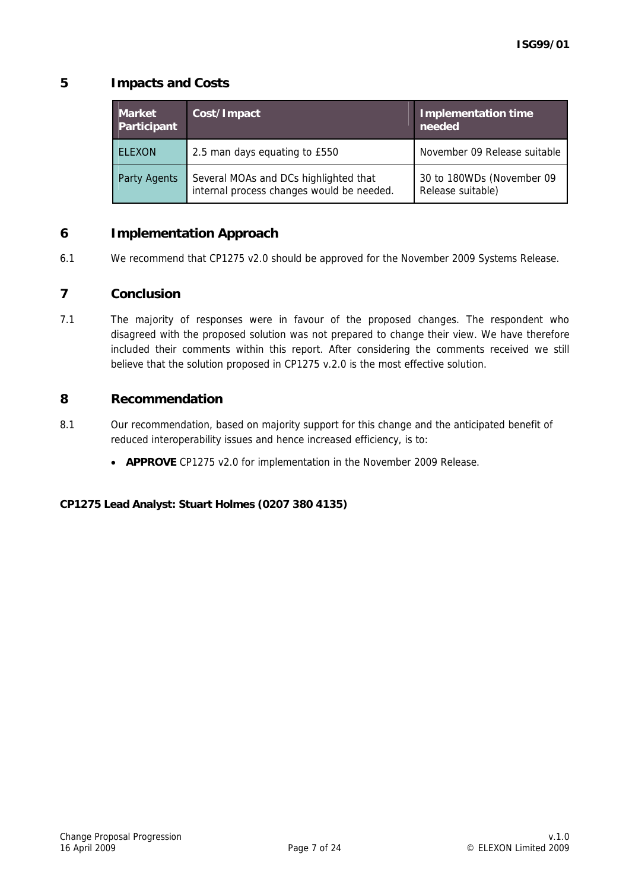## **5 Impacts and Costs**

| <b>Market</b><br>Participant | Cost/Impact                                                                        | <b>Implementation time</b><br>needed           |
|------------------------------|------------------------------------------------------------------------------------|------------------------------------------------|
| <b>ELEXON</b>                | 2.5 man days equating to £550                                                      | November 09 Release suitable                   |
| <b>Party Agents</b>          | Several MOAs and DCs highlighted that<br>internal process changes would be needed. | 30 to 180WDs (November 09<br>Release suitable) |

## **6 Implementation Approach**

6.1 We recommend that CP1275 v2.0 should be approved for the November 2009 Systems Release.

## **7 Conclusion**

7.1 The majority of responses were in favour of the proposed changes. The respondent who disagreed with the proposed solution was not prepared to change their view. We have therefore included their comments within this report. After considering the comments received we still believe that the solution proposed in CP1275 v.2.0 is the most effective solution.

## **8 Recommendation**

- 8.1 Our recommendation, based on majority support for this change and the anticipated benefit of reduced interoperability issues and hence increased efficiency, is to:
	- **APPROVE** CP1275 v2.0 for implementation in the November 2009 Release.

**CP1275 Lead Analyst: Stuart Holmes (0207 380 4135)**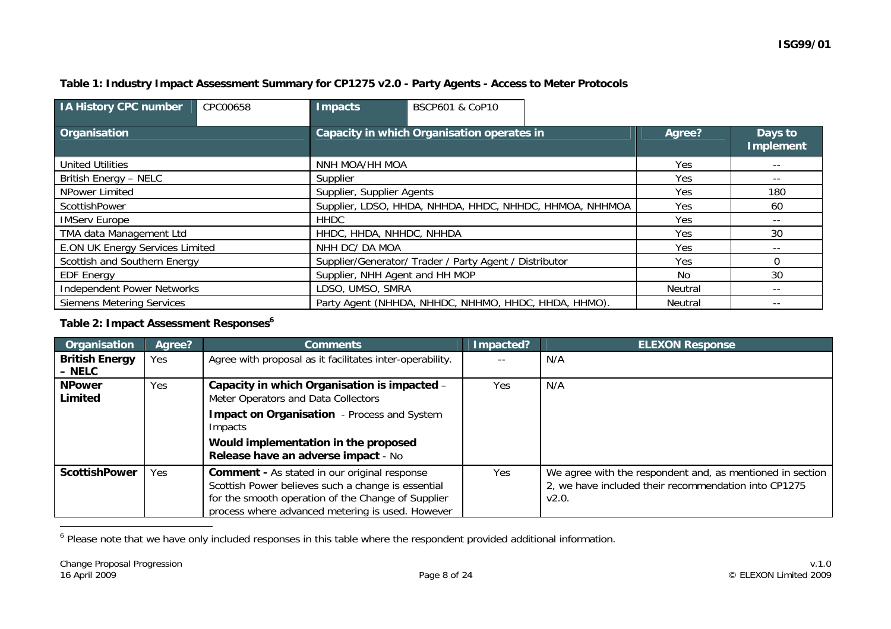#### **Table 1: Industry Impact Assessment Summary for CP1275 v2.0 - Party Agents - Access to Meter Protocols**

| <b>IA History CPC number</b>                        | CPC00658         | Impacts                                                 | <b>BSCP601 &amp; CoP10</b>                             |       |         |                             |  |  |  |  |  |  |     |          |
|-----------------------------------------------------|------------------|---------------------------------------------------------|--------------------------------------------------------|-------|---------|-----------------------------|--|--|--|--|--|--|-----|----------|
| Organisation                                        |                  | Capacity in which Organisation operates in              |                                                        |       | Agree?  | Days to<br><b>Implement</b> |  |  |  |  |  |  |     |          |
| <b>United Utilities</b>                             |                  | NNH MOA/HH MOA                                          |                                                        |       | Yes.    | $- -$                       |  |  |  |  |  |  |     |          |
| British Energy - NELC                               |                  | Supplier                                                |                                                        |       | Yes     |                             |  |  |  |  |  |  |     |          |
| NPower Limited                                      |                  | Supplier, Supplier Agents                               |                                                        |       | Yes     | 180                         |  |  |  |  |  |  |     |          |
| ScottishPower                                       |                  | Supplier, LDSO, HHDA, NHHDA, HHDC, NHHDC, HHMOA, NHHMOA |                                                        | Yes   | 60      |                             |  |  |  |  |  |  |     |          |
| <b>IMServ Europe</b>                                |                  | <b>HHDC</b>                                             |                                                        |       | Yes     | $- -$                       |  |  |  |  |  |  |     |          |
| TMA data Management Ltd                             |                  | HHDC, HHDA, NHHDC, NHHDA                                |                                                        | Yes   | 30      |                             |  |  |  |  |  |  |     |          |
| <b>E.ON UK Energy Services Limited</b>              |                  | NHH DC/ DA MOA                                          |                                                        | Yes   | $- -$   |                             |  |  |  |  |  |  |     |          |
| Scottish and Southern Energy                        |                  |                                                         | Supplier/Generator/ Trader / Party Agent / Distributor |       |         |                             |  |  |  |  |  |  | Yes | $\Omega$ |
| Supplier, NHH Agent and HH MOP<br><b>EDF Energy</b> |                  | No.                                                     | 30                                                     |       |         |                             |  |  |  |  |  |  |     |          |
| <b>Independent Power Networks</b>                   | LDSO, UMSO, SMRA |                                                         | Neutral                                                | $- -$ |         |                             |  |  |  |  |  |  |     |          |
| <b>Siemens Metering Services</b>                    |                  |                                                         | Party Agent (NHHDA, NHHDC, NHHMO, HHDC, HHDA, HHMO).   |       | Neutral |                             |  |  |  |  |  |  |     |          |

#### **Table 2: Impact Assessment Responses<sup>6</sup>**

| Organisation          | Agree? | <b>Comments</b>                                                                                                                                                                                                     | Impacted? | <b>ELEXON Response</b>                                                                                                     |
|-----------------------|--------|---------------------------------------------------------------------------------------------------------------------------------------------------------------------------------------------------------------------|-----------|----------------------------------------------------------------------------------------------------------------------------|
| <b>British Energy</b> | Yes    | Agree with proposal as it facilitates inter-operability.                                                                                                                                                            |           | N/A                                                                                                                        |
| - NELC                |        |                                                                                                                                                                                                                     |           |                                                                                                                            |
| <b>NPower</b>         | Yes    | Capacity in which Organisation is impacted -                                                                                                                                                                        | Yes       | N/A                                                                                                                        |
| Limited               |        | Meter Operators and Data Collectors                                                                                                                                                                                 |           |                                                                                                                            |
|                       |        | <b>Impact on Organisation</b> - Process and System<br>Impacts                                                                                                                                                       |           |                                                                                                                            |
|                       |        | Would implementation in the proposed<br>Release have an adverse impact - No                                                                                                                                         |           |                                                                                                                            |
| <b>ScottishPower</b>  | Yes    | <b>Comment - As stated in our original response</b><br>Scottish Power believes such a change is essential<br>for the smooth operation of the Change of Supplier<br>process where advanced metering is used. However | Yes       | We agree with the respondent and, as mentioned in section<br>2, we have included their recommendation into CP1275<br>V2.0. |

<sup>6</sup> Please note that we have only included responses in this table where the respondent provided additional information.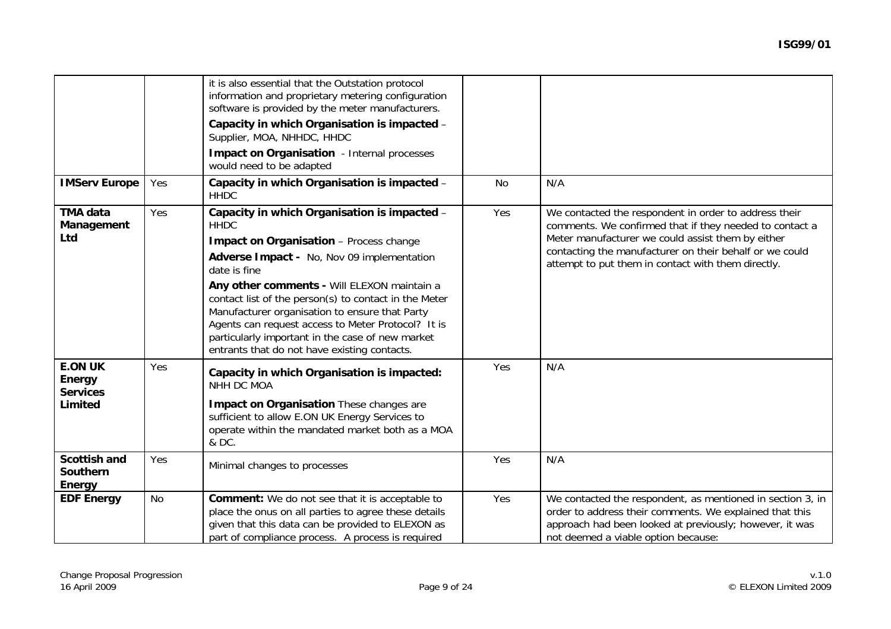|                                                               |     | it is also essential that the Outstation protocol<br>information and proprietary metering configuration<br>software is provided by the meter manufacturers.<br>Capacity in which Organisation is impacted -<br>Supplier, MOA, NHHDC, HHDC<br><b>Impact on Organisation</b> - Internal processes                                                                                                                                                                                          |     |                                                                                                                                                                                                                                                                                        |
|---------------------------------------------------------------|-----|------------------------------------------------------------------------------------------------------------------------------------------------------------------------------------------------------------------------------------------------------------------------------------------------------------------------------------------------------------------------------------------------------------------------------------------------------------------------------------------|-----|----------------------------------------------------------------------------------------------------------------------------------------------------------------------------------------------------------------------------------------------------------------------------------------|
|                                                               |     | would need to be adapted                                                                                                                                                                                                                                                                                                                                                                                                                                                                 |     |                                                                                                                                                                                                                                                                                        |
| <b>IMServ Europe</b>                                          | Yes | Capacity in which Organisation is impacted -<br><b>HHDC</b>                                                                                                                                                                                                                                                                                                                                                                                                                              | No  | N/A                                                                                                                                                                                                                                                                                    |
| TMA data<br>Management<br>Ltd                                 | Yes | Capacity in which Organisation is impacted -<br><b>HHDC</b><br>Impact on Organisation - Process change<br>Adverse Impact - No, Nov 09 implementation<br>date is fine<br>Any other comments - Will ELEXON maintain a<br>contact list of the person(s) to contact in the Meter<br>Manufacturer organisation to ensure that Party<br>Agents can request access to Meter Protocol? It is<br>particularly important in the case of new market<br>entrants that do not have existing contacts. | Yes | We contacted the respondent in order to address their<br>comments. We confirmed that if they needed to contact a<br>Meter manufacturer we could assist them by either<br>contacting the manufacturer on their behalf or we could<br>attempt to put them in contact with them directly. |
| <b>E.ON UK</b><br><b>Energy</b><br><b>Services</b><br>Limited | Yes | Capacity in which Organisation is impacted:<br>NHH DC MOA<br>Impact on Organisation These changes are<br>sufficient to allow E.ON UK Energy Services to<br>operate within the mandated market both as a MOA<br>& DC.                                                                                                                                                                                                                                                                     | Yes | N/A                                                                                                                                                                                                                                                                                    |
| <b>Scottish and</b><br><b>Southern</b><br>Energy              | Yes | Minimal changes to processes                                                                                                                                                                                                                                                                                                                                                                                                                                                             | Yes | N/A                                                                                                                                                                                                                                                                                    |
| <b>EDF Energy</b>                                             | No  | <b>Comment:</b> We do not see that it is acceptable to<br>place the onus on all parties to agree these details<br>given that this data can be provided to ELEXON as<br>part of compliance process. A process is required                                                                                                                                                                                                                                                                 | Yes | We contacted the respondent, as mentioned in section 3, in<br>order to address their comments. We explained that this<br>approach had been looked at previously; however, it was<br>not deemed a viable option because:                                                                |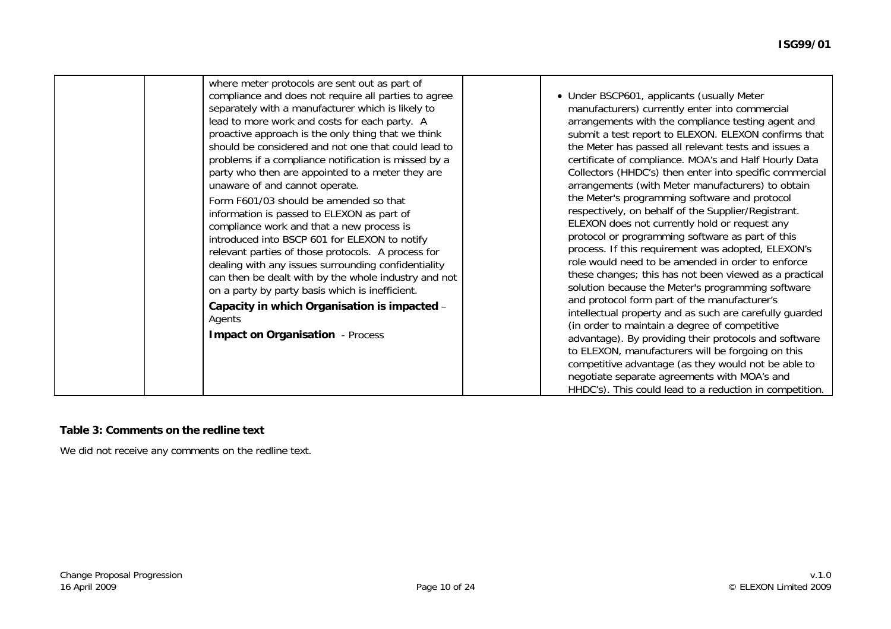#### **Table 3: Comments on the redline text**

We did not receive any comments on the redline text.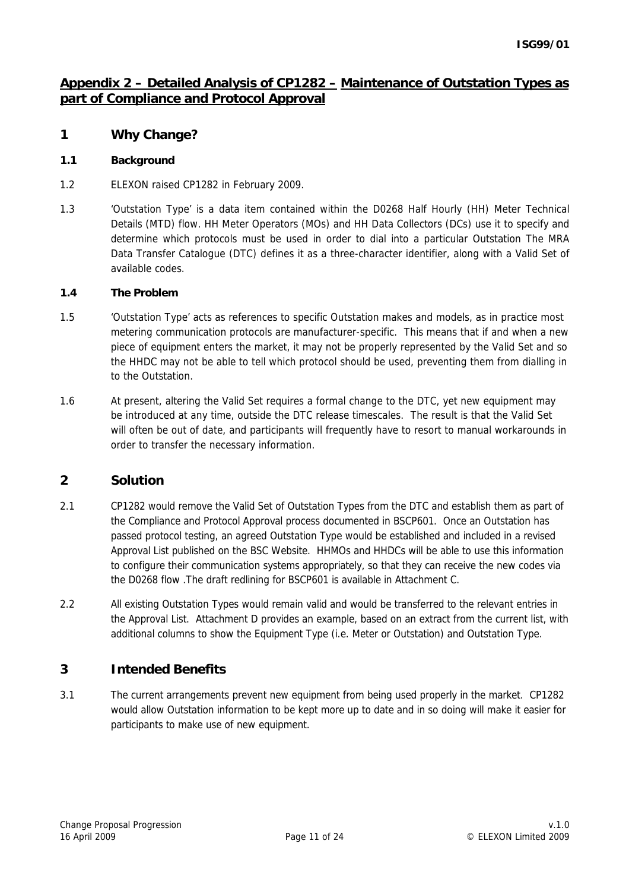## **Appendix 2 – Detailed Analysis of CP1282 – Maintenance of Outstation Types as part of Compliance and Protocol Approval**

## **1 Why Change?**

#### **1.1 Background**

- 1.2 ELEXON raised CP1282 in February 2009.
- 1.3 'Outstation Type' is a data item contained within the D0268 Half Hourly (HH) Meter Technical Details (MTD) flow. HH Meter Operators (MOs) and HH Data Collectors (DCs) use it to specify and determine which protocols must be used in order to dial into a particular Outstation The MRA Data Transfer Catalogue (DTC) defines it as a three-character identifier, along with a Valid Set of available codes.

#### **1.4 The Problem**

- 1.5 'Outstation Type' acts as references to specific Outstation makes and models, as in practice most metering communication protocols are manufacturer-specific. This means that if and when a new piece of equipment enters the market, it may not be properly represented by the Valid Set and so the HHDC may not be able to tell which protocol should be used, preventing them from dialling in to the Outstation.
- 1.6 At present, altering the Valid Set requires a formal change to the DTC, yet new equipment may be introduced at any time, outside the DTC release timescales. The result is that the Valid Set will often be out of date, and participants will frequently have to resort to manual workarounds in order to transfer the necessary information.

## **2 Solution**

- 2.1 CP1282 would remove the Valid Set of Outstation Types from the DTC and establish them as part of the Compliance and Protocol Approval process documented in BSCP601. Once an Outstation has passed protocol testing, an agreed Outstation Type would be established and included in a revised Approval List published on the BSC Website. HHMOs and HHDCs will be able to use this information to configure their communication systems appropriately, so that they can receive the new codes via the D0268 flow .The draft redlining for BSCP601 is available in Attachment C.
- 2.2 All existing Outstation Types would remain valid and would be transferred to the relevant entries in the Approval List. Attachment D provides an example, based on an extract from the current list, with additional columns to show the Equipment Type (i.e. Meter or Outstation) and Outstation Type.

## **3 Intended Benefits**

3.1 The current arrangements prevent new equipment from being used properly in the market. CP1282 would allow Outstation information to be kept more up to date and in so doing will make it easier for participants to make use of new equipment.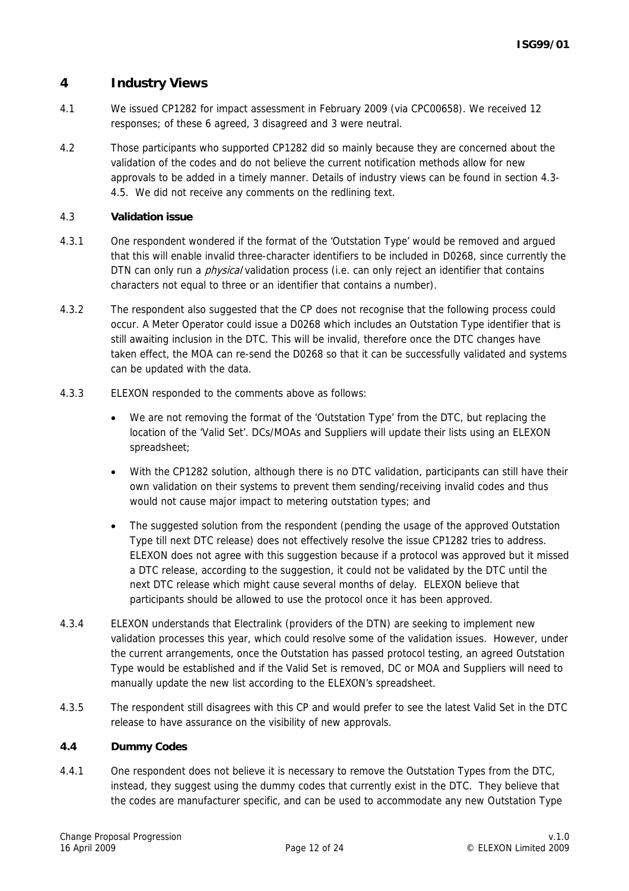## **4 Industry Views**

- 4.1 We issued CP1282 for impact assessment in February 2009 (via CPC00658). We received 12 responses; of these 6 agreed, 3 disagreed and 3 were neutral.
- 4.2 Those participants who supported CP1282 did so mainly because they are concerned about the validation of the codes and do not believe the current notification methods allow for new approvals to be added in a timely manner. Details of industry views can be found in section 4.3- 4.5. We did not receive any comments on the redlining text.

#### 4.3 **Validation issue**

- 4.3.1 One respondent wondered if the format of the 'Outstation Type' would be removed and argued that this will enable invalid three-character identifiers to be included in D0268, since currently the DTN can only run a *physical* validation process (i.e. can only reject an identifier that contains characters not equal to three or an identifier that contains a number).
- 4.3.2 The respondent also suggested that the CP does not recognise that the following process could occur. A Meter Operator could issue a D0268 which includes an Outstation Type identifier that is still awaiting inclusion in the DTC. This will be invalid, therefore once the DTC changes have taken effect, the MOA can re-send the D0268 so that it can be successfully validated and systems can be updated with the data.
- 4.3.3 ELEXON responded to the comments above as follows:
	- We are not removing the format of the 'Outstation Type' from the DTC, but replacing the location of the 'Valid Set'. DCs/MOAs and Suppliers will update their lists using an ELEXON spreadsheet;
	- With the CP1282 solution, although there is no DTC validation, participants can still have their own validation on their systems to prevent them sending/receiving invalid codes and thus would not cause major impact to metering outstation types; and
	- The suggested solution from the respondent (pending the usage of the approved Outstation Type till next DTC release) does not effectively resolve the issue CP1282 tries to address. ELEXON does not agree with this suggestion because if a protocol was approved but it missed a DTC release, according to the suggestion, it could not be validated by the DTC until the next DTC release which might cause several months of delay. ELEXON believe that participants should be allowed to use the protocol once it has been approved.
- 4.3.4 ELEXON understands that Electralink (providers of the DTN) are seeking to implement new validation processes this year, which could resolve some of the validation issues. However, under the current arrangements, once the Outstation has passed protocol testing, an agreed Outstation Type would be established and if the Valid Set is removed, DC or MOA and Suppliers will need to manually update the new list according to the ELEXON's spreadsheet.
- 4.3.5 The respondent still disagrees with this CP and would prefer to see the latest Valid Set in the DTC release to have assurance on the visibility of new approvals.

#### **4.4 Dummy Codes**

4.4.1 One respondent does not believe it is necessary to remove the Outstation Types from the DTC, instead, they suggest using the dummy codes that currently exist in the DTC. They believe that the codes are manufacturer specific, and can be used to accommodate any new Outstation Type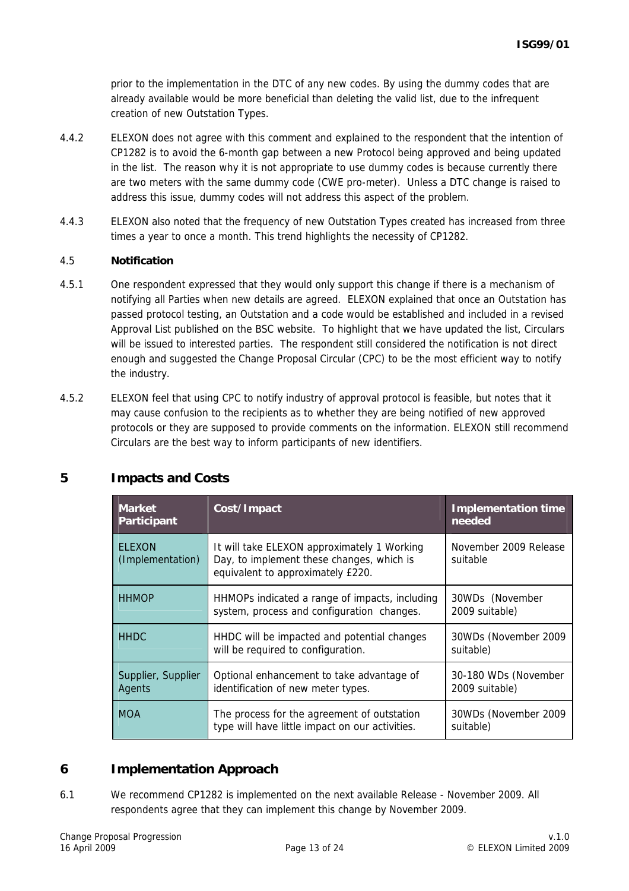prior to the implementation in the DTC of any new codes. By using the dummy codes that are already available would be more beneficial than deleting the valid list, due to the infrequent creation of new Outstation Types.

- 4.4.2 ELEXON does not agree with this comment and explained to the respondent that the intention of CP1282 is to avoid the 6-month gap between a new Protocol being approved and being updated in the list. The reason why it is not appropriate to use dummy codes is because currently there are two meters with the same dummy code (CWE pro-meter). Unless a DTC change is raised to address this issue, dummy codes will not address this aspect of the problem.
- 4.4.3 ELEXON also noted that the frequency of new Outstation Types created has increased from three times a year to once a month. This trend highlights the necessity of CP1282.

#### 4.5 **Notification**

- 4.5.1 One respondent expressed that they would only support this change if there is a mechanism of notifying all Parties when new details are agreed. ELEXON explained that once an Outstation has passed protocol testing, an Outstation and a code would be established and included in a revised Approval List published on the BSC website. To highlight that we have updated the list, Circulars will be issued to interested parties. The respondent still considered the notification is not direct enough and suggested the Change Proposal Circular (CPC) to be the most efficient way to notify the industry.
- 4.5.2 ELEXON feel that using CPC to notify industry of approval protocol is feasible, but notes that it may cause confusion to the recipients as to whether they are being notified of new approved protocols or they are supposed to provide comments on the information. ELEXON still recommend Circulars are the best way to inform participants of new identifiers.

| <b>Market</b><br><b>Participant</b> | Cost/Impact                                                                                                                   | <b>Implementation time</b><br>needed   |
|-------------------------------------|-------------------------------------------------------------------------------------------------------------------------------|----------------------------------------|
| <b>ELEXON</b><br>(Implementation)   | It will take ELEXON approximately 1 Working<br>Day, to implement these changes, which is<br>equivalent to approximately £220. | November 2009 Release<br>suitable      |
| <b>HHMOP</b>                        | HHMOPs indicated a range of impacts, including<br>system, process and configuration changes.                                  | 30WDs (November<br>2009 suitable)      |
| <b>HHDC</b>                         | HHDC will be impacted and potential changes<br>will be required to configuration.                                             | 30WDs (November 2009)<br>suitable)     |
| Supplier, Supplier<br>Agents        | Optional enhancement to take advantage of<br>identification of new meter types.                                               | 30-180 WDs (November<br>2009 suitable) |
| <b>MOA</b>                          | The process for the agreement of outstation<br>type will have little impact on our activities.                                | 30WDs (November 2009)<br>suitable)     |

## **5 Impacts and Costs**

## **6 Implementation Approach**

6.1 We recommend CP1282 is implemented on the next available Release - November 2009. All respondents agree that they can implement this change by November 2009.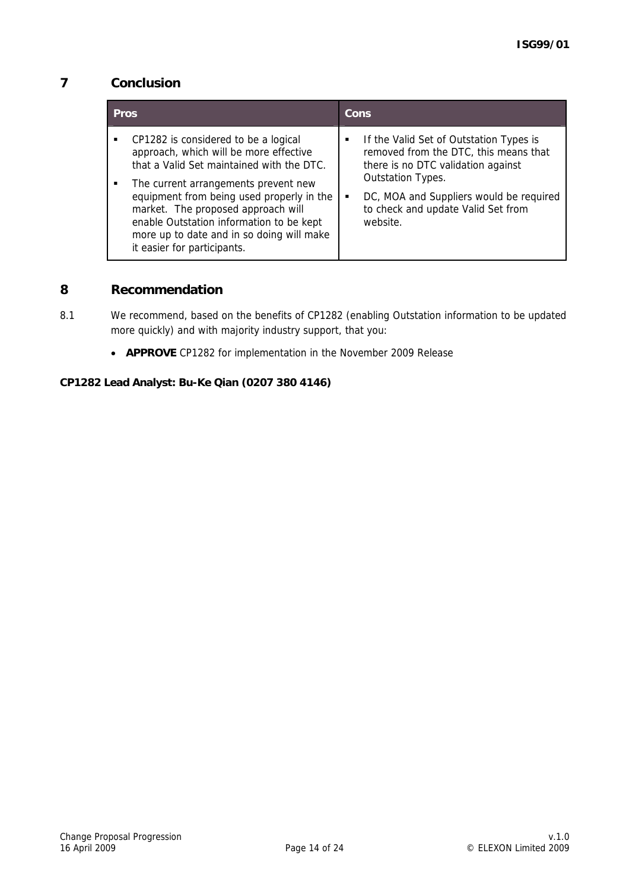## **7 Conclusion**

| <b>Pros</b>                                                                                                                                                                                                                                                                                                                                                                    | Cons                                                                                                                                                                                                                                          |
|--------------------------------------------------------------------------------------------------------------------------------------------------------------------------------------------------------------------------------------------------------------------------------------------------------------------------------------------------------------------------------|-----------------------------------------------------------------------------------------------------------------------------------------------------------------------------------------------------------------------------------------------|
| CP1282 is considered to be a logical<br>approach, which will be more effective<br>that a Valid Set maintained with the DTC.<br>The current arrangements prevent new<br>equipment from being used properly in the<br>market. The proposed approach will<br>enable Outstation information to be kept<br>more up to date and in so doing will make<br>it easier for participants. | If the Valid Set of Outstation Types is<br>٠<br>removed from the DTC, this means that<br>there is no DTC validation against<br>Outstation Types.<br>DC, MOA and Suppliers would be required<br>to check and update Valid Set from<br>website. |

## **8 Recommendation**

• **APPROVE** CP1282 for implementation in the November 2009 Release

#### **CP1282 Lead Analyst: Bu-Ke Qian (0207 380 4146)**

<sup>8.1</sup> We recommend, based on the benefits of CP1282 (enabling Outstation information to be updated more quickly) and with majority industry support, that you: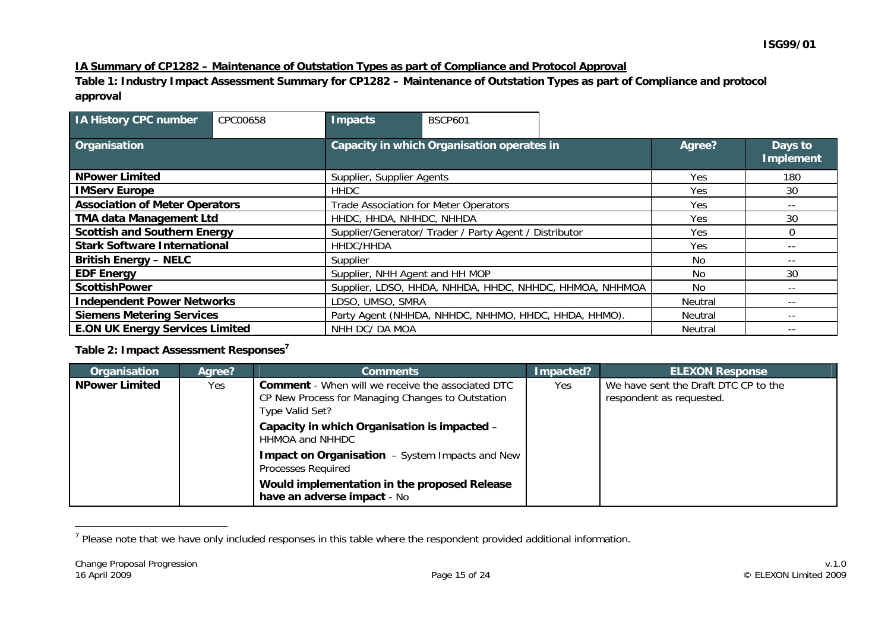#### **IA Summary of CP1282 – Maintenance of Outstation Types as part of Compliance and Protocol Approval**

**Table 1: Industry Impact Assessment Summary for CP1282 – Maintenance of Outstation Types as part of Compliance and protocol approval** 

| <b>IA History CPC number</b>                                                             | CPC00658                                                | <b>Impacts</b>                                         | <b>BSCP601</b> |         |                             |          |
|------------------------------------------------------------------------------------------|---------------------------------------------------------|--------------------------------------------------------|----------------|---------|-----------------------------|----------|
| Organisation                                                                             |                                                         | Capacity in which Organisation operates in             |                | Agree?  | Days to<br><b>Implement</b> |          |
| <b>NPower Limited</b>                                                                    |                                                         | Supplier, Supplier Agents                              |                |         | Yes.                        | 180      |
| <b>IMServ Europe</b>                                                                     |                                                         | <b>HHDC</b>                                            |                |         | Yes                         | 30       |
| <b>Association of Meter Operators</b>                                                    |                                                         | Trade Association for Meter Operators                  |                |         | Yes                         | $- -$    |
| <b>TMA data Management Ltd</b>                                                           |                                                         | HHDC, HHDA, NHHDC, NHHDA                               |                |         | Yes                         | 30       |
| <b>Scottish and Southern Energy</b>                                                      |                                                         | Supplier/Generator/ Trader / Party Agent / Distributor |                |         | Yes                         | $\Omega$ |
| <b>Stark Software International</b>                                                      |                                                         | HHDC/HHDA                                              |                |         | Yes.                        | --       |
| <b>British Energy - NELC</b>                                                             |                                                         | Supplier                                               |                |         | No.                         | $- -$    |
| <b>EDF Energy</b>                                                                        |                                                         | Supplier, NHH Agent and HH MOP                         |                | No.     | 30                          |          |
| <b>ScottishPower</b>                                                                     | Supplier, LDSO, HHDA, NHHDA, HHDC, NHHDC, HHMOA, NHHMOA |                                                        | No.            | $- -$   |                             |          |
| <b>Independent Power Networks</b>                                                        |                                                         | LDSO, UMSO, SMRA                                       |                |         | Neutral                     | --       |
| <b>Siemens Metering Services</b><br>Party Agent (NHHDA, NHHDC, NHHMO, HHDC, HHDA, HHMO). |                                                         |                                                        | Neutral        | $- -$   |                             |          |
| <b>E.ON UK Energy Services Limited</b>                                                   |                                                         | NHH DC/ DA MOA                                         |                | Neutral | $- -$                       |          |

#### **Table 2: Impact Assessment Responses<sup>7</sup>**

| Organisation          | Agree? | <b>Comments</b>                                                                                                                  | Impacted? | <b>ELEXON Response</b>                                           |
|-----------------------|--------|----------------------------------------------------------------------------------------------------------------------------------|-----------|------------------------------------------------------------------|
| <b>NPower Limited</b> | Yes    | <b>Comment</b> - When will we receive the associated DTC<br>CP New Process for Managing Changes to Outstation<br>Type Valid Set? | Yes       | We have sent the Draft DTC CP to the<br>respondent as requested. |
|                       |        | Capacity in which Organisation is impacted -<br>HHMOA and NHHDC                                                                  |           |                                                                  |
|                       |        | <b>Impact on Organisation</b> – System Impacts and New<br>Processes Required                                                     |           |                                                                  |
|                       |        | Would implementation in the proposed Release<br>have an adverse impact - No                                                      |           |                                                                  |

<sup>&</sup>lt;sup>7</sup> Please note that we have only included responses in this table where the respondent provided additional information.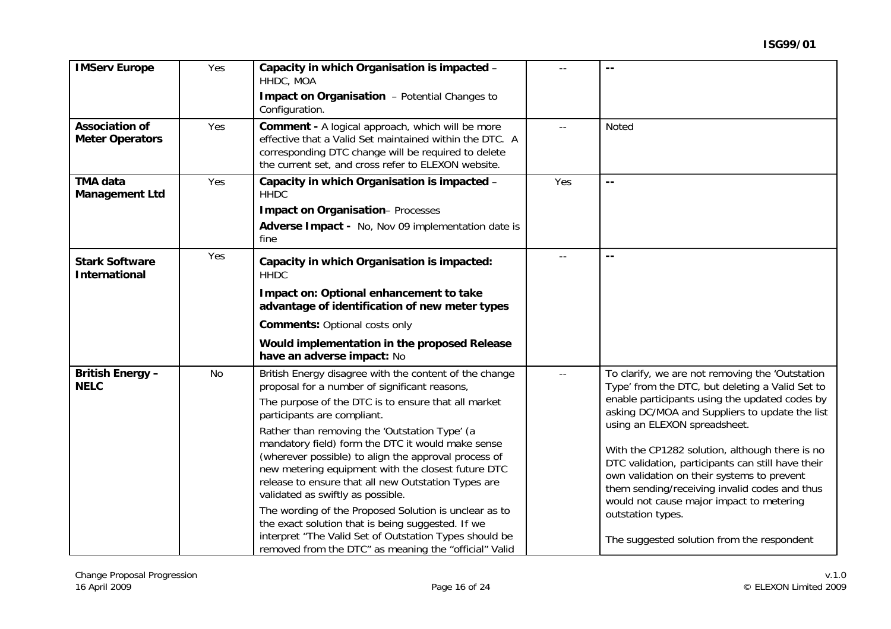| <b>IMServ Europe</b>                            | Yes | Capacity in which Organisation is impacted -<br>HHDC, MOA                                                                                                                                                                                                                                                                                                             | $-1$  | $\sim$ $\sim$                                                                                                                                                                                                                                                                  |
|-------------------------------------------------|-----|-----------------------------------------------------------------------------------------------------------------------------------------------------------------------------------------------------------------------------------------------------------------------------------------------------------------------------------------------------------------------|-------|--------------------------------------------------------------------------------------------------------------------------------------------------------------------------------------------------------------------------------------------------------------------------------|
|                                                 |     | Impact on Organisation - Potential Changes to<br>Configuration.                                                                                                                                                                                                                                                                                                       |       |                                                                                                                                                                                                                                                                                |
| <b>Association of</b><br><b>Meter Operators</b> | Yes | <b>Comment - A logical approach, which will be more</b><br>effective that a Valid Set maintained within the DTC. A<br>corresponding DTC change will be required to delete<br>the current set, and cross refer to ELEXON website.                                                                                                                                      |       | <b>Noted</b>                                                                                                                                                                                                                                                                   |
| <b>TMA data</b><br><b>Management Ltd</b>        | Yes | Capacity in which Organisation is impacted -<br><b>HHDC</b>                                                                                                                                                                                                                                                                                                           | Yes   | $\sim$ $\sim$                                                                                                                                                                                                                                                                  |
|                                                 |     | <b>Impact on Organisation-Processes</b>                                                                                                                                                                                                                                                                                                                               |       |                                                                                                                                                                                                                                                                                |
|                                                 |     | Adverse Impact - No, Nov 09 implementation date is<br>fine                                                                                                                                                                                                                                                                                                            |       |                                                                                                                                                                                                                                                                                |
| <b>Stark Software</b><br><b>International</b>   | Yes | Capacity in which Organisation is impacted:<br><b>HHDC</b>                                                                                                                                                                                                                                                                                                            |       | $\sim$ $\sim$                                                                                                                                                                                                                                                                  |
|                                                 |     | Impact on: Optional enhancement to take<br>advantage of identification of new meter types                                                                                                                                                                                                                                                                             |       |                                                                                                                                                                                                                                                                                |
|                                                 |     | <b>Comments: Optional costs only</b>                                                                                                                                                                                                                                                                                                                                  |       |                                                                                                                                                                                                                                                                                |
|                                                 |     | Would implementation in the proposed Release<br>have an adverse impact: No                                                                                                                                                                                                                                                                                            |       |                                                                                                                                                                                                                                                                                |
| <b>British Energy -</b><br><b>NELC</b>          | No  | British Energy disagree with the content of the change<br>proposal for a number of significant reasons,                                                                                                                                                                                                                                                               | $- -$ | To clarify, we are not removing the 'Outstation'<br>Type' from the DTC, but deleting a Valid Set to                                                                                                                                                                            |
|                                                 |     | The purpose of the DTC is to ensure that all market<br>participants are compliant.                                                                                                                                                                                                                                                                                    |       | enable participants using the updated codes by<br>asking DC/MOA and Suppliers to update the list                                                                                                                                                                               |
|                                                 |     | Rather than removing the 'Outstation Type' (a<br>mandatory field) form the DTC it would make sense<br>(wherever possible) to align the approval process of<br>new metering equipment with the closest future DTC<br>release to ensure that all new Outstation Types are<br>validated as swiftly as possible.<br>The wording of the Proposed Solution is unclear as to |       | using an ELEXON spreadsheet.<br>With the CP1282 solution, although there is no<br>DTC validation, participants can still have their<br>own validation on their systems to prevent<br>them sending/receiving invalid codes and thus<br>would not cause major impact to metering |
|                                                 |     | the exact solution that is being suggested. If we<br>interpret "The Valid Set of Outstation Types should be<br>removed from the DTC" as meaning the "official" Valid                                                                                                                                                                                                  |       | outstation types.<br>The suggested solution from the respondent                                                                                                                                                                                                                |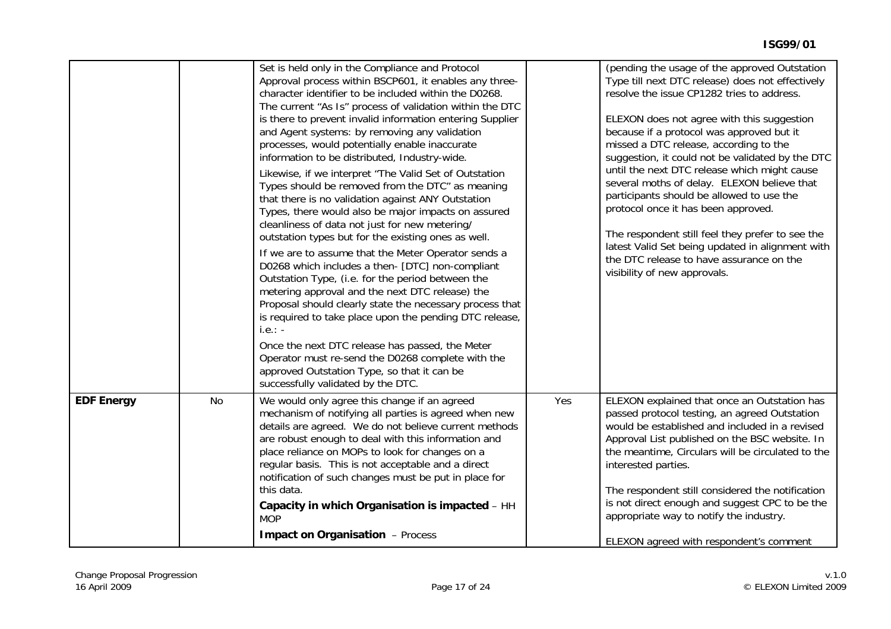|                   |    | Set is held only in the Compliance and Protocol<br>Approval process within BSCP601, it enables any three-<br>character identifier to be included within the D0268.<br>The current "As Is" process of validation within the DTC<br>is there to prevent invalid information entering Supplier<br>and Agent systems: by removing any validation<br>processes, would potentially enable inaccurate<br>information to be distributed, Industry-wide.<br>Likewise, if we interpret "The Valid Set of Outstation<br>Types should be removed from the DTC" as meaning<br>that there is no validation against ANY Outstation<br>Types, there would also be major impacts on assured<br>cleanliness of data not just for new metering/<br>outstation types but for the existing ones as well.<br>If we are to assume that the Meter Operator sends a<br>D0268 which includes a then- [DTC] non-compliant<br>Outstation Type, (i.e. for the period between the<br>metering approval and the next DTC release) the<br>Proposal should clearly state the necessary process that<br>is required to take place upon the pending DTC release,<br>$i.e.: -$<br>Once the next DTC release has passed, the Meter<br>Operator must re-send the D0268 complete with the<br>approved Outstation Type, so that it can be<br>successfully validated by the DTC. |     | (pending the usage of the approved Outstation<br>Type till next DTC release) does not effectively<br>resolve the issue CP1282 tries to address.<br>ELEXON does not agree with this suggestion<br>because if a protocol was approved but it<br>missed a DTC release, according to the<br>suggestion, it could not be validated by the DTC<br>until the next DTC release which might cause<br>several moths of delay. ELEXON believe that<br>participants should be allowed to use the<br>protocol once it has been approved.<br>The respondent still feel they prefer to see the<br>latest Valid Set being updated in alignment with<br>the DTC release to have assurance on the<br>visibility of new approvals. |
|-------------------|----|-----------------------------------------------------------------------------------------------------------------------------------------------------------------------------------------------------------------------------------------------------------------------------------------------------------------------------------------------------------------------------------------------------------------------------------------------------------------------------------------------------------------------------------------------------------------------------------------------------------------------------------------------------------------------------------------------------------------------------------------------------------------------------------------------------------------------------------------------------------------------------------------------------------------------------------------------------------------------------------------------------------------------------------------------------------------------------------------------------------------------------------------------------------------------------------------------------------------------------------------------------------------------------------------------------------------------------------------|-----|-----------------------------------------------------------------------------------------------------------------------------------------------------------------------------------------------------------------------------------------------------------------------------------------------------------------------------------------------------------------------------------------------------------------------------------------------------------------------------------------------------------------------------------------------------------------------------------------------------------------------------------------------------------------------------------------------------------------|
| <b>EDF Energy</b> | No | We would only agree this change if an agreed<br>mechanism of notifying all parties is agreed when new<br>details are agreed. We do not believe current methods<br>are robust enough to deal with this information and<br>place reliance on MOPs to look for changes on a<br>regular basis. This is not acceptable and a direct<br>notification of such changes must be put in place for<br>this data.<br>Capacity in which Organisation is impacted - HH<br><b>MOP</b><br><b>Impact on Organisation</b> - Process                                                                                                                                                                                                                                                                                                                                                                                                                                                                                                                                                                                                                                                                                                                                                                                                                       | Yes | ELEXON explained that once an Outstation has<br>passed protocol testing, an agreed Outstation<br>would be established and included in a revised<br>Approval List published on the BSC website. In<br>the meantime, Circulars will be circulated to the<br>interested parties.<br>The respondent still considered the notification<br>is not direct enough and suggest CPC to be the<br>appropriate way to notify the industry.<br>ELEXON agreed with respondent's comment                                                                                                                                                                                                                                       |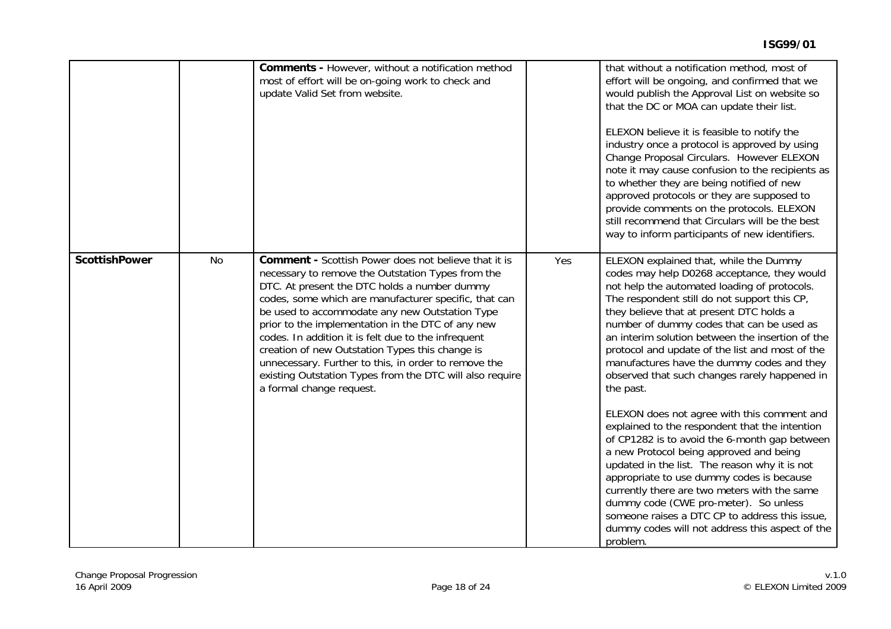|                      |           | Comments - However, without a notification method<br>most of effort will be on-going work to check and<br>update Valid Set from website.                                                                                                                                                                                                                                                                                                                                                                                                                                                   |     | that without a notification method, most of<br>effort will be ongoing, and confirmed that we<br>would publish the Approval List on website so<br>that the DC or MOA can update their list.<br>ELEXON believe it is feasible to notify the<br>industry once a protocol is approved by using<br>Change Proposal Circulars. However ELEXON<br>note it may cause confusion to the recipients as<br>to whether they are being notified of new<br>approved protocols or they are supposed to<br>provide comments on the protocols. ELEXON<br>still recommend that Circulars will be the best<br>way to inform participants of new identifiers.                                                                                                                                                                                                                                                                                                                                                               |
|----------------------|-----------|--------------------------------------------------------------------------------------------------------------------------------------------------------------------------------------------------------------------------------------------------------------------------------------------------------------------------------------------------------------------------------------------------------------------------------------------------------------------------------------------------------------------------------------------------------------------------------------------|-----|--------------------------------------------------------------------------------------------------------------------------------------------------------------------------------------------------------------------------------------------------------------------------------------------------------------------------------------------------------------------------------------------------------------------------------------------------------------------------------------------------------------------------------------------------------------------------------------------------------------------------------------------------------------------------------------------------------------------------------------------------------------------------------------------------------------------------------------------------------------------------------------------------------------------------------------------------------------------------------------------------------|
| <b>ScottishPower</b> | <b>No</b> | <b>Comment - Scottish Power does not believe that it is</b><br>necessary to remove the Outstation Types from the<br>DTC. At present the DTC holds a number dummy<br>codes, some which are manufacturer specific, that can<br>be used to accommodate any new Outstation Type<br>prior to the implementation in the DTC of any new<br>codes. In addition it is felt due to the infrequent<br>creation of new Outstation Types this change is<br>unnecessary. Further to this, in order to remove the<br>existing Outstation Types from the DTC will also require<br>a formal change request. | Yes | ELEXON explained that, while the Dummy<br>codes may help D0268 acceptance, they would<br>not help the automated loading of protocols.<br>The respondent still do not support this CP,<br>they believe that at present DTC holds a<br>number of dummy codes that can be used as<br>an interim solution between the insertion of the<br>protocol and update of the list and most of the<br>manufactures have the dummy codes and they<br>observed that such changes rarely happened in<br>the past.<br>ELEXON does not agree with this comment and<br>explained to the respondent that the intention<br>of CP1282 is to avoid the 6-month gap between<br>a new Protocol being approved and being<br>updated in the list. The reason why it is not<br>appropriate to use dummy codes is because<br>currently there are two meters with the same<br>dummy code (CWE pro-meter). So unless<br>someone raises a DTC CP to address this issue,<br>dummy codes will not address this aspect of the<br>problem. |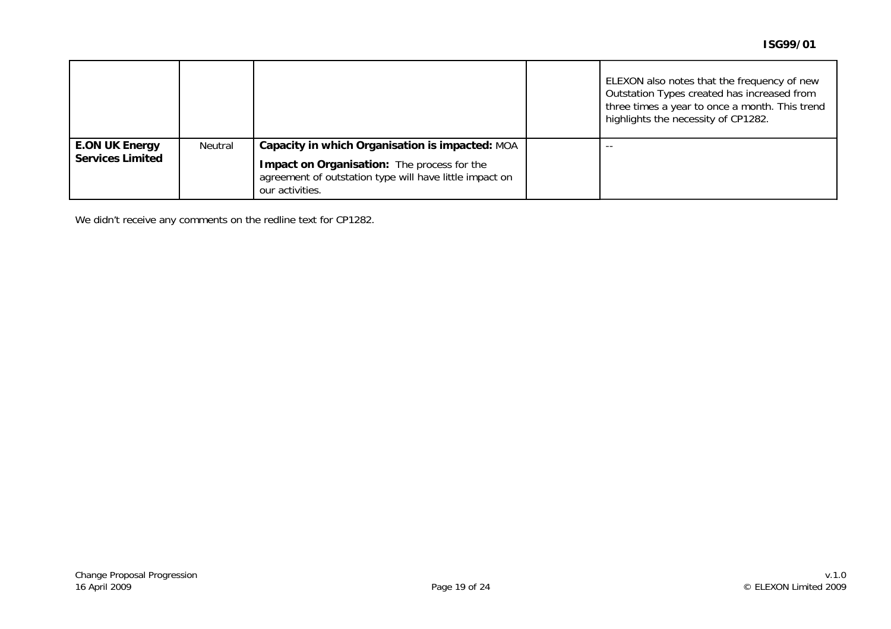|                         |         |                                                                                                                           | ELEXON also notes that the frequency of new<br>Outstation Types created has increased from<br>three times a year to once a month. This trend<br>highlights the necessity of CP1282. |
|-------------------------|---------|---------------------------------------------------------------------------------------------------------------------------|-------------------------------------------------------------------------------------------------------------------------------------------------------------------------------------|
| <b>E.ON UK Energy</b>   | Neutral | Capacity in which Organisation is impacted: MOA                                                                           | $- -$                                                                                                                                                                               |
| <b>Services Limited</b> |         | Impact on Organisation: The process for the<br>agreement of outstation type will have little impact on<br>our activities. |                                                                                                                                                                                     |

We didn't receive any comments on the redline text for CP1282.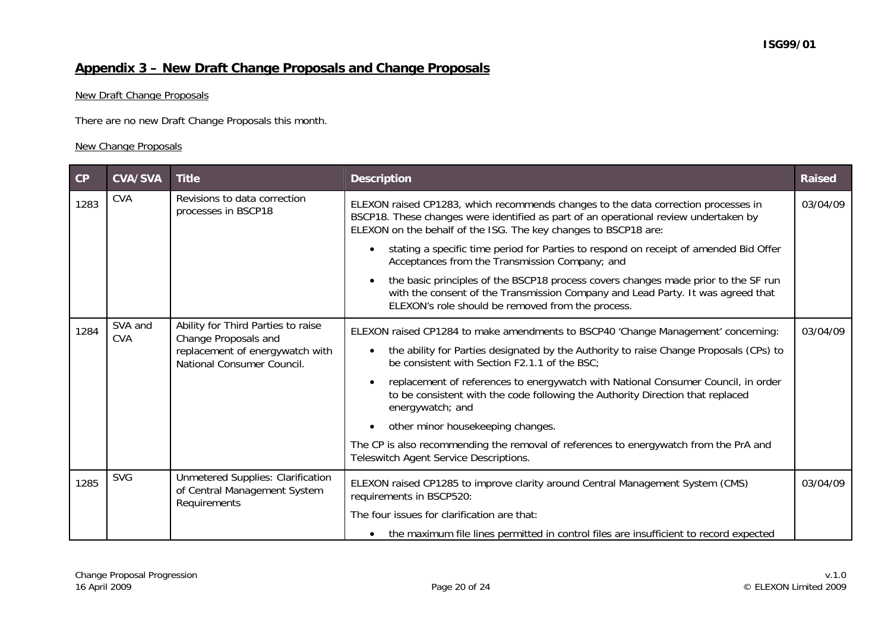# **Appendix 3 – New Draft Change Proposals and Change Proposals**

## New Draft Change Proposals

There are no new Draft Change Proposals this month.

#### New Change Proposals

| CP   | <b>CVA/SVA</b>        | <b>Title</b>                                                                             | <b>Description</b>                                                                                                                                                                                                                            | <b>Raised</b> |
|------|-----------------------|------------------------------------------------------------------------------------------|-----------------------------------------------------------------------------------------------------------------------------------------------------------------------------------------------------------------------------------------------|---------------|
| 1283 | <b>CVA</b>            | Revisions to data correction<br>processes in BSCP18                                      | ELEXON raised CP1283, which recommends changes to the data correction processes in<br>BSCP18. These changes were identified as part of an operational review undertaken by<br>ELEXON on the behalf of the ISG. The key changes to BSCP18 are: | 03/04/09      |
|      |                       |                                                                                          | stating a specific time period for Parties to respond on receipt of amended Bid Offer<br>Acceptances from the Transmission Company; and                                                                                                       |               |
|      |                       |                                                                                          | the basic principles of the BSCP18 process covers changes made prior to the SF run<br>with the consent of the Transmission Company and Lead Party. It was agreed that<br>ELEXON's role should be removed from the process.                    |               |
| 1284 | SVA and<br><b>CVA</b> | Ability for Third Parties to raise<br>Change Proposals and                               | ELEXON raised CP1284 to make amendments to BSCP40 'Change Management' concerning:                                                                                                                                                             | 03/04/09      |
|      |                       | replacement of energywatch with<br>National Consumer Council.                            | the ability for Parties designated by the Authority to raise Change Proposals (CPs) to<br>be consistent with Section F2.1.1 of the BSC;                                                                                                       |               |
|      |                       |                                                                                          | replacement of references to energywatch with National Consumer Council, in order<br>to be consistent with the code following the Authority Direction that replaced<br>energywatch; and                                                       |               |
|      |                       |                                                                                          | other minor housekeeping changes.                                                                                                                                                                                                             |               |
|      |                       |                                                                                          | The CP is also recommending the removal of references to energywatch from the PrA and<br>Teleswitch Agent Service Descriptions.                                                                                                               |               |
| 1285 | <b>SVG</b>            | <b>Unmetered Supplies: Clarification</b><br>of Central Management System<br>Requirements | ELEXON raised CP1285 to improve clarity around Central Management System (CMS)<br>requirements in BSCP520:                                                                                                                                    | 03/04/09      |
|      |                       |                                                                                          | The four issues for clarification are that:                                                                                                                                                                                                   |               |
|      |                       |                                                                                          | the maximum file lines permitted in control files are insufficient to record expected                                                                                                                                                         |               |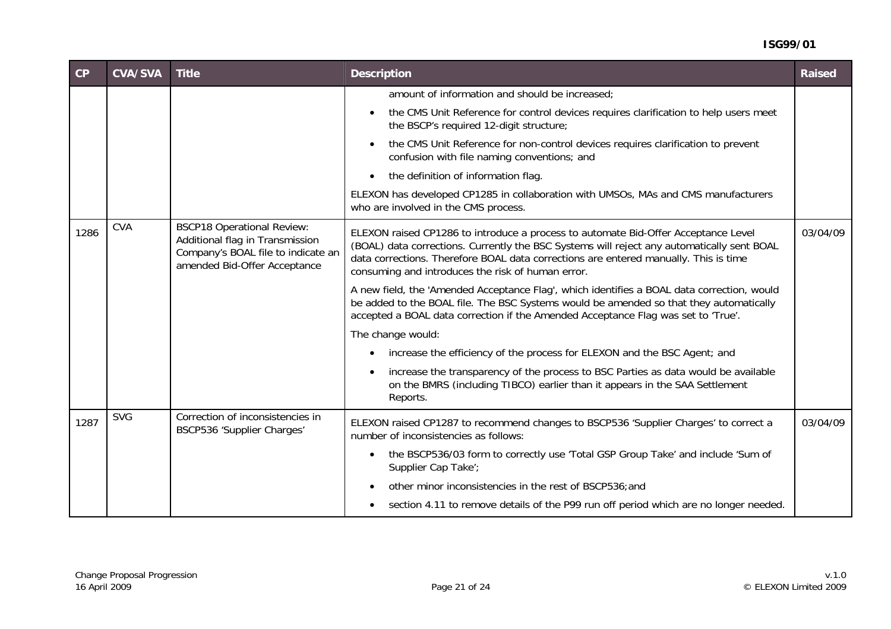#### **ISG99/01**

| CP   | <b>CVA/SVA</b> | <b>Title</b>                                                                                                                               | <b>Description</b>                                                                                                                                                                                                                                                                                                            | <b>Raised</b> |
|------|----------------|--------------------------------------------------------------------------------------------------------------------------------------------|-------------------------------------------------------------------------------------------------------------------------------------------------------------------------------------------------------------------------------------------------------------------------------------------------------------------------------|---------------|
|      |                |                                                                                                                                            | amount of information and should be increased;                                                                                                                                                                                                                                                                                |               |
|      |                |                                                                                                                                            | the CMS Unit Reference for control devices requires clarification to help users meet<br>the BSCP's required 12-digit structure;                                                                                                                                                                                               |               |
|      |                |                                                                                                                                            | the CMS Unit Reference for non-control devices requires clarification to prevent<br>confusion with file naming conventions; and                                                                                                                                                                                               |               |
|      |                |                                                                                                                                            | the definition of information flag.                                                                                                                                                                                                                                                                                           |               |
|      |                |                                                                                                                                            | ELEXON has developed CP1285 in collaboration with UMSOs, MAs and CMS manufacturers<br>who are involved in the CMS process.                                                                                                                                                                                                    |               |
| 1286 | <b>CVA</b>     | <b>BSCP18 Operational Review:</b><br>Additional flag in Transmission<br>Company's BOAL file to indicate an<br>amended Bid-Offer Acceptance | ELEXON raised CP1286 to introduce a process to automate Bid-Offer Acceptance Level<br>(BOAL) data corrections. Currently the BSC Systems will reject any automatically sent BOAL<br>data corrections. Therefore BOAL data corrections are entered manually. This is time<br>consuming and introduces the risk of human error. | 03/04/09      |
|      |                |                                                                                                                                            | A new field, the 'Amended Acceptance Flag', which identifies a BOAL data correction, would<br>be added to the BOAL file. The BSC Systems would be amended so that they automatically<br>accepted a BOAL data correction if the Amended Acceptance Flag was set to 'True'.                                                     |               |
|      |                |                                                                                                                                            | The change would:                                                                                                                                                                                                                                                                                                             |               |
|      |                |                                                                                                                                            | increase the efficiency of the process for ELEXON and the BSC Agent; and                                                                                                                                                                                                                                                      |               |
|      |                |                                                                                                                                            | increase the transparency of the process to BSC Parties as data would be available<br>on the BMRS (including TIBCO) earlier than it appears in the SAA Settlement<br>Reports.                                                                                                                                                 |               |
| 1287 | <b>SVG</b>     | Correction of inconsistencies in<br>BSCP536 'Supplier Charges'                                                                             | ELEXON raised CP1287 to recommend changes to BSCP536 'Supplier Charges' to correct a<br>number of inconsistencies as follows:                                                                                                                                                                                                 | 03/04/09      |
|      |                |                                                                                                                                            | the BSCP536/03 form to correctly use 'Total GSP Group Take' and include 'Sum of<br>$\bullet$<br>Supplier Cap Take';                                                                                                                                                                                                           |               |
|      |                |                                                                                                                                            | other minor inconsistencies in the rest of BSCP536; and                                                                                                                                                                                                                                                                       |               |
|      |                |                                                                                                                                            | section 4.11 to remove details of the P99 run off period which are no longer needed.                                                                                                                                                                                                                                          |               |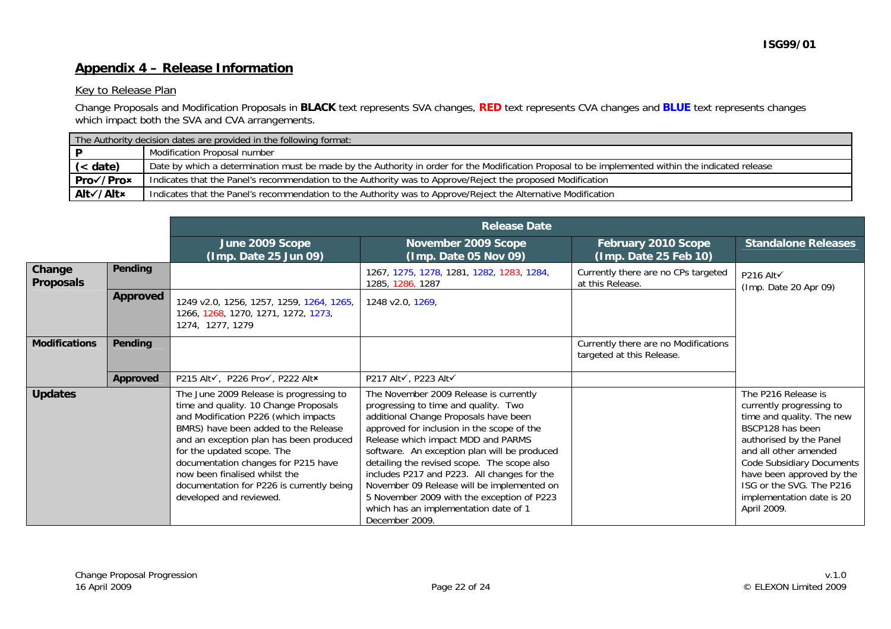## **Appendix 4 – Release Information**

#### Key to Release Plan

Change Proposals and Modification Proposals in **BLACK** text represents SVA changes, **RED** text represents CVA changes and **BLUE** text represents changes which impact both the SVA and CVA arrangements.

|           | The Authority decision dates are provided in the following format:                                                                                |
|-----------|---------------------------------------------------------------------------------------------------------------------------------------------------|
|           | Modification Proposal number                                                                                                                      |
| (< date)  | Date by which a determination must be made by the Authority in order for the Modification Proposal to be implemented within the indicated release |
| Pro√/Pro× | Indicates that the Panel's recommendation to the Authority was to Approve/Reject the proposed Modification                                        |
| Alt√/Alt× | Indicates that the Panel's recommendation to the Authority was to Approve/Reject the Alternative Modification                                     |

|                            |                 |                                                                                                                                                                                                                                                                                                                                                                                           | <b>Release Date</b>                                                                                                                                                                                                                                                                                                                                                                                                                                                                                              |                                                                   |                                                                                                                                                                                                                                                                                        |
|----------------------------|-----------------|-------------------------------------------------------------------------------------------------------------------------------------------------------------------------------------------------------------------------------------------------------------------------------------------------------------------------------------------------------------------------------------------|------------------------------------------------------------------------------------------------------------------------------------------------------------------------------------------------------------------------------------------------------------------------------------------------------------------------------------------------------------------------------------------------------------------------------------------------------------------------------------------------------------------|-------------------------------------------------------------------|----------------------------------------------------------------------------------------------------------------------------------------------------------------------------------------------------------------------------------------------------------------------------------------|
|                            |                 | June 2009 Scope<br>(Imp. Date 25 Jun 09)                                                                                                                                                                                                                                                                                                                                                  | November 2009 Scope<br>(Imp. Date 05 Nov 09)                                                                                                                                                                                                                                                                                                                                                                                                                                                                     | February 2010 Scope<br>(Imp. Date 25 Feb 10)                      | <b>Standalone Releases</b>                                                                                                                                                                                                                                                             |
| Change<br><b>Proposals</b> | Pending         |                                                                                                                                                                                                                                                                                                                                                                                           | 1267, 1275, 1278, 1281, 1282, 1283, 1284,<br>1285, 1286, 1287                                                                                                                                                                                                                                                                                                                                                                                                                                                    | Currently there are no CPs targeted<br>at this Release.           | P216 Alt√<br>(Imp. Date 20 Apr 09)                                                                                                                                                                                                                                                     |
|                            | <b>Approved</b> | 1249 v2.0, 1256, 1257, 1259, 1264, 1265,<br>1266, 1268, 1270, 1271, 1272, 1273,<br>1274, 1277, 1279                                                                                                                                                                                                                                                                                       | 1248 v2.0, 1269,                                                                                                                                                                                                                                                                                                                                                                                                                                                                                                 |                                                                   |                                                                                                                                                                                                                                                                                        |
| <b>Modifications</b>       | <b>Pending</b>  |                                                                                                                                                                                                                                                                                                                                                                                           |                                                                                                                                                                                                                                                                                                                                                                                                                                                                                                                  | Currently there are no Modifications<br>targeted at this Release. |                                                                                                                                                                                                                                                                                        |
|                            | Approved        | P215 Alt√, P226 Pro√, P222 Alt*                                                                                                                                                                                                                                                                                                                                                           | P217 Alt√, P223 Alt√                                                                                                                                                                                                                                                                                                                                                                                                                                                                                             |                                                                   |                                                                                                                                                                                                                                                                                        |
| <b>Updates</b>             |                 | The June 2009 Release is progressing to<br>time and quality. 10 Change Proposals<br>and Modification P226 (which impacts<br>BMRS) have been added to the Release<br>and an exception plan has been produced<br>for the updated scope. The<br>documentation changes for P215 have<br>now been finalised whilst the<br>documentation for P226 is currently being<br>developed and reviewed. | The November 2009 Release is currently<br>progressing to time and quality. Two<br>additional Change Proposals have been<br>approved for inclusion in the scope of the<br>Release which impact MDD and PARMS<br>software. An exception plan will be produced<br>detailing the revised scope. The scope also<br>includes P217 and P223. All changes for the<br>November 09 Release will be implemented on<br>5 November 2009 with the exception of P223<br>which has an implementation date of 1<br>December 2009. |                                                                   | The P216 Release is<br>currently progressing to<br>time and quality. The new<br>BSCP128 has been<br>authorised by the Panel<br>and all other amended<br>Code Subsidiary Documents<br>have been approved by the<br>ISG or the SVG. The P216<br>implementation date is 20<br>April 2009. |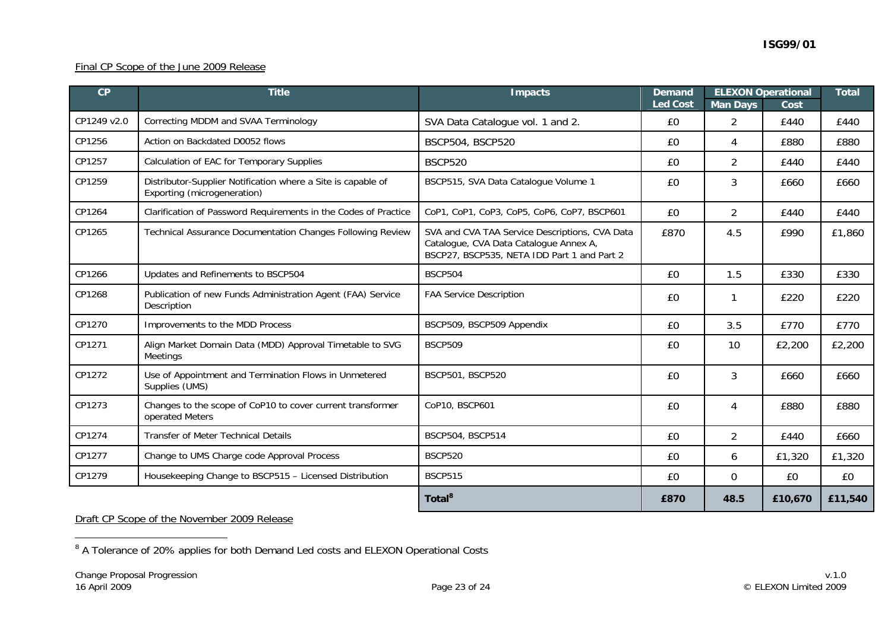#### Final CP Scope of the June 2009 Release

| CP          | <b>Title</b>                                                                                | <b>Impacts</b>                                                                                                                          | <b>Demand</b><br><b>Led Cost</b> | <b>Man Days</b> | <b>ELEXON Operational</b><br>Cost | <b>Total</b> |
|-------------|---------------------------------------------------------------------------------------------|-----------------------------------------------------------------------------------------------------------------------------------------|----------------------------------|-----------------|-----------------------------------|--------------|
| CP1249 v2.0 | Correcting MDDM and SVAA Terminology                                                        | SVA Data Catalogue vol. 1 and 2.                                                                                                        | £0                               | 2               | £440                              | £440         |
| CP1256      | Action on Backdated D0052 flows                                                             | BSCP504, BSCP520                                                                                                                        | £0                               | 4               | £880                              | £880         |
| CP1257      | Calculation of EAC for Temporary Supplies                                                   | <b>BSCP520</b>                                                                                                                          | £0                               | $\overline{2}$  | £440                              | £440         |
| CP1259      | Distributor-Supplier Notification where a Site is capable of<br>Exporting (microgeneration) | BSCP515, SVA Data Catalogue Volume 1                                                                                                    | £0                               | 3               | £660                              | £660         |
| CP1264      | Clarification of Password Requirements in the Codes of Practice                             | CoP1, CoP1, CoP3, CoP5, CoP6, CoP7, BSCP601                                                                                             | £0                               | $\overline{2}$  | £440                              | £440         |
| CP1265      | Technical Assurance Documentation Changes Following Review                                  | SVA and CVA TAA Service Descriptions, CVA Data<br>Catalogue, CVA Data Catalogue Annex A,<br>BSCP27, BSCP535, NETA IDD Part 1 and Part 2 | £870                             | 4.5             | £990                              | £1,860       |
| CP1266      | Updates and Refinements to BSCP504                                                          | <b>BSCP504</b>                                                                                                                          | £0                               | 1.5             | £330                              | £330         |
| CP1268      | Publication of new Funds Administration Agent (FAA) Service<br>Description                  | <b>FAA Service Description</b>                                                                                                          | £0                               |                 | £220                              | £220         |
| CP1270      | Improvements to the MDD Process                                                             | BSCP509, BSCP509 Appendix                                                                                                               | £0                               | 3.5             | £770                              | £770         |
| CP1271      | Align Market Domain Data (MDD) Approval Timetable to SVG<br><b>Meetings</b>                 | <b>BSCP509</b>                                                                                                                          | £0                               | 10              | £2,200                            | £2,200       |
| CP1272      | Use of Appointment and Termination Flows in Unmetered<br>Supplies (UMS)                     | BSCP501, BSCP520                                                                                                                        | £0                               | $\mathbf{3}$    | £660                              | £660         |
| CP1273      | Changes to the scope of CoP10 to cover current transformer<br>operated Meters               | CoP10, BSCP601                                                                                                                          | £0                               | 4               | £880                              | £880         |
| CP1274      | <b>Transfer of Meter Technical Details</b>                                                  | BSCP504, BSCP514                                                                                                                        | £0                               | $\overline{2}$  | £440                              | £660         |
| CP1277      | Change to UMS Charge code Approval Process                                                  | <b>BSCP520</b>                                                                                                                          | £0                               | 6               | £1,320                            | £1,320       |
| CP1279      | Housekeeping Change to BSCP515 - Licensed Distribution                                      | <b>BSCP515</b>                                                                                                                          | £0                               | 0               | £0                                | £0           |
|             |                                                                                             | Total <sup>8</sup>                                                                                                                      | £870                             | 48.5            | £10,670                           | £11,540      |

Draft CP Scope of the November 2009 Release

<sup>&</sup>lt;sup>8</sup> A Tolerance of 20% applies for both Demand Led costs and ELEXON Operational Costs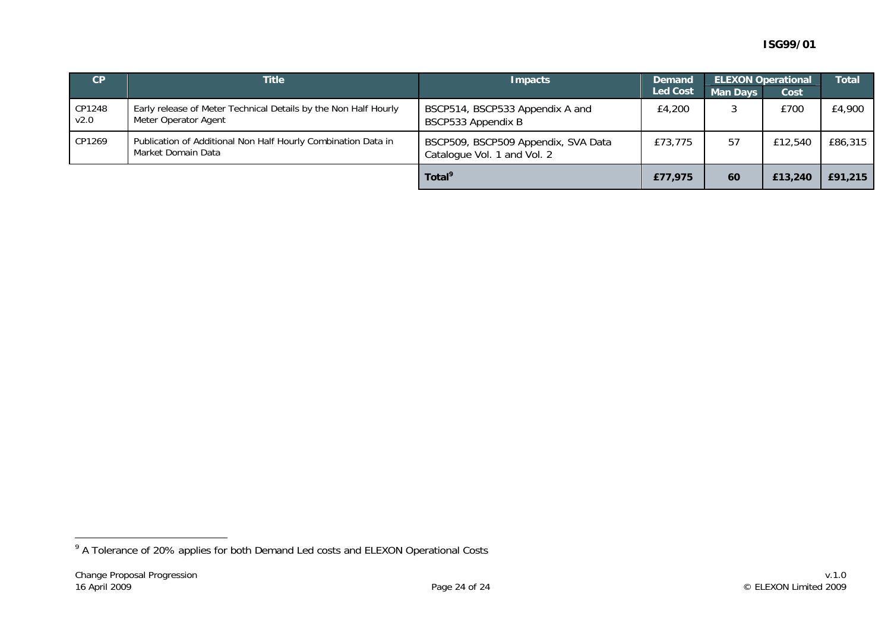| CP             | <b>Title</b>                                                                            | <b>Impacts</b>                                                     | <b>Demand</b>   |                 | <b>ELEXON Operational</b> | <b>Total</b> |
|----------------|-----------------------------------------------------------------------------------------|--------------------------------------------------------------------|-----------------|-----------------|---------------------------|--------------|
|                |                                                                                         |                                                                    | <b>Led Cost</b> | <b>Man Days</b> | Cost                      |              |
| CP1248<br>V2.0 | Early release of Meter Technical Details by the Non Half Hourly<br>Meter Operator Agent | BSCP514, BSCP533 Appendix A and<br>BSCP533 Appendix B              | £4,200          |                 | £700                      | £4,900       |
| CP1269         | Publication of Additional Non Half Hourly Combination Data in<br>Market Domain Data     | BSCP509, BSCP509 Appendix, SVA Data<br>Catalogue Vol. 1 and Vol. 2 | £73,775         | 57              | £12,540                   | £86,315      |
|                |                                                                                         | Total <sup>9</sup>                                                 | £77,975         | 60              | £13,240                   | £91,215      |

<sup>&</sup>lt;sup>9</sup> A Tolerance of 20% applies for both Demand Led costs and ELEXON Operational Costs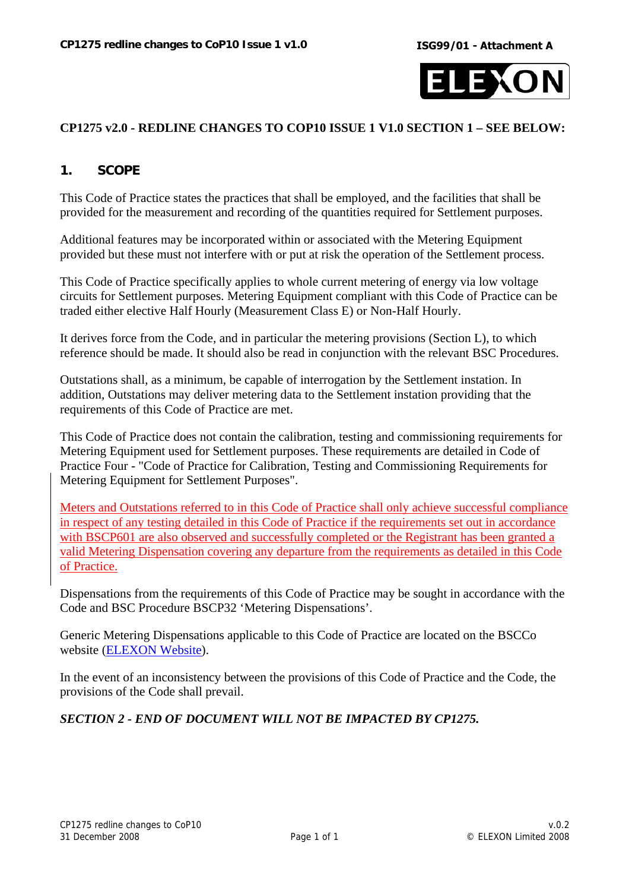

## **CP1275 v2.0 - REDLINE CHANGES TO COP10 ISSUE 1 V1.0 SECTION 1 – SEE BELOW:**

## **1. SCOPE**

This Code of Practice states the practices that shall be employed, and the facilities that shall be provided for the measurement and recording of the quantities required for Settlement purposes.

Additional features may be incorporated within or associated with the Metering Equipment provided but these must not interfere with or put at risk the operation of the Settlement process.

This Code of Practice specifically applies to whole current metering of energy via low voltage circuits for Settlement purposes. Metering Equipment compliant with this Code of Practice can be traded either elective Half Hourly (Measurement Class E) or Non-Half Hourly.

It derives force from the Code, and in particular the metering provisions (Section L), to which reference should be made. It should also be read in conjunction with the relevant BSC Procedures.

Outstations shall, as a minimum, be capable of interrogation by the Settlement instation. In addition, Outstations may deliver metering data to the Settlement instation providing that the requirements of this Code of Practice are met.

This Code of Practice does not contain the calibration, testing and commissioning requirements for Metering Equipment used for Settlement purposes. These requirements are detailed in Code of Practice Four - "Code of Practice for Calibration, Testing and Commissioning Requirements for Metering Equipment for Settlement Purposes".

Meters and Outstations referred to in this Code of Practice shall only achieve successful compliance in respect of any testing detailed in this Code of Practice if the requirements set out in accordance with BSCP601 are also observed and successfully completed or the Registrant has been granted a valid Metering Dispensation covering any departure from the requirements as detailed in this Code of Practice.

Dispensations from the requirements of this Code of Practice may be sought in accordance with the Code and BSC Procedure BSCP32 'Metering Dispensations'.

Generic Metering Dispensations applicable to this Code of Practice are located on the BSCCo website [\(ELEXON Website\)](http://www.elexon.co.uk/marketdata/staticdata/meter/).

In the event of an inconsistency between the provisions of this Code of Practice and the Code, the provisions of the Code shall prevail.

## *SECTION 2 - END OF DOCUMENT WILL NOT BE IMPACTED BY CP1275.*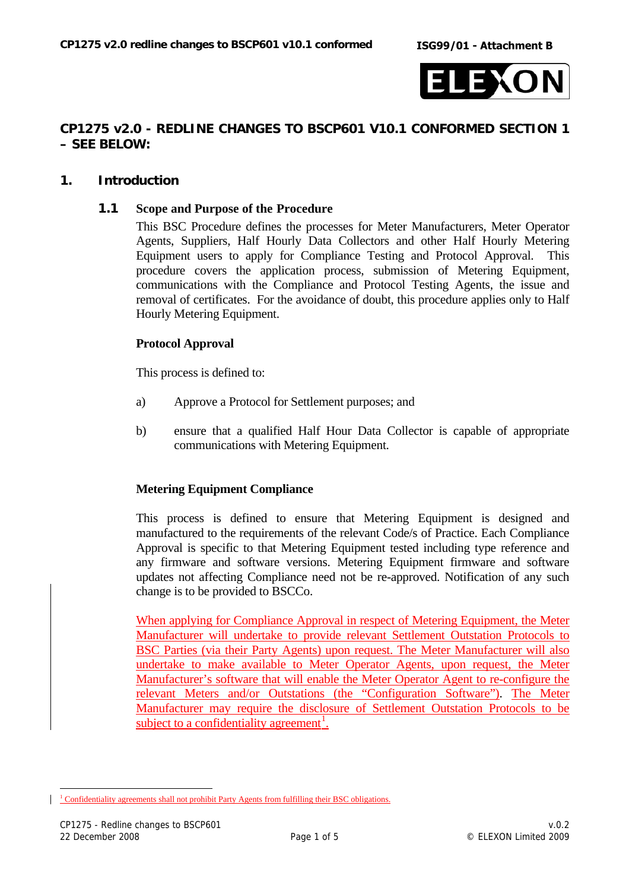

## **CP1275 v2.0 - REDLINE CHANGES TO BSCP601 V10.1 CONFORMED SECTION 1 – SEE BELOW:**

## **1. Introduction**

#### **1.1 Scope and Purpose of the Procedure**

This BSC Procedure defines the processes for Meter Manufacturers, Meter Operator Agents, Suppliers, Half Hourly Data Collectors and other Half Hourly Metering Equipment users to apply for Compliance Testing and Protocol Approval. This procedure covers the application process, submission of Metering Equipment, communications with the Compliance and Protocol Testing Agents, the issue and removal of certificates. For the avoidance of doubt, this procedure applies only to Half Hourly Metering Equipment.

## **Protocol Approval**

This process is defined to:

- a) Approve a Protocol for Settlement purposes; and
- b) ensure that a qualified Half Hour Data Collector is capable of appropriate communications with Metering Equipment.

#### **Metering Equipment Compliance**

This process is defined to ensure that Metering Equipment is designed and manufactured to the requirements of the relevant Code/s of Practice. Each Compliance Approval is specific to that Metering Equipment tested including type reference and any firmware and software versions. Metering Equipment firmware and software updates not affecting Compliance need not be re-approved. Notification of any such change is to be provided to BSCCo.

When applying for Compliance Approval in respect of Metering Equipment, the Meter Manufacturer will undertake to provide relevant Settlement Outstation Protocols to BSC Parties (via their Party Agents) upon request. The Meter Manufacturer will also undertake to make available to Meter Operator Agents, upon request, the Meter Manufacturer's software that will enable the Meter Operator Agent to re-configure the relevant Meters and/or Outstations (the "Configuration Software"). The Meter Manufacturer may require the disclosure of Settlement Outstation Protocols to be subject to a confidentiality agreement<sup>[1](#page-25-0)</sup>.

<span id="page-25-0"></span> $\overline{a}$ <sup>1</sup> Confidentiality agreements shall not prohibit Party Agents from fulfilling their BSC obligations.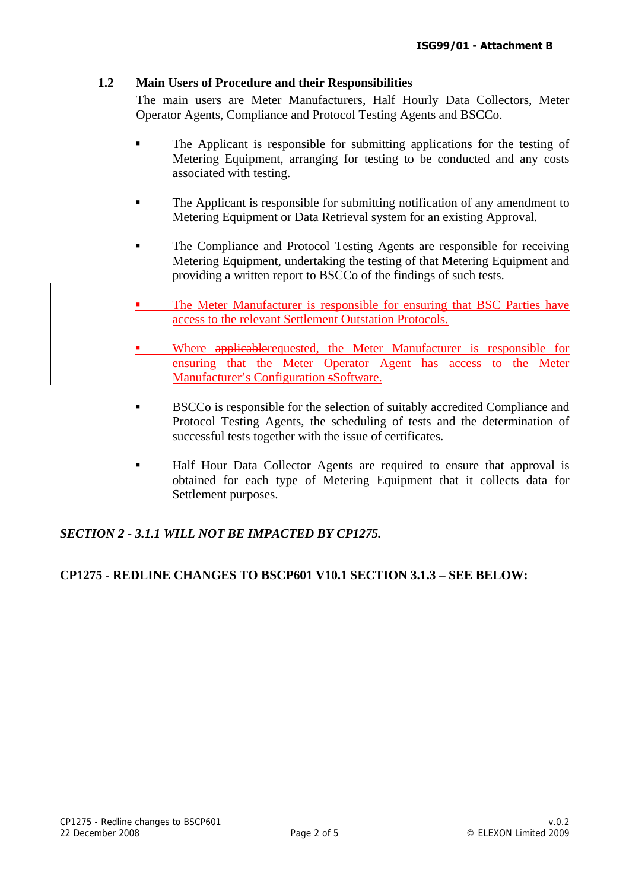## **1.2 Main Users of Procedure and their Responsibilities**

The main users are Meter Manufacturers, Half Hourly Data Collectors, Meter Operator Agents, Compliance and Protocol Testing Agents and BSCCo.

- **The Applicant is responsible for submitting applications for the testing of** Metering Equipment, arranging for testing to be conducted and any costs associated with testing.
- The Applicant is responsible for submitting notification of any amendment to Metering Equipment or Data Retrieval system for an existing Approval.
- **The Compliance and Protocol Testing Agents are responsible for receiving** Metering Equipment, undertaking the testing of that Metering Equipment and providing a written report to BSCCo of the findings of such tests.
- The Meter Manufacturer is responsible for ensuring that BSC Parties have access to the relevant Settlement Outstation Protocols.
- Where applicablerequested, the Meter Manufacturer is responsible for ensuring that the Meter Operator Agent has access to the Meter Manufacturer's Configuration sSoftware.
- **BSCCo** is responsible for the selection of suitably accredited Compliance and Protocol Testing Agents, the scheduling of tests and the determination of successful tests together with the issue of certificates.
- Half Hour Data Collector Agents are required to ensure that approval is obtained for each type of Metering Equipment that it collects data for Settlement purposes.

# *SECTION 2 - 3.1.1 WILL NOT BE IMPACTED BY CP1275.*

## **CP1275 - REDLINE CHANGES TO BSCP601 V10.1 SECTION 3.1.3 – SEE BELOW:**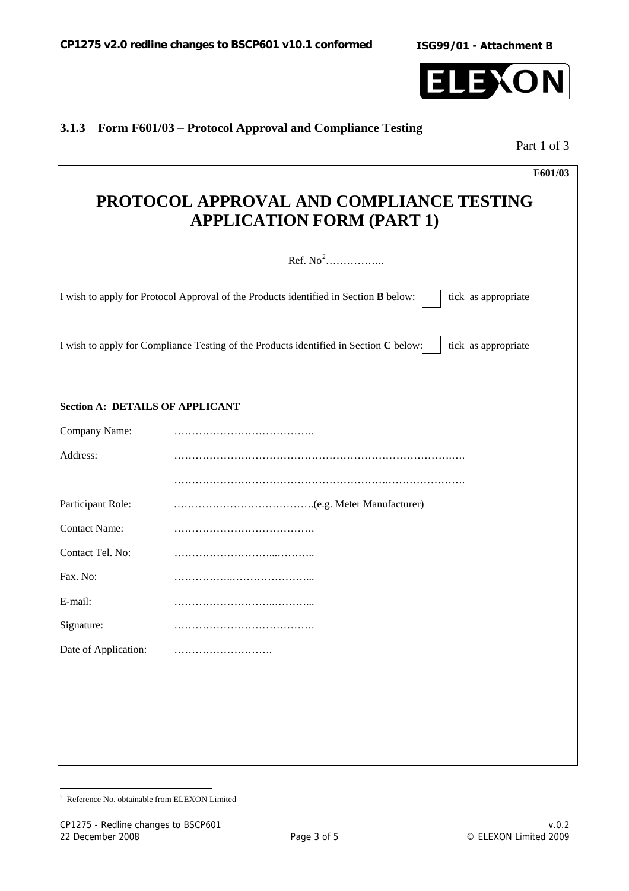

# **3.1.3 Form F601/03 – Protocol Approval and Compliance Testing**

Part 1 of 3

|                                        | F601/03                                                                                                      |
|----------------------------------------|--------------------------------------------------------------------------------------------------------------|
|                                        | PROTOCOL APPROVAL AND COMPLIANCE TESTING<br><b>APPLICATION FORM (PART 1)</b>                                 |
|                                        | Ref. $No2$                                                                                                   |
|                                        | I wish to apply for Protocol Approval of the Products identified in Section B below:<br>tick as appropriate  |
|                                        | I wish to apply for Compliance Testing of the Products identified in Section C below:<br>tick as appropriate |
| <b>Section A: DETAILS OF APPLICANT</b> |                                                                                                              |
| Company Name:                          |                                                                                                              |
| Address:                               |                                                                                                              |
|                                        |                                                                                                              |
| Participant Role:                      |                                                                                                              |
| <b>Contact Name:</b>                   |                                                                                                              |
| Contact Tel. No:                       |                                                                                                              |
| Fax. No:                               |                                                                                                              |
| E-mail:                                |                                                                                                              |
| Signature:                             |                                                                                                              |
| Date of Application:                   |                                                                                                              |
|                                        |                                                                                                              |
|                                        |                                                                                                              |
|                                        |                                                                                                              |
|                                        |                                                                                                              |

<span id="page-27-0"></span> 2 Reference No. obtainable from ELEXON Limited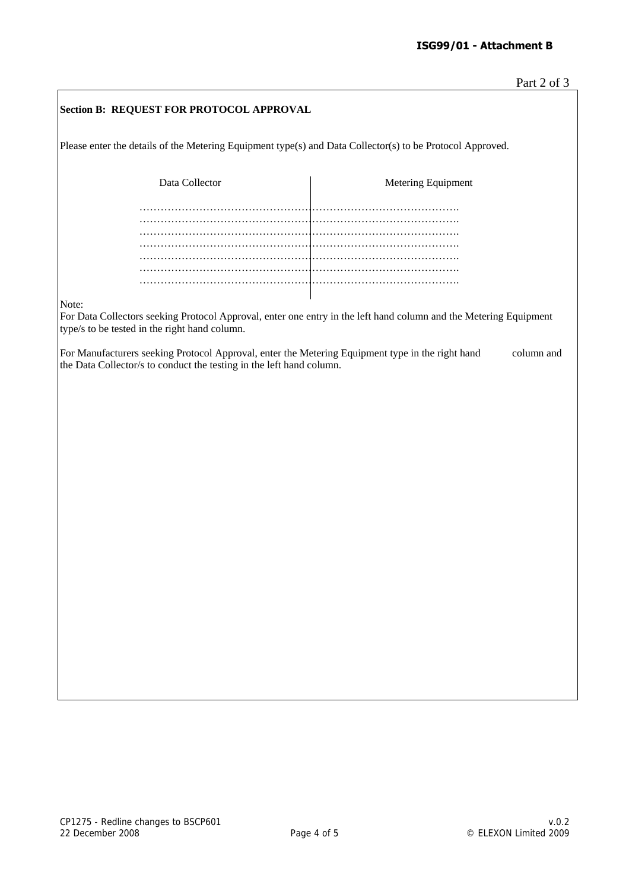| Section B: REQUEST FOR PROTOCOL APPROVAL                                                                                                                                 |                    |  |  |  |  |
|--------------------------------------------------------------------------------------------------------------------------------------------------------------------------|--------------------|--|--|--|--|
| Please enter the details of the Metering Equipment type(s) and Data Collector(s) to be Protocol Approved.                                                                |                    |  |  |  |  |
| Data Collector                                                                                                                                                           | Metering Equipment |  |  |  |  |
|                                                                                                                                                                          |                    |  |  |  |  |
|                                                                                                                                                                          |                    |  |  |  |  |
| Note:                                                                                                                                                                    |                    |  |  |  |  |
| For Data Collectors seeking Protocol Approval, enter one entry in the left hand column and the Metering Equipment<br>type/s to be tested in the right hand column.       |                    |  |  |  |  |
| For Manufacturers seeking Protocol Approval, enter the Metering Equipment type in the right hand<br>the Data Collector/s to conduct the testing in the left hand column. | column and         |  |  |  |  |
|                                                                                                                                                                          |                    |  |  |  |  |
|                                                                                                                                                                          |                    |  |  |  |  |
|                                                                                                                                                                          |                    |  |  |  |  |
|                                                                                                                                                                          |                    |  |  |  |  |
|                                                                                                                                                                          |                    |  |  |  |  |
|                                                                                                                                                                          |                    |  |  |  |  |
|                                                                                                                                                                          |                    |  |  |  |  |
|                                                                                                                                                                          |                    |  |  |  |  |
|                                                                                                                                                                          |                    |  |  |  |  |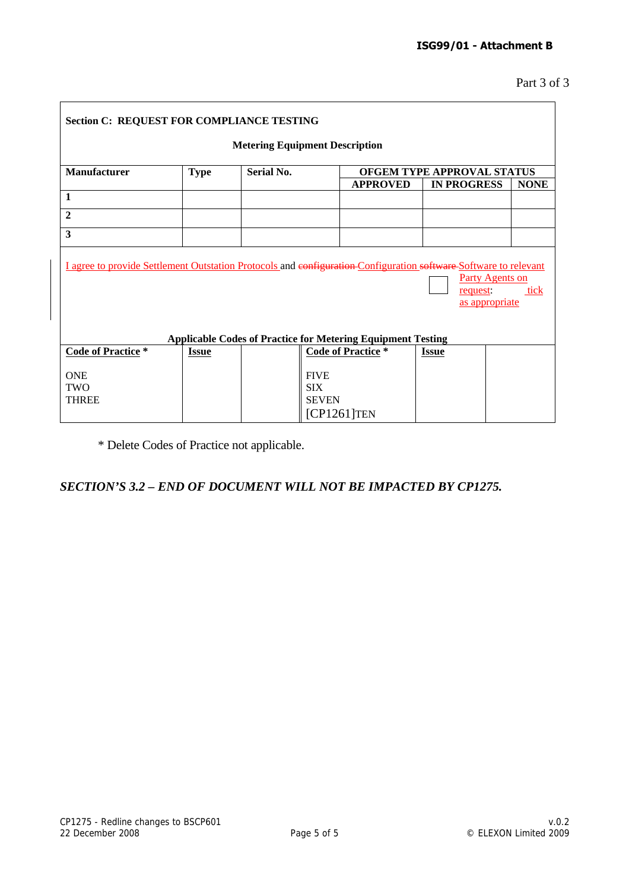$\overline{\phantom{0}}$ 

| <b>Section C: REQUEST FOR COMPLIANCE TESTING</b>                                                                                                                                                                                                       |              |                   |                                |                            |             |  |  |  |
|--------------------------------------------------------------------------------------------------------------------------------------------------------------------------------------------------------------------------------------------------------|--------------|-------------------|--------------------------------|----------------------------|-------------|--|--|--|
| <b>Metering Equipment Description</b>                                                                                                                                                                                                                  |              |                   |                                |                            |             |  |  |  |
| Manufacturer                                                                                                                                                                                                                                           | <b>Type</b>  | <b>Serial No.</b> |                                | OFGEM TYPE APPROVAL STATUS |             |  |  |  |
|                                                                                                                                                                                                                                                        |              |                   | <b>APPROVED</b>                | <b>IN PROGRESS</b>         | <b>NONE</b> |  |  |  |
| $\mathbf{1}$                                                                                                                                                                                                                                           |              |                   |                                |                            |             |  |  |  |
| $\overline{2}$                                                                                                                                                                                                                                         |              |                   |                                |                            |             |  |  |  |
| $\overline{\mathbf{3}}$                                                                                                                                                                                                                                |              |                   |                                |                            |             |  |  |  |
| I agree to provide Settlement Outstation Protocols and configuration-Configuration software Software to relevant<br><b>Party Agents on</b><br>tick<br>request:<br>as appropriate<br><b>Applicable Codes of Practice for Metering Equipment Testing</b> |              |                   |                                |                            |             |  |  |  |
| <b>Code of Practice*</b>                                                                                                                                                                                                                               | <b>Issue</b> |                   | <b>Code of Practice</b> *      | <u>Issue</u>               |             |  |  |  |
| <b>ONE</b><br><b>TWO</b>                                                                                                                                                                                                                               |              |                   | <b>FIVE</b><br><b>SIX</b>      |                            |             |  |  |  |
| <b>THREE</b>                                                                                                                                                                                                                                           |              |                   | <b>SEVEN</b><br>$[CP1261]$ TEN |                            |             |  |  |  |

\* Delete Codes of Practice not applicable.

## *SECTION'S 3.2 – END OF DOCUMENT WILL NOT BE IMPACTED BY CP1275.*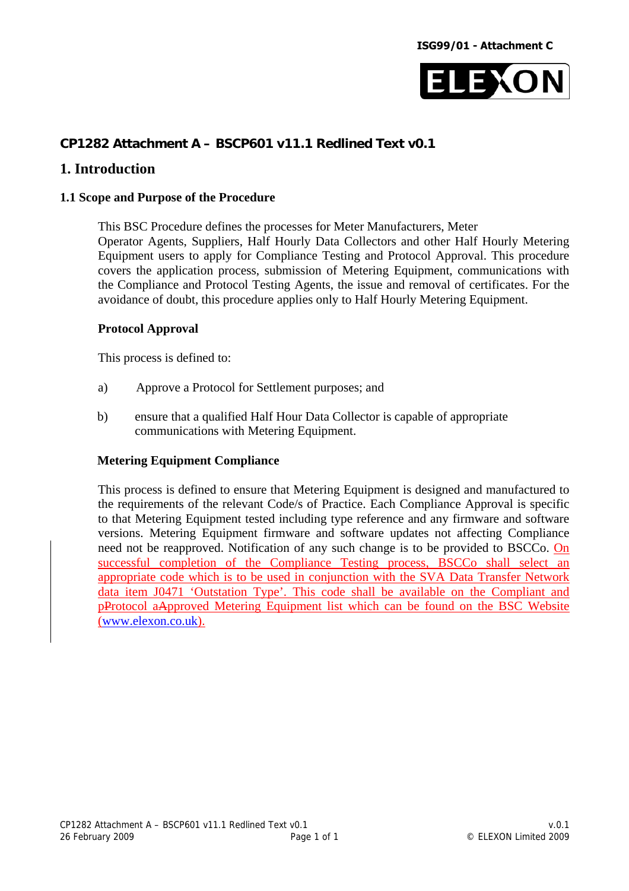

# **CP1282 Attachment A – BSCP601 v11.1 Redlined Text v0.1**

## **1. Introduction**

#### **1.1 Scope and Purpose of the Procedure**

This BSC Procedure defines the processes for Meter Manufacturers, Meter Operator Agents, Suppliers, Half Hourly Data Collectors and other Half Hourly Metering Equipment users to apply for Compliance Testing and Protocol Approval. This procedure covers the application process, submission of Metering Equipment, communications with the Compliance and Protocol Testing Agents, the issue and removal of certificates. For the avoidance of doubt, this procedure applies only to Half Hourly Metering Equipment.

#### **Protocol Approval**

This process is defined to:

- a) Approve a Protocol for Settlement purposes; and
- b) ensure that a qualified Half Hour Data Collector is capable of appropriate communications with Metering Equipment.

## **Metering Equipment Compliance**

This process is defined to ensure that Metering Equipment is designed and manufactured to the requirements of the relevant Code/s of Practice. Each Compliance Approval is specific to that Metering Equipment tested including type reference and any firmware and software versions. Metering Equipment firmware and software updates not affecting Compliance need not be reapproved. Notification of any such change is to be provided to BSCCo. On successful completion of the Compliance Testing process, BSCCo shall select an appropriate code which is to be used in conjunction with the SVA Data Transfer Network data item J0471 'Outstation Type'. This code shall be available on the Compliant and pProtocol aApproved Metering Equipment list which can be found on the BSC Website ([www.elexon.co.uk](http://www.elexon.co.uk/)).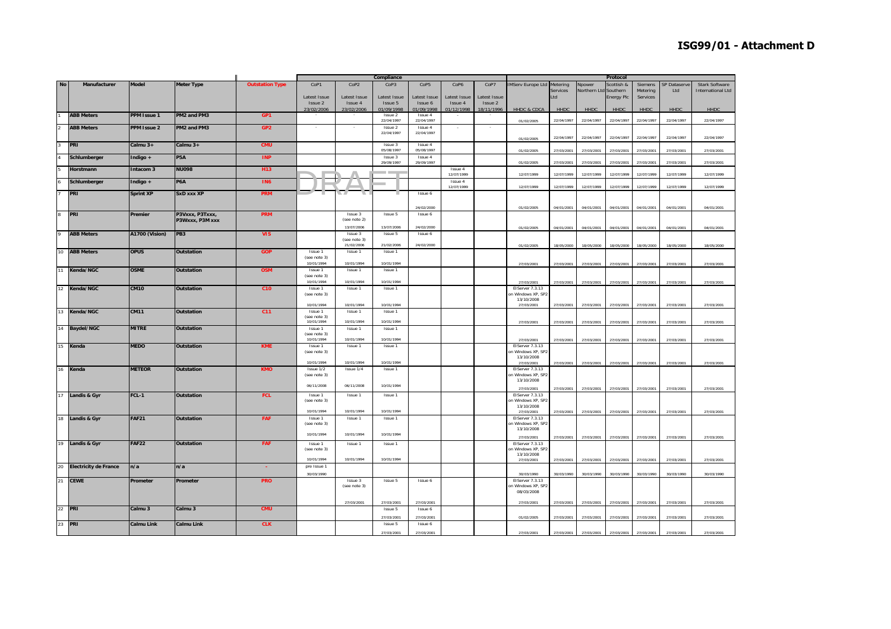|                |                              |                    |                    |                        |              |              | Compliance               |                  |              |              |                          |            |                       | Protocol          |            |                     |                          |
|----------------|------------------------------|--------------------|--------------------|------------------------|--------------|--------------|--------------------------|------------------|--------------|--------------|--------------------------|------------|-----------------------|-------------------|------------|---------------------|--------------------------|
| <b>No</b>      | Manufacturer                 | <b>Model</b>       | <b>Meter Type</b>  | <b>Outstation Type</b> | CoP1         | CoP2         | CoP <sub>3</sub>         | CoP <sub>5</sub> | CoP6         | CoP7         | <b>IMServ Europe Ltd</b> | Metering   | Npower                | Scottish &        | Siemens    | <b>SP Dataserve</b> | <b>Stark Software</b>    |
|                |                              |                    |                    |                        |              |              |                          |                  |              |              |                          | Services   | Northern Ltd Southern |                   | Metering   | Ltd                 | <b>International Ltd</b> |
|                |                              |                    |                    |                        | Latest Issue | Latest Issue | Latest Issue             | Latest Issue     | Latest Issue | Latest Issue |                          | Ltd        |                       | <b>Energy Plc</b> | Services   |                     |                          |
|                |                              |                    |                    |                        |              |              |                          |                  |              |              |                          |            |                       |                   |            |                     |                          |
|                |                              |                    |                    |                        | Issue 2      | Issue 4      | Issue 5                  | Issue 6          | Issue 4      | Issue 2      |                          |            |                       |                   |            |                     |                          |
|                |                              |                    |                    |                        | 23/02/2006   | 23/02/2006   | 01/09/1998               | 01/09/1998       | 01/12/1998   | 18/11/1996   | HHDC & CDCA              | HHDC       | HHDC                  | HHDC              | HHDC       | <b>HHDC</b>         | <b>HHDC</b>              |
|                | <b>ABB Meters</b>            | <b>PPM Issue 1</b> | PM2 and PM3        | GP1                    |              |              | Issue 2                  | Issue 4          |              |              |                          |            |                       |                   |            |                     |                          |
|                |                              |                    |                    |                        |              |              | 22/04/1997               | 22/04/1997       |              |              | 01/02/2005               | 22/04/1997 | 22/04/1997            | 22/04/1997        | 22/04/1997 | 22/04/1997          | 22/04/1997               |
|                | <b>ABB Meters</b>            | <b>PPM Issue 2</b> | PM2 and PM3        | GP <sub>2</sub>        |              |              | Issue 2                  | Issue 4          |              |              |                          |            |                       |                   |            |                     |                          |
|                |                              |                    |                    |                        |              |              | 22/04/1997               | 22/04/1997       |              |              |                          |            |                       |                   |            |                     |                          |
|                |                              |                    |                    |                        |              |              |                          |                  |              |              | 01/02/2005               | 22/04/1997 | 22/04/1997            | 22/04/1997        | 22/04/1997 | 22/04/1997          | 22/04/1997               |
| $\overline{3}$ | PRI                          | Calmu 3+           | Calmu 3+           | <b>CMU</b>             |              |              | Issue 3                  | Issue 4          |              |              |                          |            |                       |                   |            |                     |                          |
|                |                              |                    |                    |                        |              |              | 05/08/1997               | 05/08/1997       |              |              | 01/02/2005               | 27/03/2001 | 27/03/2001            |                   | 27/03/2001 | 27/03/2001          | 27/03/2001               |
|                |                              |                    |                    |                        |              |              |                          |                  |              |              |                          |            |                       | 27/03/2001        |            |                     |                          |
| $\overline{4}$ | Schlumberger                 | Indigo +           | P <sub>5</sub> A   | <b>INP</b>             |              |              | Issue 3                  | Issue 4          |              |              |                          |            |                       |                   |            |                     |                          |
|                |                              |                    |                    |                        |              |              | 29/09/1997               | 29/09/1997       |              |              | 01/02/2005               | 27/03/2001 | 27/03/2001            | 27/03/2001        | 27/03/2001 | 27/03/2001          | 27/03/2001               |
|                | Horstmann                    | Intacom 3          | <b>NU098</b>       | H <sub>13</sub>        |              |              |                          |                  | Issue 4      |              |                          |            |                       |                   |            |                     |                          |
|                |                              |                    |                    |                        |              |              | <b>Contract Contract</b> |                  | 12/07/1999   |              | 12/07/1999               | 12/07/1999 | 12/07/1999            | 12/07/1999        | 12/07/1999 | 12/07/1999          | 12/07/1999               |
|                | Schlumberger                 | Indigo +           | P6A                | <b>IN6</b>             |              |              |                          |                  | Issue 4      |              |                          |            |                       |                   |            |                     |                          |
|                |                              |                    |                    |                        |              |              |                          |                  | 12/07/1999   |              | 12/07/1999               | 12/07/1999 | 12/07/1999            | 12/07/1999        | 12/07/1999 | 12/07/1999          | 12/07/1999               |
|                |                              |                    |                    |                        |              |              |                          |                  |              |              |                          |            |                       |                   |            |                     |                          |
|                | <b>PRI</b>                   | <b>Sprint XP</b>   | SxD xxx XP         | <b>PRM</b>             |              | N 49         |                          | Issue 6          |              |              |                          |            |                       |                   |            |                     |                          |
|                |                              |                    |                    |                        |              |              |                          |                  |              |              |                          |            |                       |                   |            |                     |                          |
|                |                              |                    |                    |                        |              |              |                          | 24/02/2000       |              |              | 01/02/2005               | 04/01/2001 | 04/01/2001            | 04/01/2001        | 04/01/2001 | 04/01/2001          | 04/01/2001               |
|                |                              |                    |                    |                        |              |              |                          |                  |              |              |                          |            |                       |                   |            |                     |                          |
|                | PRI                          | Premier            | P3Vxxx, P3Txxx,    | <b>PRM</b>             |              | Issue 3      | Issue 5                  | Issue 6          |              |              |                          |            |                       |                   |            |                     |                          |
|                |                              |                    | P3Wxxx, P3M xxx    |                        |              | (see note 2) |                          |                  |              |              |                          |            |                       |                   |            |                     |                          |
|                |                              |                    |                    |                        |              | 13/07/2006   | 13/07/2006               | 24/02/2000       |              |              | 01/02/2005               | 04/01/2001 | 04/01/2001            | 04/01/2001        | 04/01/2001 | 04/01/2001          | 04/01/2001               |
|                | <b>ABB Meters</b>            | A1700 (Vision)     | PB <sub>3</sub>    | <b>VIS</b>             |              | Issue 3      | Issue 5                  | Issue 6          |              |              |                          |            |                       |                   |            |                     |                          |
|                |                              |                    |                    |                        |              | (see note 3) |                          |                  |              |              |                          |            |                       |                   |            |                     |                          |
|                |                              |                    |                    |                        |              | 21/02/2006   | 21/02/2006               | 24/02/2000       |              |              | 01/02/2005               | 18/05/2000 | 18/05/2000            | 18/05/2000        | 18/05/2000 | 18/05/2000          | 18/05/2000               |
|                |                              |                    |                    |                        |              |              |                          |                  |              |              |                          |            |                       |                   |            |                     |                          |
| 10             | <b>ABB Meters</b>            | <b>OPUS</b>        | <b>Outstation</b>  | <b>GOP</b>             | Issue 1      | Issue 1      | <b>Issue 1</b>           |                  |              |              |                          |            |                       |                   |            |                     |                          |
|                |                              |                    |                    |                        | (see note 3) |              |                          |                  |              |              |                          |            |                       |                   |            |                     |                          |
|                |                              |                    |                    |                        | 10/01/1994   | 10/01/1994   | 10/01/1994               |                  |              |              | 27/03/2001               | 27/03/2001 | 27/03/2001            | 27/03/2001        | 27/03/2001 | 27/03/2001          | 27/03/2001               |
| 11             | Kenda/NGC                    | <b>OSME</b>        | Outstation         | <b>OSM</b>             | Issue 1      | Issue 1      | Issue 1                  |                  |              |              |                          |            |                       |                   |            |                     |                          |
|                |                              |                    |                    |                        | (see note 3) |              |                          |                  |              |              |                          |            |                       |                   |            |                     |                          |
|                |                              |                    |                    |                        | 10/01/1994   | 10/01/1994   | 10/01/1994               |                  |              |              | 27/03/2001               | 27/03/2001 | 27/03/2001            | 27/03/2001        | 27/03/2001 | 27/03/2001          | 27/03/2001               |
|                |                              |                    |                    |                        |              |              |                          |                  |              |              |                          |            |                       |                   |            |                     |                          |
| 12             | Kenda/NGC                    | <b>CM10</b>        | <b>Outstation</b>  | C <sub>10</sub>        | Issue 1      | Issue 1      | Issue 1                  |                  |              |              | EIServer 7.3.13          |            |                       |                   |            |                     |                          |
|                |                              |                    |                    |                        | (see note 3) |              |                          |                  |              |              | on Windows XP, SP2       |            |                       |                   |            |                     |                          |
|                |                              |                    |                    |                        |              |              |                          |                  |              |              | 13/10/2008               |            |                       |                   |            |                     |                          |
|                |                              |                    |                    |                        | 10/01/1994   | 10/01/1994   | 10/01/1994               |                  |              |              | 27/03/2001               | 27/03/2001 | 27/03/2001            | 27/03/2001        | 27/03/2001 | 27/03/2001          | 27/03/2001               |
|                | 13 Kenda/NGC                 | <b>CM11</b>        | <b>Outstation</b>  | C <sub>11</sub>        | Issue 1      | Issue 1      | Issue 1                  |                  |              |              |                          |            |                       |                   |            |                     |                          |
|                |                              |                    |                    |                        | (see note 3) |              |                          |                  |              |              |                          |            |                       |                   |            |                     |                          |
|                |                              |                    |                    |                        | 10/01/1994   | 10/01/1994   | 10/01/1994               |                  |              |              | 27/03/2001               | 27/03/2001 | 27/03/2001            | 27/03/2001        | 27/03/2001 | 27/03/2001          | 27/03/2001               |
|                | 14 Baydel/NGC                | <b>MITRE</b>       | <b>Outstation</b>  |                        | Issue 1      | Issue 1      | Issue 1                  |                  |              |              |                          |            |                       |                   |            |                     |                          |
|                |                              |                    |                    |                        | (see note 3) |              |                          |                  |              |              |                          |            |                       |                   |            |                     |                          |
|                |                              |                    |                    |                        | 10/01/1994   | 10/01/1994   | 10/01/1994               |                  |              |              | 27/03/2001               | 27/03/2001 | 27/03/2001            | 27/03/2001        | 27/03/2001 | 27/03/2001          | 27/03/2001               |
| 15             | Kenda                        | <b>MEDO</b>        | <b>Outstation</b>  | <b>KME</b>             | Issue 1      | Issue 1      | Issue 1                  |                  |              |              | EIServer 7.3.13          |            |                       |                   |            |                     |                          |
|                |                              |                    |                    |                        | (see note 3) |              |                          |                  |              |              | on Windows XP. SP2       |            |                       |                   |            |                     |                          |
|                |                              |                    |                    |                        |              |              |                          |                  |              |              |                          |            |                       |                   |            |                     |                          |
|                |                              |                    |                    |                        | 10/01/1994   | 10/01/1994   | 10/01/1994               |                  |              |              | 13/10/2008               |            |                       |                   |            |                     |                          |
|                |                              |                    |                    |                        |              |              |                          |                  |              |              | 27/03/2001               | 27/03/2001 | 27/03/2001            | 27/03/2001        | 27/03/2001 | 27/03/2001          | 27/03/2001               |
|                | 16 Kenda                     | <b>METEOR</b>      | <b>Outstation</b>  | <b>KMO</b>             | Issue 1/2    | Issue 1/4    | Issue 1                  |                  |              |              | EIServer 7.3.13          |            |                       |                   |            |                     |                          |
|                |                              |                    |                    |                        | (see note 3) |              |                          |                  |              |              | on Windows XP. SP2       |            |                       |                   |            |                     |                          |
|                |                              |                    |                    |                        |              |              |                          |                  |              |              | 13/10/2008               |            |                       |                   |            |                     |                          |
|                |                              |                    |                    |                        | 06/11/2008   | 06/11/2008   | 10/01/1994               |                  |              |              |                          |            |                       |                   |            |                     |                          |
|                |                              |                    |                    |                        |              |              |                          |                  |              |              | 27/03/2001               | 27/03/2001 | 27/03/2001            | 27/03/2001        | 27/03/2001 | 27/03/2001          | 27/03/2001               |
|                | 17 Landis & Gyr              | FCL-1              | <b>Outstation</b>  | <b>FCL</b>             | Issue 1      | Issue 1      | Issue 1                  |                  |              |              | EIServer 7.3.13          |            |                       |                   |            |                     |                          |
|                |                              |                    |                    |                        | (see note 3) |              |                          |                  |              |              | on Windows XP. SP2       |            |                       |                   |            |                     |                          |
|                |                              |                    |                    |                        |              |              |                          |                  |              |              | 13/10/2008               |            |                       |                   |            |                     |                          |
|                |                              |                    |                    |                        | 10/01/1994   | 10/01/1994   | 10/01/1994               |                  |              |              | 27/03/2001               | 27/03/2001 | 27/03/2001            | 27/03/2001        | 27/03/2001 | 27/03/2001          | 27/03/2001               |
|                | 18 Landis & Gyr              | <b>FAF21</b>       | <b>Outstation</b>  | FAF                    | Issue 1      | Issue 1      | Issue 1                  |                  |              |              | EIServer 7.3.13          |            |                       |                   |            |                     |                          |
|                |                              |                    |                    |                        | (see note 3) |              |                          |                  |              |              | on Windows XP. SP2       |            |                       |                   |            |                     |                          |
|                |                              |                    |                    |                        |              |              |                          |                  |              |              | 13/10/2008               |            |                       |                   |            |                     |                          |
|                |                              |                    |                    |                        | 10/01/1994   | 10/01/1994   | 10/01/1994               |                  |              |              | 27/03/2001               | 27/03/2001 | 27/03/2001            | 27/03/2001        | 27/03/2001 | 27/03/2001          | 27/03/2001               |
|                |                              |                    |                    |                        |              |              |                          |                  |              |              |                          |            |                       |                   |            |                     |                          |
|                | 19 Landis & Gyr              | <b>FAF22</b>       | <b>Outstation</b>  | <b>FAF</b>             | Issue 1      | Issue 1      | Issue 1                  |                  |              |              | EIServer 7.3.13          |            |                       |                   |            |                     |                          |
|                |                              |                    |                    |                        | (see note 3) |              |                          |                  |              |              | on Windows XP, SP2       |            |                       |                   |            |                     |                          |
|                |                              |                    |                    |                        | 10/01/1994   | 10/01/1994   | 10/01/1994               |                  |              |              | 13/10/2008               |            |                       |                   |            |                     |                          |
|                |                              |                    |                    |                        |              |              |                          |                  |              |              | 27/03/2001               | 27/03/2001 | 27/03/2001            | 27/03/2001        | 27/03/2001 | 27/03/2001          | 27/03/2001               |
| 20             | <b>Electricity de France</b> | n/a                | n/a                | ÷.                     | pre Issue 1  |              |                          |                  |              |              |                          |            |                       |                   |            |                     |                          |
|                |                              |                    |                    |                        | 30/03/1990   |              |                          |                  |              |              | 30/03/1990               | 30/03/1990 | 30/03/1990            | 30/03/1990        | 30/03/1990 | 30/03/1990          | 30/03/1990               |
|                |                              |                    |                    |                        |              |              |                          |                  |              |              |                          |            |                       |                   |            |                     |                          |
| 21             | <b>CEWE</b>                  | Prometer           | Prometer           | <b>PRO</b>             |              | Issue 3      | Issue 5                  | Issue 6          |              |              | EIServer 7.3.13          |            |                       |                   |            |                     |                          |
|                |                              |                    |                    |                        |              | (see note 3) |                          |                  |              |              | on Windows XP, SP2       |            |                       |                   |            |                     |                          |
|                |                              |                    |                    |                        |              |              |                          |                  |              |              | 08/03/2008               |            |                       |                   |            |                     |                          |
|                |                              |                    |                    |                        |              |              |                          |                  |              |              |                          |            |                       |                   |            |                     |                          |
|                |                              |                    |                    |                        |              | 27/03/2001   | 27/03/2001               | 27/03/2001       |              |              | 27/03/2001               | 27/03/2001 | 27/03/2001            | 27/03/2001        | 27/03/2001 | 27/03/2001          | 27/03/2001               |
| 22             | PRI                          | Calmu <sub>3</sub> | Calmu <sub>3</sub> | <b>CMU</b>             |              |              | Issue 5                  | Issue 6          |              |              |                          |            |                       |                   |            |                     |                          |
|                |                              |                    |                    |                        |              |              |                          |                  |              |              |                          |            |                       |                   |            |                     |                          |
|                |                              |                    |                    |                        |              |              | 27/03/200                | 27/03/2001       |              |              | 01/02/2005               | 27/03/2001 | 27/03/2001            | 27/03/2001        | 27/03/2001 | 27/03/2001          | 27/03/2001               |
| 23             | <b>PRI</b>                   | <b>Calmu Link</b>  | <b>Calmu Link</b>  | <b>CLK</b>             |              |              | Issue 5                  | Issue 6          |              |              |                          |            |                       |                   |            |                     |                          |
|                |                              |                    |                    |                        |              |              | 27/03/2001               | 27/03/2001       |              |              | 27/03/2001               | 27/03/2001 | 27/03/2001            | 27/03/2001        | 27/03/2001 | 27/03/2001          | 27/03/2001               |
|                |                              |                    |                    |                        |              |              |                          |                  |              |              |                          |            |                       |                   |            |                     |                          |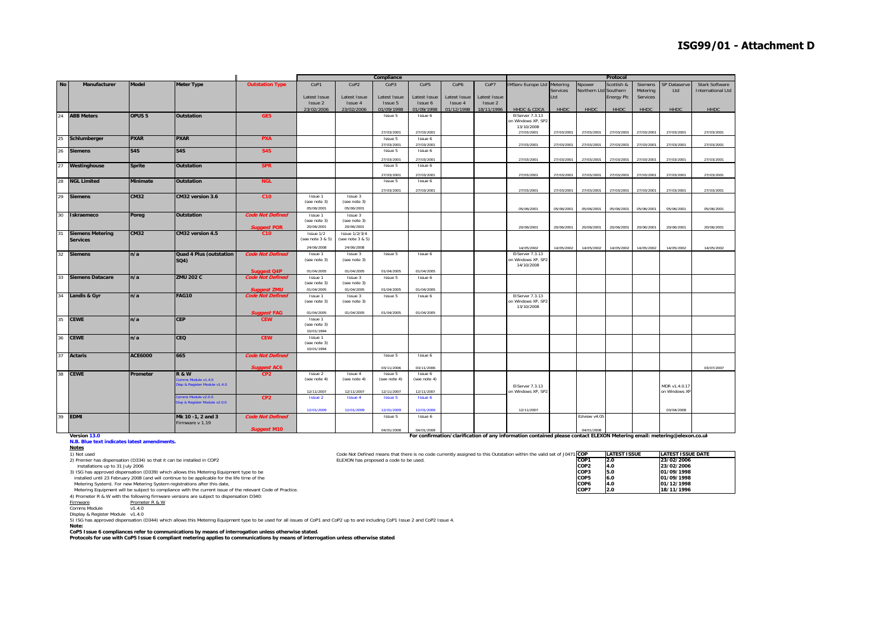|           |                         |                   |                                                   |                                       |                            |                            | Compliance                   |                       |                       |                       | Protocol                 |            |                       |             |            |               |                          |
|-----------|-------------------------|-------------------|---------------------------------------------------|---------------------------------------|----------------------------|----------------------------|------------------------------|-----------------------|-----------------------|-----------------------|--------------------------|------------|-----------------------|-------------|------------|---------------|--------------------------|
| <b>No</b> | Manufacturer            | <b>Model</b>      | <b>Meter Type</b>                                 | <b>Outstation Type</b>                | CoP1                       | CoP <sub>2</sub>           | CoP3                         | CoP <sub>5</sub>      | CoP6                  | CoP7                  | <b>IMServ Europe Ltd</b> | Metering   | Npower                | Scottish &  | Siemens    | SP Dataserve  | <b>Stark Software</b>    |
|           |                         |                   |                                                   |                                       |                            |                            |                              |                       |                       |                       |                          | Services   | Northern Ltd Southern |             | Metering   | Ltd           | <b>International Ltd</b> |
|           |                         |                   |                                                   |                                       | Latest Issue               | Latest Issue               | Latest Issue                 | Latest Issue          | Latest Issue          | Latest Issue          |                          | Ltd        |                       | Energy Plc  | Services   |               |                          |
|           |                         |                   |                                                   |                                       | Issue 2<br>23/02/2006      | Issue 4<br>23/02/2006      | Issue 5<br>01/09/1998        | Issue 6<br>01/09/1998 | Issue 4<br>01/12/1998 | Issue 2<br>18/11/1996 | <b>HHDC &amp; CDCA</b>   | HHDC       | <b>HHDC</b>           | <b>HHDC</b> | HHDC       | HHDC          | <b>HHDC</b>              |
| 24        | <b>ABB Meters</b>       | OPUS <sub>5</sub> | <b>Outstation</b>                                 | GE5                                   |                            |                            | Issue 5                      | Issue 6               |                       |                       | EIServer 7.3.13          |            |                       |             |            |               |                          |
|           |                         |                   |                                                   |                                       |                            |                            |                              |                       |                       |                       | on Windows XP, SP2       |            |                       |             |            |               |                          |
|           |                         |                   |                                                   |                                       |                            |                            |                              |                       |                       |                       | 13/10/2008               |            |                       |             |            |               |                          |
|           |                         |                   |                                                   |                                       |                            |                            | 27/03/2001                   | 27/03/2001            |                       |                       | 27/03/2001               | 27/03/2001 | 27/03/2001            | 27/03/2001  | 27/03/2001 | 27/03/2001    | 27/03/2001               |
| 25        | Schlumberger            | <b>PXAR</b>       | <b>PXAR</b>                                       | <b>PXA</b>                            |                            |                            | Issue 5<br>27/03/2001        | Issue 6<br>27/03/2001 |                       |                       | 27/03/2001               | 27/03/2001 | 27/03/2001            | 27/03/2001  | 27/03/200  | 27/03/2001    | 27/03/2001               |
| 26        | <b>Siemens</b>          | S4S               | S4S                                               | <b>S4S</b>                            |                            |                            | Issue 5                      | Issue 6               |                       |                       |                          |            |                       |             |            |               |                          |
|           |                         |                   |                                                   |                                       |                            |                            |                              |                       |                       |                       |                          |            |                       |             |            |               |                          |
|           |                         |                   |                                                   |                                       |                            |                            | 27/03/2001                   | 27/03/2001            |                       |                       | 27/03/2001               | 27/03/2001 | 27/03/2001            | 27/03/2001  | 27/03/2001 | 27/03/2001    | 27/03/2001               |
| 27        | Westinghouse            | <b>Sprite</b>     | <b>Outstation</b>                                 | <b>SPR</b>                            |                            |                            | Issue 5                      | Issue 6               |                       |                       |                          |            |                       |             |            |               |                          |
|           |                         |                   |                                                   |                                       |                            |                            | 27/03/2001                   | 27/03/2001            |                       |                       | 27/03/2001               | 27/03/2001 | 27/03/2001            | 27/03/2001  | 27/03/2001 | 27/03/2001    | 27/03/2001               |
| 28        | <b>NGL Limited</b>      | <b>Minimate</b>   | <b>Outstation</b>                                 | <b>NGL</b>                            |                            |                            | Issue 5                      | Issue 6               |                       |                       |                          |            |                       |             |            |               |                          |
|           |                         |                   |                                                   |                                       |                            |                            | 27/03/2001                   | 27/03/2001            |                       |                       | 27/03/2001               | 27/03/2001 | 27/03/2001            | 27/03/2001  | 27/03/2001 | 27/03/2001    | 27/03/2001               |
| 29        | <b>Siemens</b>          | <b>CM32</b>       | CM32 version 3.6                                  | C10                                   | Issue 1                    | Issue 3                    |                              |                       |                       |                       |                          |            |                       |             |            |               |                          |
|           |                         |                   |                                                   |                                       | (see note 3)               | (see note 3)               |                              |                       |                       |                       |                          |            |                       |             |            |               |                          |
|           |                         |                   |                                                   |                                       | 05/06/2001                 | 05/06/2001                 |                              |                       |                       |                       | 05/06/2001               | 05/06/2001 | 05/06/2001            | 05/06/2001  | 05/06/2001 | 05/06/2001    | 05/06/2001               |
| 30        | Iskraemeco              | Poreg             | <b>Outstation</b>                                 | <b>Code Not Defined</b>               | Issue 1                    | Issue 3                    |                              |                       |                       |                       |                          |            |                       |             |            |               |                          |
|           |                         |                   |                                                   |                                       | (see note 3)<br>20/06/2001 | (see note 3)<br>20/06/2001 |                              |                       |                       |                       | 20/06/2001               | 20/06/2001 | 20/06/2001            | 20/06/2001  | 20/06/2001 | 20/06/2001    | 20/06/2001               |
| 31        | <b>Siemens Metering</b> | <b>CM32</b>       | CM32 version 4.5                                  | <b>Suggest POR</b><br>C10             | Issue 1/2                  | <b>Issue 1/2/3/4</b>       |                              |                       |                       |                       |                          |            |                       |             |            |               |                          |
|           | <b>Services</b>         |                   |                                                   |                                       | (see note 3 & 5)           | (see note 3 & 5)           |                              |                       |                       |                       |                          |            |                       |             |            |               |                          |
|           |                         |                   |                                                   |                                       | 24/06/2008                 | 24/06/2008                 |                              |                       |                       |                       | 14/05/2002               | 14/05/2002 | 14/05/2002            | 14/05/2002  | 14/05/2002 | 14/05/2002    | 14/05/2002               |
| 32        | <b>Siemens</b>          | n/a               | Quad 4 Plus (outstation                           | <b>Code Not Defined</b>               | Issue 1                    | Issue 3                    | Issue 5                      | Issue 6               |                       |                       | EIServer 7.3.13          |            |                       |             |            |               |                          |
|           |                         |                   | SQ4)                                              |                                       | (see note 3)               | (see note 3)               |                              |                       |                       |                       | on Windows XP, SP2       |            |                       |             |            |               |                          |
|           |                         |                   |                                                   |                                       |                            |                            |                              |                       |                       |                       | 14/10/2008               |            |                       |             |            |               |                          |
|           |                         |                   |                                                   | <b>Suggest Q4P</b>                    | 01/04/2005                 | 01/04/2005                 | 01/04/2005                   | 01/04/2005            |                       |                       |                          |            |                       |             |            |               |                          |
| 33        | <b>Siemens Datacare</b> | n/a               | <b>ZMU 202 C</b>                                  | <b>Code Not Defined</b>               | Issue 1<br>(see note 3)    | Issue 3<br>(see note 3)    | Issue 5                      | Issue 6               |                       |                       |                          |            |                       |             |            |               |                          |
|           |                         |                   |                                                   | <b>Suggest ZMU</b>                    | 01/04/2005                 | 01/04/2005                 | 01/04/2005                   | 01/04/2005            |                       |                       |                          |            |                       |             |            |               |                          |
|           | 34 Landis & Gyr         | n/a               | <b>FAG10</b>                                      | <b>Code Not Defined</b>               | Issue 1                    | Issue 3                    | Issue 5                      | Issue 6               |                       |                       | EIServer 7.3.13          |            |                       |             |            |               |                          |
|           |                         |                   |                                                   |                                       | (see note 3)               | (see note 3)               |                              |                       |                       |                       | on Windows XP, SP2       |            |                       |             |            |               |                          |
|           |                         |                   |                                                   |                                       |                            |                            |                              |                       |                       |                       | 13/10/2008               |            |                       |             |            |               |                          |
|           |                         |                   |                                                   | <b>Suggest FAG</b>                    | 01/04/2005                 | 01/04/2005                 | 01/04/2005                   | 01/04/2005            |                       |                       |                          |            |                       |             |            |               |                          |
| 35        | <b>CEWE</b>             | n/a               | <b>CEP</b>                                        | <b>CEW</b>                            | Issue 1<br>(see note 3)    |                            |                              |                       |                       |                       |                          |            |                       |             |            |               |                          |
|           |                         |                   |                                                   |                                       | 10/01/1994                 |                            |                              |                       |                       |                       |                          |            |                       |             |            |               |                          |
| 36        | <b>CEWE</b>             | n/a               | CEQ                                               | <b>CEW</b>                            | Issue 1                    |                            |                              |                       |                       |                       |                          |            |                       |             |            |               |                          |
|           |                         |                   |                                                   |                                       | (see note 3)               |                            |                              |                       |                       |                       |                          |            |                       |             |            |               |                          |
|           |                         |                   |                                                   |                                       | 10/01/1994                 |                            |                              |                       |                       |                       |                          |            |                       |             |            |               |                          |
| 37        | <b>Actaris</b>          | <b>ACE6000</b>    | 665                                               | <b>Code Not Defined</b>               |                            |                            | Issue 5                      | Issue 6               |                       |                       |                          |            |                       |             |            |               |                          |
|           |                         |                   |                                                   |                                       |                            |                            | 03/11/2006                   | 03/11/2006            |                       |                       |                          |            |                       |             |            |               | 03/07/2007               |
| 38        | <b>CEWE</b>             | Prometer          | <b>R&amp;W</b>                                    | <b>Suggest AC6</b><br>CP <sub>2</sub> | Issue 2                    | Issue 4                    | Issue 5                      | Issue 6               |                       |                       |                          |            |                       |             |            |               |                          |
|           |                         |                   | omms Module v1.4.0                                |                                       | (see note 4)               | (see note 4)               | (see note 4)                 | (see note 4)          |                       |                       |                          |            |                       |             |            |               |                          |
|           |                         |                   | Disp & Register Module v1.4.0                     |                                       |                            |                            |                              |                       |                       |                       | EIServer 7.3.13          |            |                       |             |            | MDR v1.4.0.17 |                          |
|           |                         |                   |                                                   |                                       | 12/11/2007                 | 12/11/2007                 | 12/11/2007                   | 12/11/2007            |                       |                       | on Windows XP, SP2       |            |                       |             |            | on Windows XF |                          |
|           |                         |                   | mms Module v2.0.0<br>isp & Register Module v2.0.0 | CP <sub>2</sub>                       | <b>Issue 2</b>             | <b>Issue 4</b>             | <b>Issue 5</b>               | <b>Issue 6</b>        |                       |                       |                          |            |                       |             |            |               |                          |
|           |                         |                   |                                                   |                                       |                            |                            |                              |                       |                       |                       |                          |            |                       |             |            |               |                          |
| 39        | <b>EDMI</b>             |                   | Mk 10 -1, 2 and 3                                 | <b>Code Not Defined</b>               | 12/01/2009                 | 12/01/2009                 | 12/01/2009<br><b>Tssue 5</b> | 12/01/2009<br>Issue 6 |                       |                       | 12/11/2007               |            | Eziview v4.05         |             |            | 03/04/2008    |                          |
|           |                         |                   |                                                   |                                       |                            |                            |                              |                       |                       |                       |                          |            |                       |             |            |               |                          |
|           |                         |                   |                                                   |                                       |                            |                            |                              |                       |                       |                       |                          |            |                       |             |            |               |                          |
|           |                         |                   | Firmware v 1.19                                   | <b>Suggest M10</b>                    |                            |                            | 04/01/2008                   | 04/01/2008            |                       |                       |                          |            | 04/01/2008            |             |            |               |                          |

1) Not used Code Not Defined means that there is no code currently assigned to this Outstation within the valid set of J0471 **COP LATEST ISSUE LATEST ISSUE DATE**

#### **Version 13.0N.B. Blue text indicates latest amendments.**

**Notes**

2) Premier has dispensation (D334) so that it can be installed in COP2 **ELEXON** this proposed a code to be used.<br>
installations up to 31 July 2006<br>
23/02/2006 **COP2 10.000 1/2006 1000 1/2007 1998**<br>
23/02/2006 **COP3 10.000** installations up to 31 July 2006 **COP2 4.0 23/02/2006** 3) ISG has approved dispensation (D339) which allows this Metering Equipment type to be **COP3 5.0 01/09/1998**

installed until 23 February 2008 (and will continue to be applicable for the life time of the **COP5 6.0 01/09/1998**

Metering System). For new Metering System registrations after this date, **COP6**<br> **Metering Equipment will be subject to compliance with the current issue of the relevant Code of Practice.<br>
<b>COP7 2.0 18/11/1996** Metering Equipment will be subject to compliance with the current issue of the relevant Code of Practice.

4) Prometer R & W with the following firmware versions are subject to dispensation D340<br>Firmware Prometer R & W

Firmware Promet<br>Comms Module v1.4.0

Display & Register Module v1.4.0

5) ISG has approved dispensation (D344) which allows this Metering Equipment type to be used for all issues of CoP1 and CoP2 up to and including CoP1 Issue 2 and CoP2 Issue 4.

**Note:**

**CoP5 Issue 6 compliances refer to communications by means of interrogation unless otherwise stated.**

**Protocols for use with CoP5 Issue 6 compliant metering applies to communications by means of interrogation unless otherwise stated.**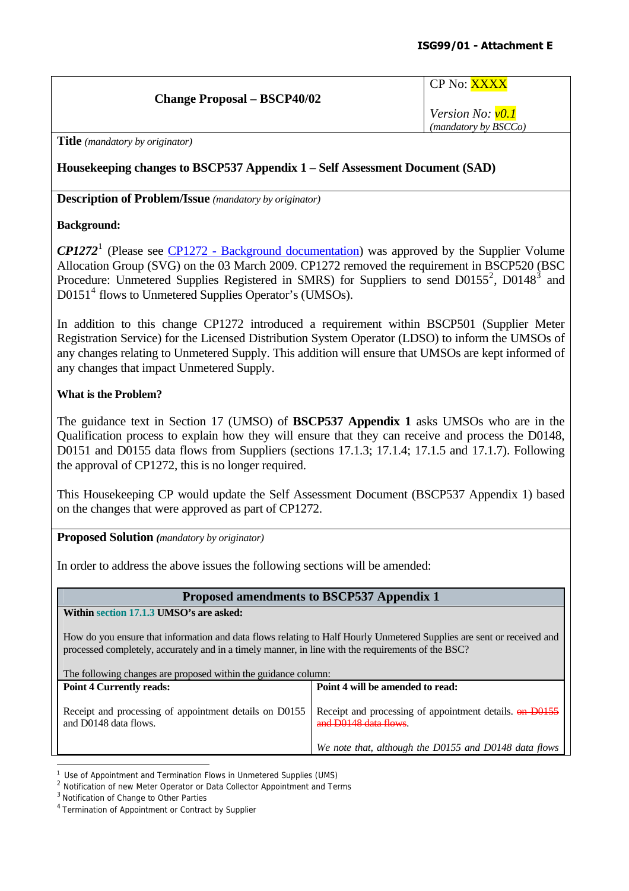#### **Change Proposal – BSCP40/02**

CP No: XXXX

*Version No: v0.1 (mandatory by BSCCo)*

**Title** *(mandatory by originator)* 

## **Housekeeping changes to BSCP537 Appendix 1 – Self Assessment Document (SAD)**

**Description of Problem/Issue** *(mandatory by originator)* 

#### **Background:**

*CP1272*[1](#page-33-0) (Please see [CP1272 - Background documentation\)](http://www.elexon.co.uk/changeimplementation/ChangeProcess/proposals/proposal_details.aspx?proposalId=795) was approved by the Supplier Volume Allocation Group (SVG) on the 03 March 2009. CP1272 removed the requirement in BSCP520 (BSC Procedure: Unmetered Supplies Registered in SMRS) for Suppliers to send  $D0155^2$  $D0155^2$ ,  $D0148^3$  $D0148^3$  and D0151<sup>[4](#page-33-3)</sup> flows to Unmetered Supplies Operator's (UMSOs).

In addition to this change CP1272 introduced a requirement within BSCP501 (Supplier Meter Registration Service) for the Licensed Distribution System Operator (LDSO) to inform the UMSOs of any changes relating to Unmetered Supply. This addition will ensure that UMSOs are kept informed of any changes that impact Unmetered Supply.

#### **What is the Problem?**

The guidance text in Section 17 (UMSO) of **BSCP537 Appendix 1** asks UMSOs who are in the Qualification process to explain how they will ensure that they can receive and process the D0148, D0151 and D0155 data flows from Suppliers (sections 17.1.3; 17.1.4; 17.1.5 and 17.1.7). Following the approval of CP1272, this is no longer required.

This Housekeeping CP would update the Self Assessment Document (BSCP537 Appendix 1) based on the changes that were approved as part of CP1272.

**Proposed Solution** *(mandatory by originator)* 

In order to address the above issues the following sections will be amended:

## **Proposed amendments to BSCP537 Appendix 1**

**Within section 17.1.3 UMSO's are asked:** 

How do you ensure that information and data flows relating to Half Hourly Unmetered Supplies are sent or received and processed completely, accurately and in a timely manner, in line with the requirements of the BSC?

| The following changes are proposed within the guidance column:                  |                                                                                            |  |  |  |  |
|---------------------------------------------------------------------------------|--------------------------------------------------------------------------------------------|--|--|--|--|
| <b>Point 4 Currently reads:</b>                                                 | Point 4 will be amended to read:                                                           |  |  |  |  |
| Receipt and processing of appointment details on D0155<br>and D0148 data flows. | Receipt and processing of appointment details. <del>on D0155</del><br>and D0148 data flows |  |  |  |  |
|                                                                                 | We note that, although the D0155 and D0148 data flows                                      |  |  |  |  |
|                                                                                 |                                                                                            |  |  |  |  |

<sup>&</sup>lt;sup>1</sup> Use of Appointment and Termination Flows in Unmetered Supplies (UMS)

<span id="page-33-1"></span><span id="page-33-0"></span><sup>&</sup>lt;sup>2</sup> Notification of new Meter Operator or Data Collector Appointment and Terms

<span id="page-33-2"></span><sup>3</sup> Notification of Change to Other Parties

<span id="page-33-3"></span><sup>4</sup> Termination of Appointment or Contract by Supplier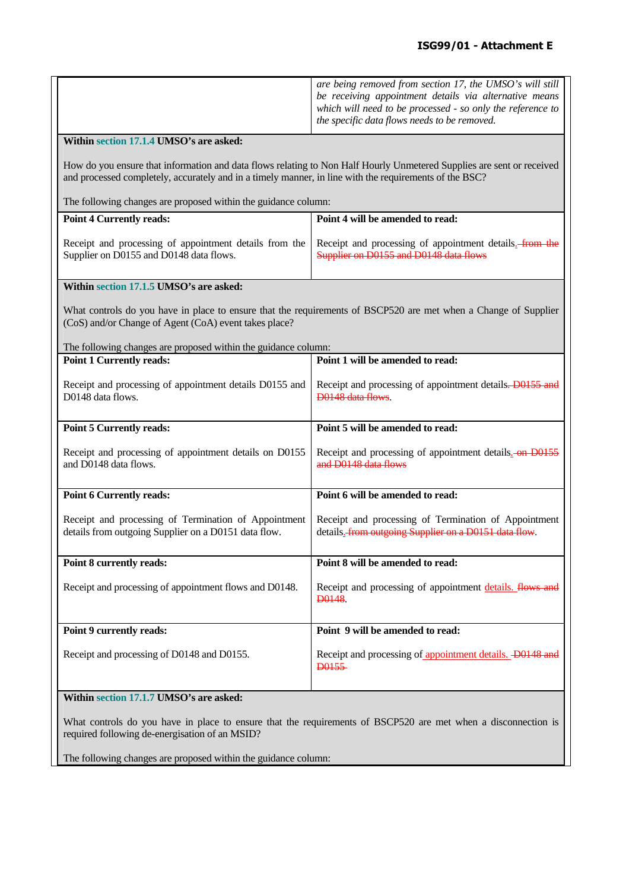|                                                                                                                                                                          | are being removed from section 17, the UMSO's will still<br>be receiving appointment details via alternative means<br>which will need to be processed - so only the reference to<br>the specific data flows needs to be removed. |  |  |  |  |  |  |
|--------------------------------------------------------------------------------------------------------------------------------------------------------------------------|----------------------------------------------------------------------------------------------------------------------------------------------------------------------------------------------------------------------------------|--|--|--|--|--|--|
| Within section 17.1.4 UMSO's are asked:                                                                                                                                  |                                                                                                                                                                                                                                  |  |  |  |  |  |  |
|                                                                                                                                                                          | How do you ensure that information and data flows relating to Non Half Hourly Unmetered Supplies are sent or received<br>and processed completely, accurately and in a timely manner, in line with the requirements of the BSC?  |  |  |  |  |  |  |
| The following changes are proposed within the guidance column:                                                                                                           |                                                                                                                                                                                                                                  |  |  |  |  |  |  |
| <b>Point 4 Currently reads:</b>                                                                                                                                          | Point 4 will be amended to read:                                                                                                                                                                                                 |  |  |  |  |  |  |
| Receipt and processing of appointment details from the<br>Supplier on D0155 and D0148 data flows.                                                                        | Receipt and processing of appointment details. from the<br>Supplier on D0155 and D0148 data flows                                                                                                                                |  |  |  |  |  |  |
| Within section 17.1.5 UMSO's are asked:                                                                                                                                  |                                                                                                                                                                                                                                  |  |  |  |  |  |  |
| What controls do you have in place to ensure that the requirements of BSCP520 are met when a Change of Supplier<br>(CoS) and/or Change of Agent (CoA) event takes place? |                                                                                                                                                                                                                                  |  |  |  |  |  |  |
| The following changes are proposed within the guidance column:<br><b>Point 1 Currently reads:</b>                                                                        | Point 1 will be amended to read:                                                                                                                                                                                                 |  |  |  |  |  |  |
| Receipt and processing of appointment details D0155 and<br>D0148 data flows.                                                                                             | Receipt and processing of appointment details. D0155 and<br>D0148 data flows.                                                                                                                                                    |  |  |  |  |  |  |
| <b>Point 5 Currently reads:</b>                                                                                                                                          | Point 5 will be amended to read:                                                                                                                                                                                                 |  |  |  |  |  |  |
| Receipt and processing of appointment details on D0155<br>and D0148 data flows.                                                                                          | Receipt and processing of appointment details. on D0155<br>and D0148 data flows                                                                                                                                                  |  |  |  |  |  |  |
| <b>Point 6 Currently reads:</b>                                                                                                                                          | Point 6 will be amended to read:                                                                                                                                                                                                 |  |  |  |  |  |  |
| Receipt and processing of Termination of Appointment<br>details from outgoing Supplier on a D0151 data flow.                                                             | Receipt and processing of Termination of Appointment<br>details. from outgoing Supplier on a D0151 data flow.                                                                                                                    |  |  |  |  |  |  |
| Point 8 currently reads:                                                                                                                                                 | Point 8 will be amended to read:                                                                                                                                                                                                 |  |  |  |  |  |  |
| Receipt and processing of appointment flows and D0148.                                                                                                                   | Receipt and processing of appointment details. flows and<br>D <sub>0</sub> 148.                                                                                                                                                  |  |  |  |  |  |  |
| Point 9 currently reads:                                                                                                                                                 | Point 9 will be amended to read:                                                                                                                                                                                                 |  |  |  |  |  |  |
| Receipt and processing of D0148 and D0155.                                                                                                                               | Receipt and processing of appointment details. D0148 and<br><b>D0155</b>                                                                                                                                                         |  |  |  |  |  |  |
| Within section 17.1.7 UMSO's are asked:                                                                                                                                  |                                                                                                                                                                                                                                  |  |  |  |  |  |  |
| required following de-energisation of an MSID?                                                                                                                           | What controls do you have in place to ensure that the requirements of BSCP520 are met when a disconnection is                                                                                                                    |  |  |  |  |  |  |

The following changes are proposed within the guidance column: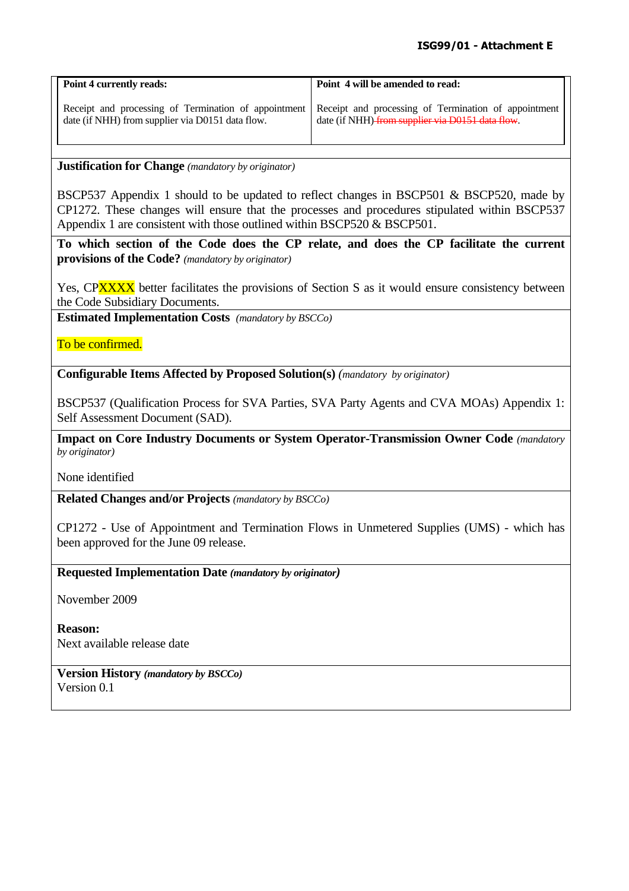| <b>Point 4 currently reads:</b>                                                                                                                               | Point 4 will be amended to read:                 |
|---------------------------------------------------------------------------------------------------------------------------------------------------------------|--------------------------------------------------|
| Receipt and processing of Termination of appointment Receipt and processing of Termination of appointment<br>date (if NHH) from supplier via D0151 data flow. | date (if NHH) from supplier via D0151 data flow. |

#### **Justification for Change** *(mandatory by originator)*

BSCP537 Appendix 1 should to be updated to reflect changes in BSCP501 & BSCP520, made by CP1272. These changes will ensure that the processes and procedures stipulated within BSCP537 Appendix 1 are consistent with those outlined within BSCP520 & BSCP501.

**To which section of the Code does the CP relate, and does the CP facilitate the current provisions of the Code?** *(mandatory by originator)* 

Yes, CPXXXX better facilitates the provisions of Section S as it would ensure consistency between the Code Subsidiary Documents.

**Estimated Implementation Costs** *(mandatory by BSCCo)* 

To be confirmed.

**Configurable Items Affected by Proposed Solution(s)** *(mandatory by originator)* 

BSCP537 (Qualification Process for SVA Parties, SVA Party Agents and CVA MOAs) Appendix 1: Self Assessment Document (SAD).

**Impact on Core Industry Documents or System Operator-Transmission Owner Code** *(mandatory by originator)* 

None identified

**Related Changes and/or Projects** *(mandatory by BSCCo)*

CP1272 - Use of Appointment and Termination Flows in Unmetered Supplies (UMS) - which has been approved for the June 09 release.

**Requested Implementation Date** *(mandatory by originator)* 

November 2009

**Reason:**  Next available release date

**Version History** *(mandatory by BSCCo)*  Version 0.1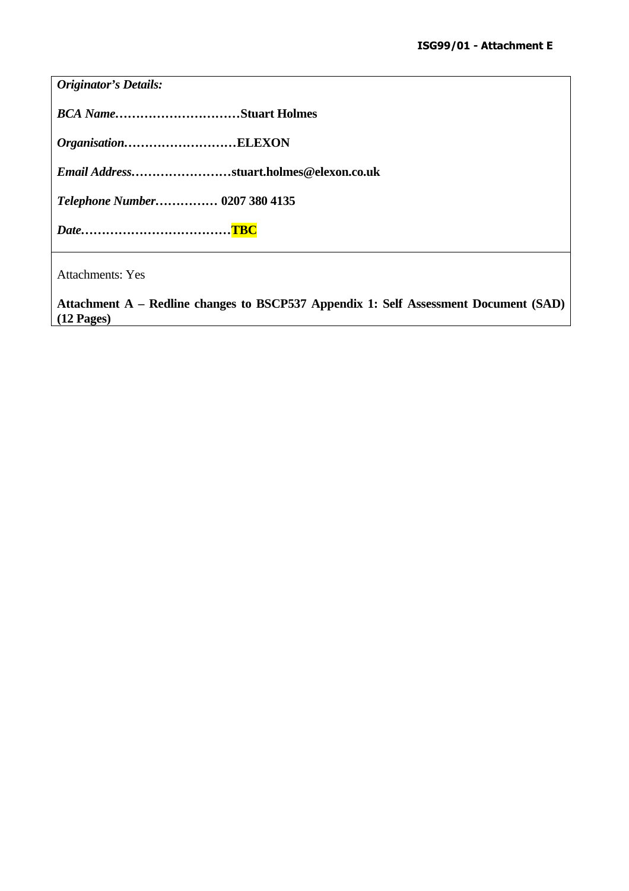| <b>Originator's Details:</b>                                                         |
|--------------------------------------------------------------------------------------|
| <b>BCA NameStuart Holmes</b>                                                         |
| OrganisationELEXON                                                                   |
| Email Addressstuart.holmes@elexon.co.uk                                              |
| Telephone Number 0207 380 4135                                                       |
|                                                                                      |
| <b>Attachments: Yes</b>                                                              |
| Attachment A – Redline changes to BSCP537 Appendix 1: Self Assessment Document (SAD) |

**(12 Pages)**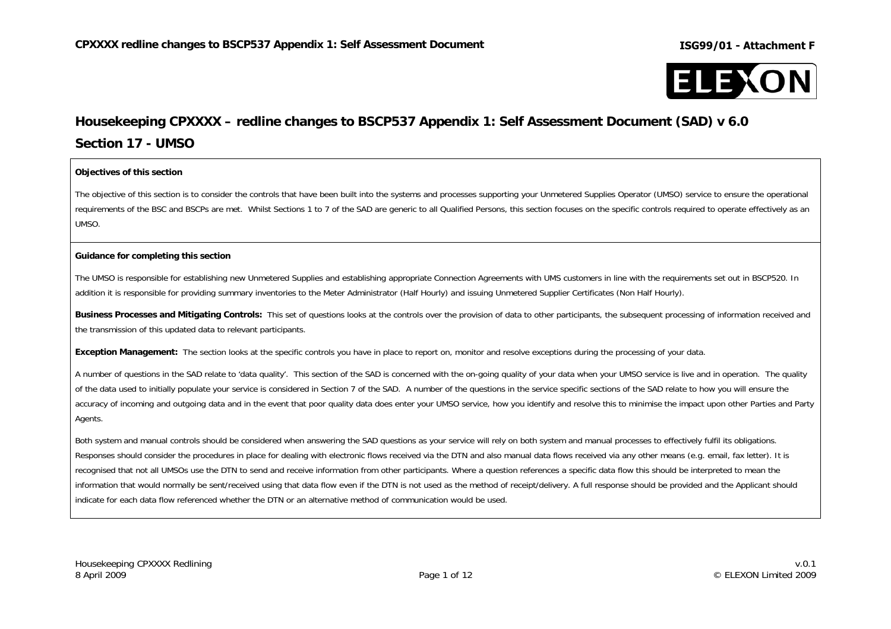

# **Housekeeping CPXXXX – redline changes to BSCP537 Appendix 1: Self Assessment Document (SAD) v 6.0 Section 17 - UMSO**

#### **Objectives of this section**

The objective of this section is to consider the controls that have been built into the systems and processes supporting your Unmetered Supplies Operator (UMSO) service to ensure the operational requirements of the BSC and BSCPs are met. Whilst Sections 1 to 7 of the SAD are generic to all Qualified Persons, this section focuses on the specific controls required to operate effectively as an UMSO.

#### **Guidance for completing this section**

The UMSO is responsible for establishing new Unmetered Supplies and establishing appropriate Connection Agreements with UMS customers in line with the requirements set out in BSCP520. In addition it is responsible for providing summary inventories to the Meter Administrator (Half Hourly) and issuing Unmetered Supplier Certificates (Non Half Hourly).

**Business Processes and Mitigating Controls:** This set of questions looks at the controls over the provision of data to other participants, the subsequent processing of information received and the transmission of this updated data to relevant participants.

**Exception Management:** The section looks at the specific controls you have in place to report on, monitor and resolve exceptions during the processing of your data.

A number of questions in the SAD relate to 'data quality'. This section of the SAD is concerned with the on-going quality of your data when your UMSO service is live and in operation. The quality of the data used to initially populate your service is considered in Section 7 of the SAD. A number of the questions in the service specific sections of the SAD relate to how you will ensure the accuracy of incoming and outgoing data and in the event that poor quality data does enter your UMSO service, how you identify and resolve this to minimise the impact upon other Parties and Party Agents.

Both system and manual controls should be considered when answering the SAD questions as your service will rely on both system and manual processes to effectively fulfil its obligations. Responses should consider the procedures in place for dealing with electronic flows received via the DTN and also manual data flows received via any other means (e.g. email, fax letter). It is recognised that not all UMSOs use the DTN to send and receive information from other participants. Where a question references a specific data flow this should be interpreted to mean the information that would normally be sent/received using that data flow even if the DTN is not used as the method of receipt/delivery. A full response should be provided and the Applicant should indicate for each data flow referenced whether the DTN or an alternative method of communication would be used.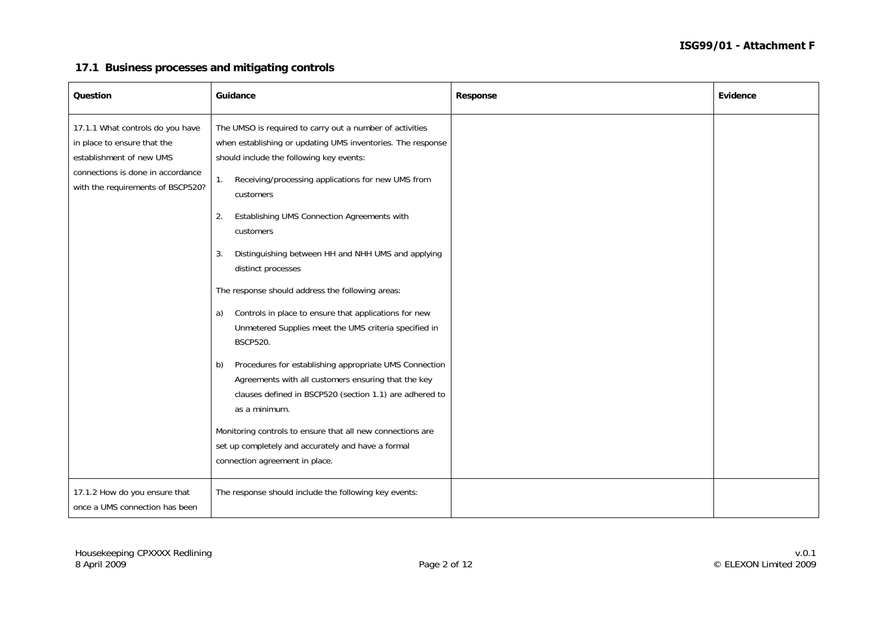#### **17.1 Business processes and mitigating controls**

| Question                                                                                                                                                              | Guidance                                                                                                                                                                                                                                                                                                                                                                                                                                                                                                                                                                                                                                                                                                                                                                                                                                                                                                                                                 | Response | Evidence |
|-----------------------------------------------------------------------------------------------------------------------------------------------------------------------|----------------------------------------------------------------------------------------------------------------------------------------------------------------------------------------------------------------------------------------------------------------------------------------------------------------------------------------------------------------------------------------------------------------------------------------------------------------------------------------------------------------------------------------------------------------------------------------------------------------------------------------------------------------------------------------------------------------------------------------------------------------------------------------------------------------------------------------------------------------------------------------------------------------------------------------------------------|----------|----------|
| 17.1.1 What controls do you have<br>in place to ensure that the<br>establishment of new UMS<br>connections is done in accordance<br>with the requirements of BSCP520? | The UMSO is required to carry out a number of activities<br>when establishing or updating UMS inventories. The response<br>should include the following key events:<br>Receiving/processing applications for new UMS from<br>1.<br>customers<br>Establishing UMS Connection Agreements with<br>2.<br>customers<br>Distinguishing between HH and NHH UMS and applying<br>3.<br>distinct processes<br>The response should address the following areas:<br>Controls in place to ensure that applications for new<br>a)<br>Unmetered Supplies meet the UMS criteria specified in<br><b>BSCP520.</b><br>Procedures for establishing appropriate UMS Connection<br>b)<br>Agreements with all customers ensuring that the key<br>clauses defined in BSCP520 (section 1.1) are adhered to<br>as a minimum.<br>Monitoring controls to ensure that all new connections are<br>set up completely and accurately and have a formal<br>connection agreement in place. |          |          |
| 17.1.2 How do you ensure that<br>once a UMS connection has been                                                                                                       | The response should include the following key events:                                                                                                                                                                                                                                                                                                                                                                                                                                                                                                                                                                                                                                                                                                                                                                                                                                                                                                    |          |          |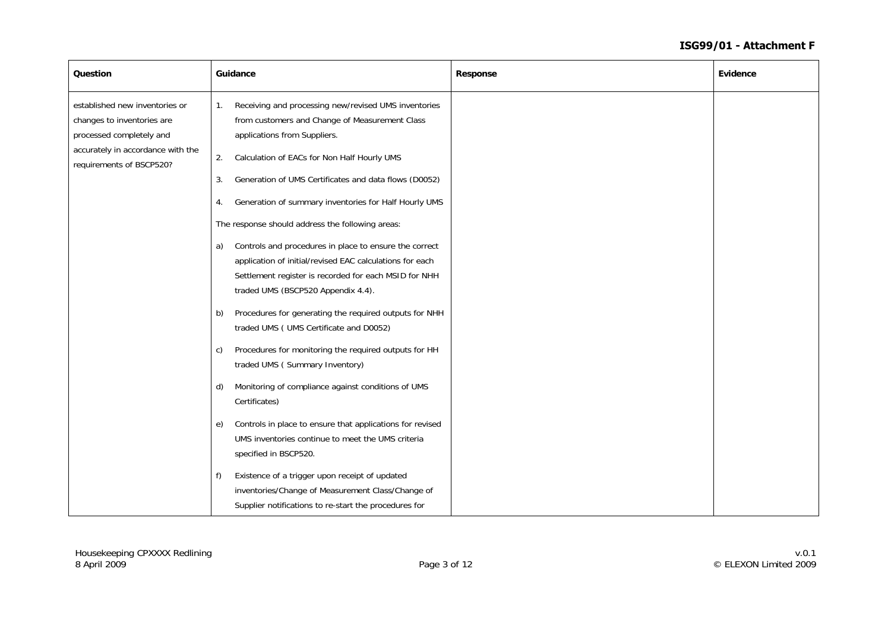| Question                                                                                                                                                  | Guidance                                                                                                                                                                                                                                                                                                                                                                                                                                                                                                                                                                                                                                                                                                                                                                                                                                                                                                                                                                                                                                                                                                                                                             | <b>Response</b> | Evidence |
|-----------------------------------------------------------------------------------------------------------------------------------------------------------|----------------------------------------------------------------------------------------------------------------------------------------------------------------------------------------------------------------------------------------------------------------------------------------------------------------------------------------------------------------------------------------------------------------------------------------------------------------------------------------------------------------------------------------------------------------------------------------------------------------------------------------------------------------------------------------------------------------------------------------------------------------------------------------------------------------------------------------------------------------------------------------------------------------------------------------------------------------------------------------------------------------------------------------------------------------------------------------------------------------------------------------------------------------------|-----------------|----------|
| established new inventories or<br>changes to inventories are<br>processed completely and<br>accurately in accordance with the<br>requirements of BSCP520? | Receiving and processing new/revised UMS inventories<br>1.<br>from customers and Change of Measurement Class<br>applications from Suppliers.<br>Calculation of EACs for Non Half Hourly UMS<br>2.<br>Generation of UMS Certificates and data flows (D0052)<br>3.<br>Generation of summary inventories for Half Hourly UMS<br>4.<br>The response should address the following areas:<br>Controls and procedures in place to ensure the correct<br>a)<br>application of initial/revised EAC calculations for each<br>Settlement register is recorded for each MSID for NHH<br>traded UMS (BSCP520 Appendix 4.4).<br>Procedures for generating the required outputs for NHH<br>b)<br>traded UMS (UMS Certificate and D0052)<br>Procedures for monitoring the required outputs for HH<br>C)<br>traded UMS (Summary Inventory)<br>Monitoring of compliance against conditions of UMS<br>d)<br>Certificates)<br>Controls in place to ensure that applications for revised<br>e)<br>UMS inventories continue to meet the UMS criteria<br>specified in BSCP520.<br>Existence of a trigger upon receipt of updated<br>f)<br>inventories/Change of Measurement Class/Change of |                 |          |
|                                                                                                                                                           | Supplier notifications to re-start the procedures for                                                                                                                                                                                                                                                                                                                                                                                                                                                                                                                                                                                                                                                                                                                                                                                                                                                                                                                                                                                                                                                                                                                |                 |          |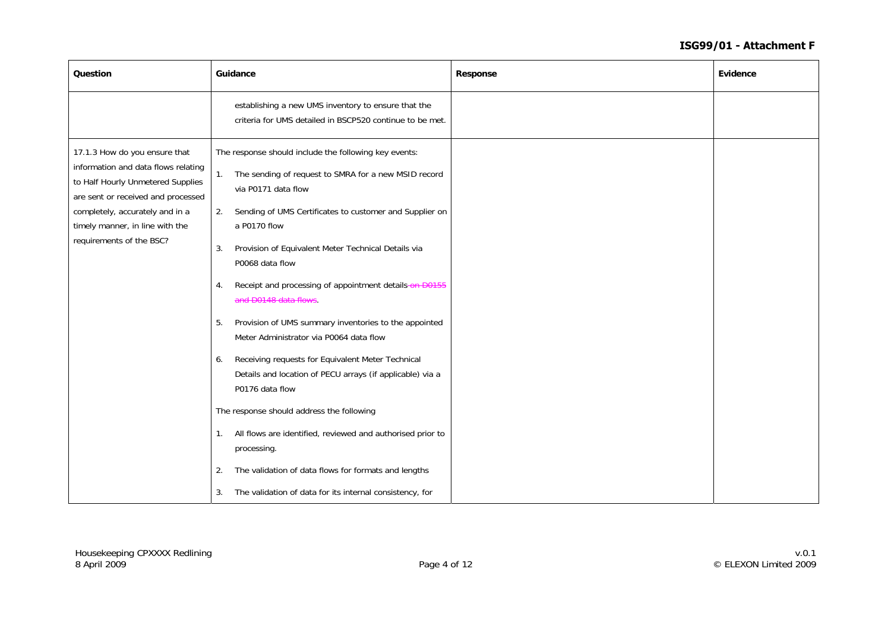| Question                                                                                                                                                                                                                                          | Guidance                                                                                                                                                                                                                                                                                                                                                                                                                                                                                                                                                                                                                                                                                                                                                                                                                                                | Response | Evidence |
|---------------------------------------------------------------------------------------------------------------------------------------------------------------------------------------------------------------------------------------------------|---------------------------------------------------------------------------------------------------------------------------------------------------------------------------------------------------------------------------------------------------------------------------------------------------------------------------------------------------------------------------------------------------------------------------------------------------------------------------------------------------------------------------------------------------------------------------------------------------------------------------------------------------------------------------------------------------------------------------------------------------------------------------------------------------------------------------------------------------------|----------|----------|
|                                                                                                                                                                                                                                                   | establishing a new UMS inventory to ensure that the<br>criteria for UMS detailed in BSCP520 continue to be met.                                                                                                                                                                                                                                                                                                                                                                                                                                                                                                                                                                                                                                                                                                                                         |          |          |
| 17.1.3 How do you ensure that<br>information and data flows relating<br>to Half Hourly Unmetered Supplies<br>are sent or received and processed<br>completely, accurately and in a<br>timely manner, in line with the<br>requirements of the BSC? | The response should include the following key events:<br>The sending of request to SMRA for a new MSID record<br>1.<br>via P0171 data flow<br>Sending of UMS Certificates to customer and Supplier on<br>2.<br>a P0170 flow<br>Provision of Equivalent Meter Technical Details via<br>3.<br>P0068 data flow<br>Receipt and processing of appointment details-on D0155<br>4.<br>and D0148 data flows.<br>Provision of UMS summary inventories to the appointed<br>5.<br>Meter Administrator via P0064 data flow<br>Receiving requests for Equivalent Meter Technical<br>6.<br>Details and location of PECU arrays (if applicable) via a<br>P0176 data flow<br>The response should address the following<br>All flows are identified, reviewed and authorised prior to<br>1.<br>processing.<br>The validation of data flows for formats and lengths<br>2. |          |          |
|                                                                                                                                                                                                                                                   | The validation of data for its internal consistency, for<br>3.                                                                                                                                                                                                                                                                                                                                                                                                                                                                                                                                                                                                                                                                                                                                                                                          |          |          |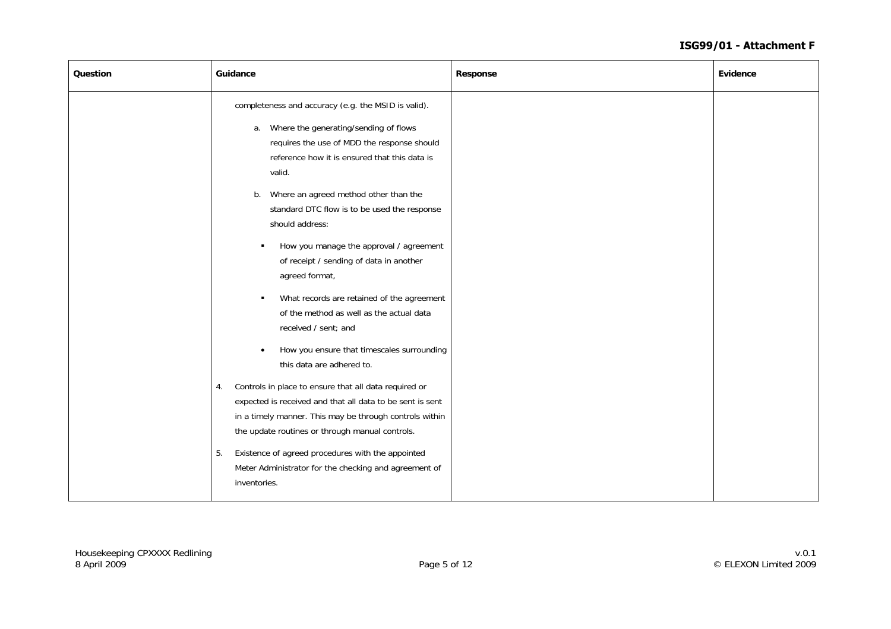| Question | Guidance                                                                                                                                                                                                                               | Response | Evidence |
|----------|----------------------------------------------------------------------------------------------------------------------------------------------------------------------------------------------------------------------------------------|----------|----------|
|          | completeness and accuracy (e.g. the MSID is valid).<br>a. Where the generating/sending of flows<br>requires the use of MDD the response should<br>reference how it is ensured that this data is<br>valid.                              |          |          |
|          | b. Where an agreed method other than the<br>standard DTC flow is to be used the response<br>should address:                                                                                                                            |          |          |
|          | How you manage the approval / agreement<br>٠<br>of receipt / sending of data in another<br>agreed format,                                                                                                                              |          |          |
|          | What records are retained of the agreement<br>$\blacksquare$<br>of the method as well as the actual data<br>received / sent; and                                                                                                       |          |          |
|          | How you ensure that timescales surrounding<br>$\bullet$<br>this data are adhered to.                                                                                                                                                   |          |          |
|          | Controls in place to ensure that all data required or<br>4.<br>expected is received and that all data to be sent is sent<br>in a timely manner. This may be through controls within<br>the update routines or through manual controls. |          |          |
|          | Existence of agreed procedures with the appointed<br>5.<br>Meter Administrator for the checking and agreement of<br>inventories.                                                                                                       |          |          |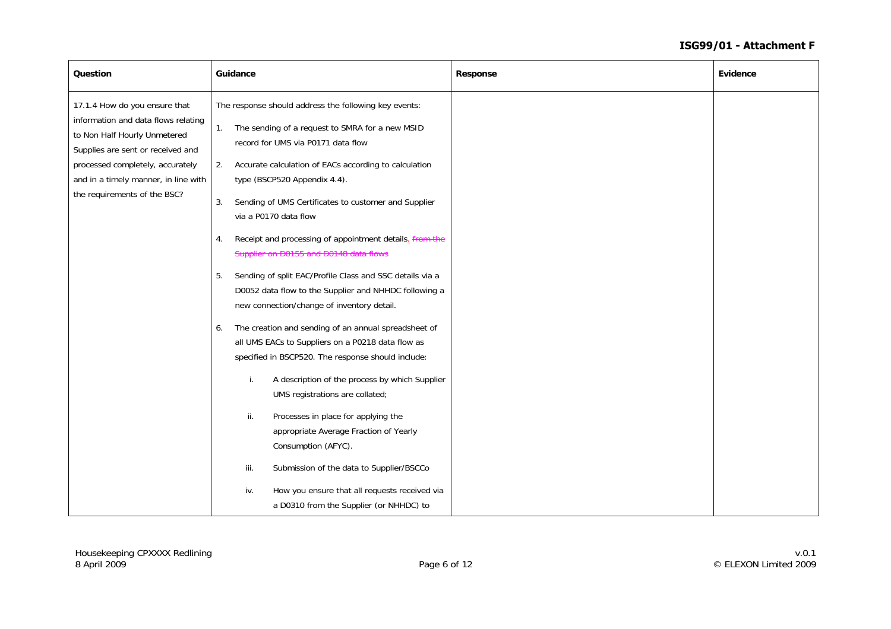| Question                                                                                                                                                                                                                                              | Guidance                                                                                                                                                                                                                                                                                                                                                                                                                                                                                                                                                                                                                                                                                                                                                                                                                                                                                                                                                                                                                                                                                                                      | <b>Response</b> | Evidence |
|-------------------------------------------------------------------------------------------------------------------------------------------------------------------------------------------------------------------------------------------------------|-------------------------------------------------------------------------------------------------------------------------------------------------------------------------------------------------------------------------------------------------------------------------------------------------------------------------------------------------------------------------------------------------------------------------------------------------------------------------------------------------------------------------------------------------------------------------------------------------------------------------------------------------------------------------------------------------------------------------------------------------------------------------------------------------------------------------------------------------------------------------------------------------------------------------------------------------------------------------------------------------------------------------------------------------------------------------------------------------------------------------------|-----------------|----------|
| 17.1.4 How do you ensure that<br>information and data flows relating<br>to Non Half Hourly Unmetered<br>Supplies are sent or received and<br>processed completely, accurately<br>and in a timely manner, in line with<br>the requirements of the BSC? | The response should address the following key events:<br>The sending of a request to SMRA for a new MSID<br>1.<br>record for UMS via P0171 data flow<br>Accurate calculation of EACs according to calculation<br>2.<br>type (BSCP520 Appendix 4.4).<br>3.<br>Sending of UMS Certificates to customer and Supplier<br>via a P0170 data flow<br>Receipt and processing of appointment details. from the<br>4.<br>Supplier on D0155 and D0148 data flows<br>Sending of split EAC/Profile Class and SSC details via a<br>5.<br>D0052 data flow to the Supplier and NHHDC following a<br>new connection/change of inventory detail.<br>The creation and sending of an annual spreadsheet of<br>6.<br>all UMS EACs to Suppliers on a P0218 data flow as<br>specified in BSCP520. The response should include:<br>A description of the process by which Supplier<br>İ.<br>UMS registrations are collated;<br>ii.<br>Processes in place for applying the<br>appropriate Average Fraction of Yearly<br>Consumption (AFYC).<br>iii.<br>Submission of the data to Supplier/BSCCo<br>How you ensure that all requests received via<br>iv. |                 |          |
|                                                                                                                                                                                                                                                       | a D0310 from the Supplier (or NHHDC) to                                                                                                                                                                                                                                                                                                                                                                                                                                                                                                                                                                                                                                                                                                                                                                                                                                                                                                                                                                                                                                                                                       |                 |          |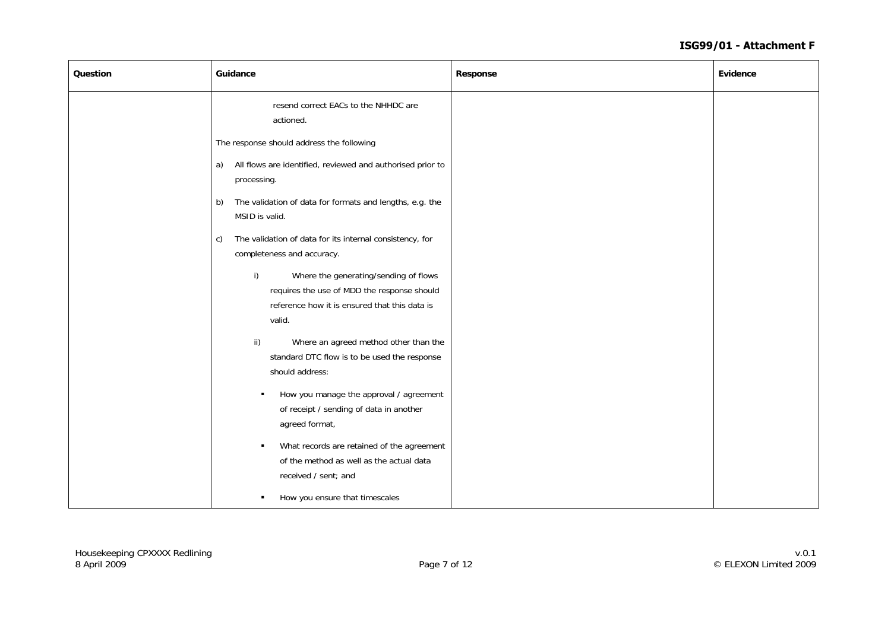| Question | Guidance                                                                                                                                              | Response | Evidence |
|----------|-------------------------------------------------------------------------------------------------------------------------------------------------------|----------|----------|
|          | resend correct EACs to the NHHDC are<br>actioned.                                                                                                     |          |          |
|          | The response should address the following                                                                                                             |          |          |
|          | All flows are identified, reviewed and authorised prior to<br>a)<br>processing.                                                                       |          |          |
|          | The validation of data for formats and lengths, e.g. the<br>b)<br>MSID is valid.                                                                      |          |          |
|          | The validation of data for its internal consistency, for<br>c)<br>completeness and accuracy.                                                          |          |          |
|          | i)<br>Where the generating/sending of flows<br>requires the use of MDD the response should<br>reference how it is ensured that this data is<br>valid. |          |          |
|          | ii)<br>Where an agreed method other than the<br>standard DTC flow is to be used the response<br>should address:                                       |          |          |
|          | How you manage the approval / agreement<br>$\blacksquare$<br>of receipt / sending of data in another<br>agreed format,                                |          |          |
|          | What records are retained of the agreement<br>of the method as well as the actual data<br>received / sent; and                                        |          |          |
|          | How you ensure that timescales<br>٠                                                                                                                   |          |          |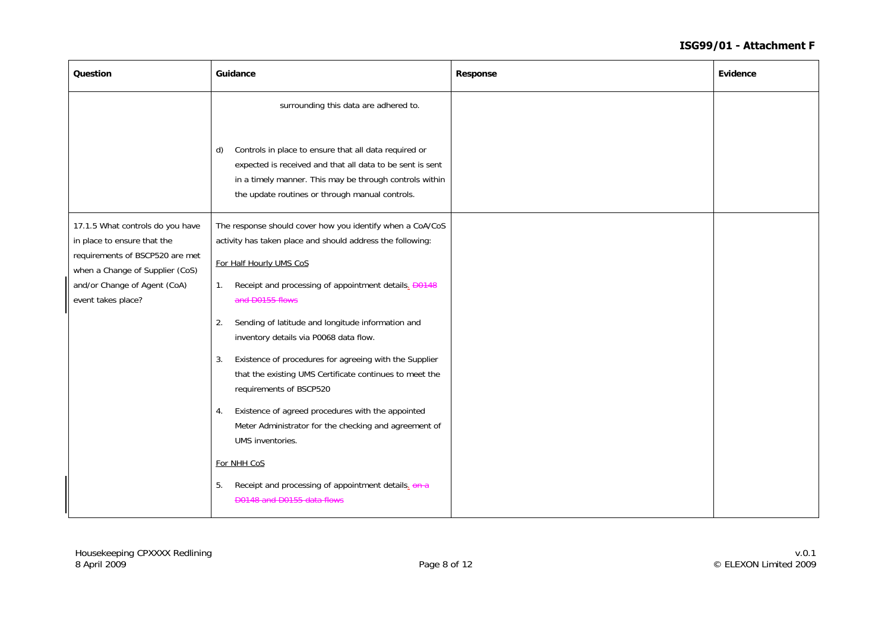| Question                                                                                                                                                                                    | Guidance                                                                                                                                                                                                                                                                                                                                                                                                                                                                                                                                                                                                                                                                                                                                                | <b>Response</b> | Evidence |
|---------------------------------------------------------------------------------------------------------------------------------------------------------------------------------------------|---------------------------------------------------------------------------------------------------------------------------------------------------------------------------------------------------------------------------------------------------------------------------------------------------------------------------------------------------------------------------------------------------------------------------------------------------------------------------------------------------------------------------------------------------------------------------------------------------------------------------------------------------------------------------------------------------------------------------------------------------------|-----------------|----------|
|                                                                                                                                                                                             | surrounding this data are adhered to.<br>Controls in place to ensure that all data required or<br>d)<br>expected is received and that all data to be sent is sent<br>in a timely manner. This may be through controls within<br>the update routines or through manual controls.                                                                                                                                                                                                                                                                                                                                                                                                                                                                         |                 |          |
| 17.1.5 What controls do you have<br>in place to ensure that the<br>requirements of BSCP520 are met<br>when a Change of Supplier (CoS)<br>and/or Change of Agent (CoA)<br>event takes place? | The response should cover how you identify when a CoA/CoS<br>activity has taken place and should address the following:<br>For Half Hourly UMS CoS<br>Receipt and processing of appointment details. <b>D0148</b><br>1.<br>and D0155 flows<br>Sending of latitude and longitude information and<br>2.<br>inventory details via P0068 data flow.<br>Existence of procedures for agreeing with the Supplier<br>3.<br>that the existing UMS Certificate continues to meet the<br>requirements of BSCP520<br>Existence of agreed procedures with the appointed<br>4.<br>Meter Administrator for the checking and agreement of<br>UMS inventories.<br>For NHH CoS<br>Receipt and processing of appointment details. on a<br>5.<br>D0148 and D0155 data flows |                 |          |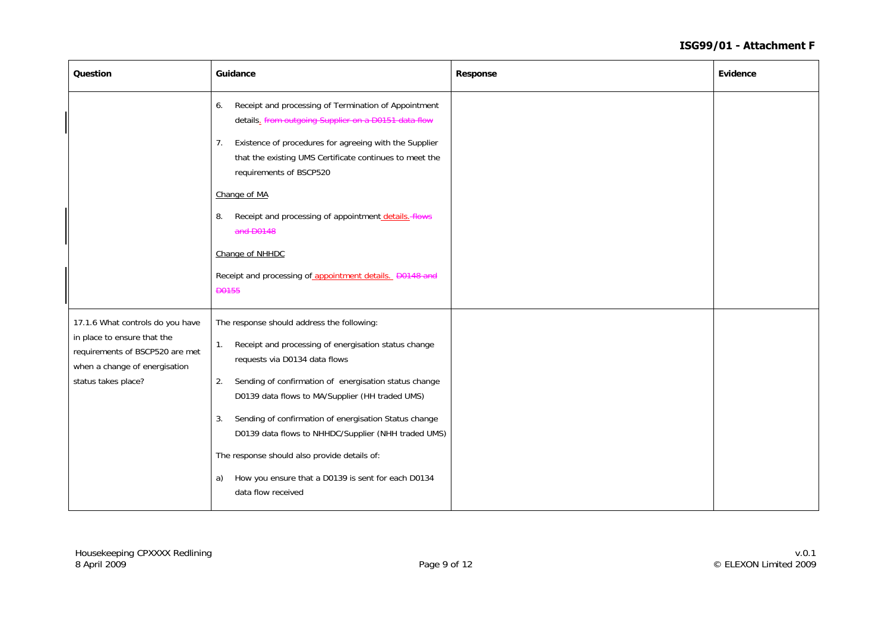| Question                                                                                                                                                   | Guidance                                                                                                                                                                                                                                                                                                                                                                                                                                                                                                            | Response | Evidence |
|------------------------------------------------------------------------------------------------------------------------------------------------------------|---------------------------------------------------------------------------------------------------------------------------------------------------------------------------------------------------------------------------------------------------------------------------------------------------------------------------------------------------------------------------------------------------------------------------------------------------------------------------------------------------------------------|----------|----------|
|                                                                                                                                                            | Receipt and processing of Termination of Appointment<br>6.<br>details. from outgoing Supplier on a D0151 data flow                                                                                                                                                                                                                                                                                                                                                                                                  |          |          |
|                                                                                                                                                            | Existence of procedures for agreeing with the Supplier<br>7.<br>that the existing UMS Certificate continues to meet the<br>requirements of BSCP520                                                                                                                                                                                                                                                                                                                                                                  |          |          |
|                                                                                                                                                            | Change of MA                                                                                                                                                                                                                                                                                                                                                                                                                                                                                                        |          |          |
|                                                                                                                                                            | Receipt and processing of appointment details. flows<br>8.<br>and D0148                                                                                                                                                                                                                                                                                                                                                                                                                                             |          |          |
|                                                                                                                                                            | Change of NHHDC                                                                                                                                                                                                                                                                                                                                                                                                                                                                                                     |          |          |
|                                                                                                                                                            | Receipt and processing of appointment details. D0148 and<br><b>D0155</b>                                                                                                                                                                                                                                                                                                                                                                                                                                            |          |          |
| 17.1.6 What controls do you have<br>in place to ensure that the<br>requirements of BSCP520 are met<br>when a change of energisation<br>status takes place? | The response should address the following:<br>Receipt and processing of energisation status change<br>1.<br>requests via D0134 data flows<br>Sending of confirmation of energisation status change<br>2.<br>D0139 data flows to MA/Supplier (HH traded UMS)<br>Sending of confirmation of energisation Status change<br>3.<br>D0139 data flows to NHHDC/Supplier (NHH traded UMS)<br>The response should also provide details of:<br>How you ensure that a D0139 is sent for each D0134<br>a)<br>data flow received |          |          |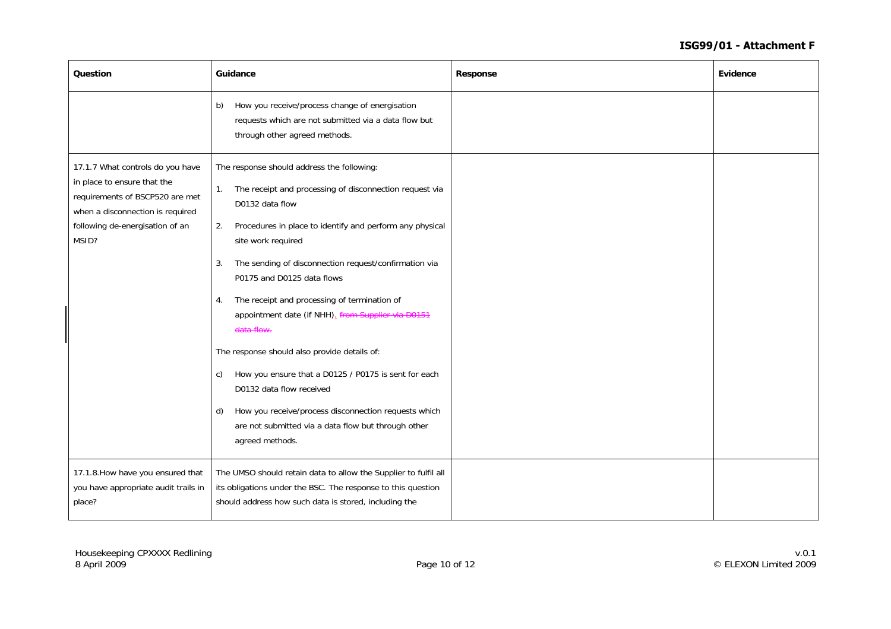| Question                                                                                                                                                                           | Guidance                                                                                                                                                                                                                                                                                                                                                                                                                                                                                                                                                                                                                                                                                                                        | <b>Response</b> | Evidence |
|------------------------------------------------------------------------------------------------------------------------------------------------------------------------------------|---------------------------------------------------------------------------------------------------------------------------------------------------------------------------------------------------------------------------------------------------------------------------------------------------------------------------------------------------------------------------------------------------------------------------------------------------------------------------------------------------------------------------------------------------------------------------------------------------------------------------------------------------------------------------------------------------------------------------------|-----------------|----------|
|                                                                                                                                                                                    | How you receive/process change of energisation<br>b)<br>requests which are not submitted via a data flow but<br>through other agreed methods.                                                                                                                                                                                                                                                                                                                                                                                                                                                                                                                                                                                   |                 |          |
| 17.1.7 What controls do you have<br>in place to ensure that the<br>requirements of BSCP520 are met<br>when a disconnection is required<br>following de-energisation of an<br>MSID? | The response should address the following:<br>The receipt and processing of disconnection request via<br>1.<br>D0132 data flow<br>Procedures in place to identify and perform any physical<br>2.<br>site work required<br>The sending of disconnection request/confirmation via<br>3.<br>P0175 and D0125 data flows<br>The receipt and processing of termination of<br>4.<br>appointment date (if NHH). from Supplier via D0151<br>data flow.<br>The response should also provide details of:<br>How you ensure that a D0125 / P0175 is sent for each<br>C)<br>D0132 data flow received<br>How you receive/process disconnection requests which<br>d)<br>are not submitted via a data flow but through other<br>agreed methods. |                 |          |
| 17.1.8. How have you ensured that<br>you have appropriate audit trails in<br>place?                                                                                                | The UMSO should retain data to allow the Supplier to fulfil all<br>its obligations under the BSC. The response to this question<br>should address how such data is stored, including the                                                                                                                                                                                                                                                                                                                                                                                                                                                                                                                                        |                 |          |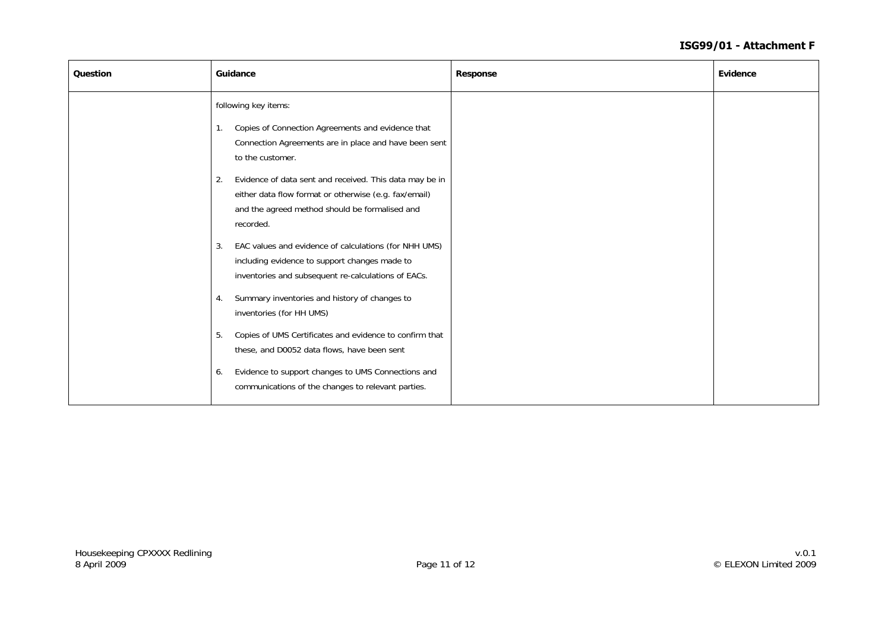| following key items:<br>Copies of Connection Agreements and evidence that<br>1.<br>Connection Agreements are in place and have been sent<br>to the customer.<br>Evidence of data sent and received. This data may be in<br>2.<br>either data flow format or otherwise (e.g. fax/email)<br>and the agreed method should be formalised and<br>recorded.<br>EAC values and evidence of calculations (for NHH UMS)<br>3.<br>including evidence to support changes made to<br>inventories and subsequent re-calculations of EACs.<br>Summary inventories and history of changes to<br>4.<br>inventories (for HH UMS)<br>Copies of UMS Certificates and evidence to confirm that<br>5.<br>these, and D0052 data flows, have been sent<br>Evidence to support changes to UMS Connections and<br>6.<br>communications of the changes to relevant parties. | Question | Guidance | <b>Response</b> | Evidence |
|---------------------------------------------------------------------------------------------------------------------------------------------------------------------------------------------------------------------------------------------------------------------------------------------------------------------------------------------------------------------------------------------------------------------------------------------------------------------------------------------------------------------------------------------------------------------------------------------------------------------------------------------------------------------------------------------------------------------------------------------------------------------------------------------------------------------------------------------------|----------|----------|-----------------|----------|
|                                                                                                                                                                                                                                                                                                                                                                                                                                                                                                                                                                                                                                                                                                                                                                                                                                                   |          |          |                 |          |